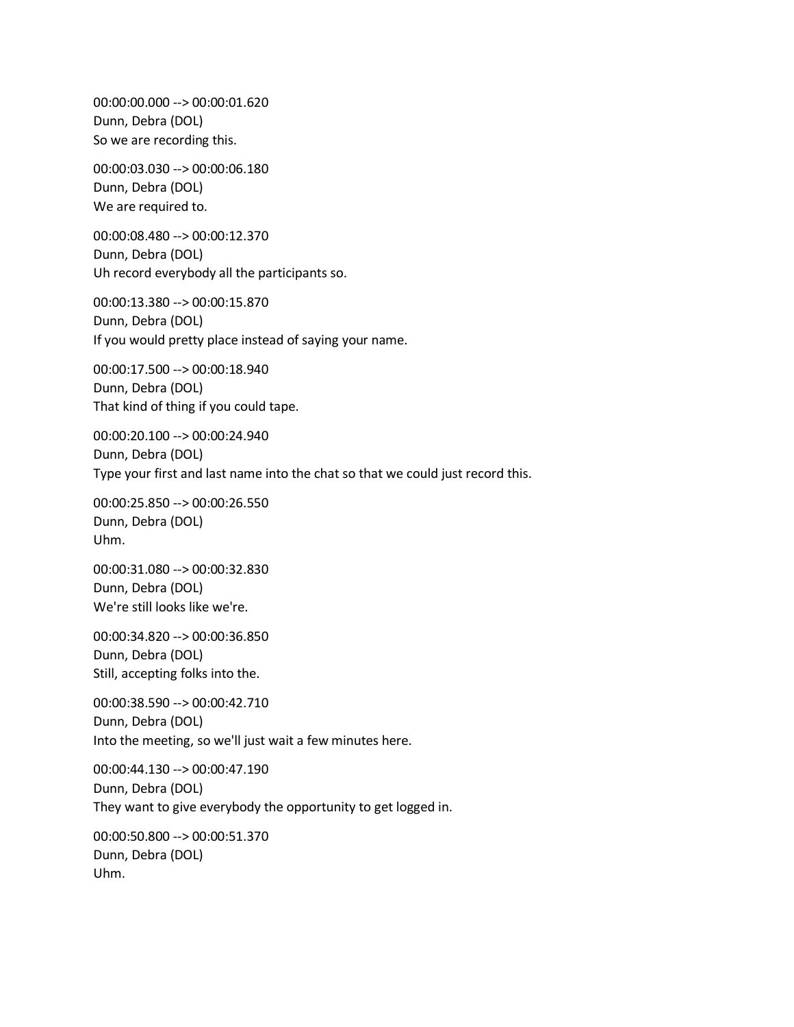00:00:00.000 --> 00:00:01.620 Dunn, Debra (DOL) So we are recording this.

00:00:03.030 --> 00:00:06.180 Dunn, Debra (DOL) We are required to.

00:00:08.480 --> 00:00:12.370 Dunn, Debra (DOL) Uh record everybody all the participants so.

00:00:13.380 --> 00:00:15.870 Dunn, Debra (DOL) If you would pretty place instead of saying your name.

00:00:17.500 --> 00:00:18.940 Dunn, Debra (DOL) That kind of thing if you could tape.

00:00:20.100 --> 00:00:24.940 Dunn, Debra (DOL) Type your first and last name into the chat so that we could just record this.

00:00:25.850 --> 00:00:26.550 Dunn, Debra (DOL) Uhm.

00:00:31.080 --> 00:00:32.830 Dunn, Debra (DOL) We're still looks like we're.

00:00:34.820 --> 00:00:36.850 Dunn, Debra (DOL) Still, accepting folks into the.

00:00:38.590 --> 00:00:42.710 Dunn, Debra (DOL) Into the meeting, so we'll just wait a few minutes here.

00:00:44.130 --> 00:00:47.190 Dunn, Debra (DOL) They want to give everybody the opportunity to get logged in.

00:00:50.800 --> 00:00:51.370 Dunn, Debra (DOL) Uhm.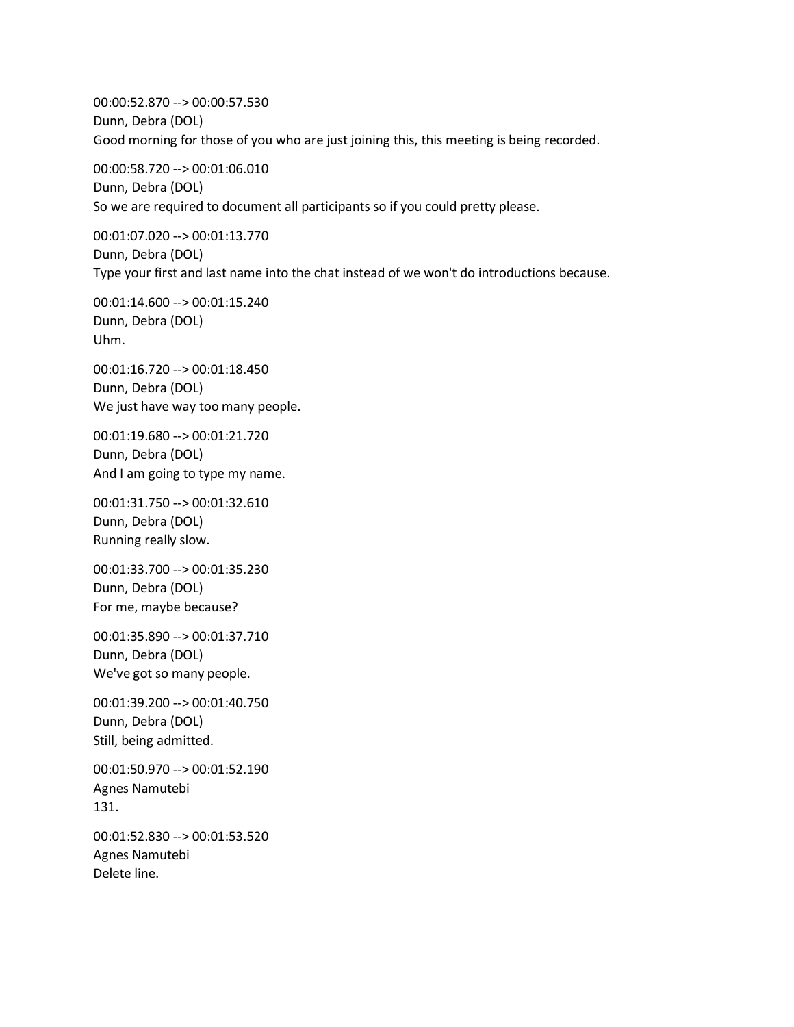00:00:52.870 --> 00:00:57.530 Dunn, Debra (DOL) Good morning for those of you who are just joining this, this meeting is being recorded.

00:00:58.720 --> 00:01:06.010 Dunn, Debra (DOL) So we are required to document all participants so if you could pretty please.

00:01:07.020 --> 00:01:13.770 Dunn, Debra (DOL) Type your first and last name into the chat instead of we won't do introductions because.

00:01:14.600 --> 00:01:15.240 Dunn, Debra (DOL) Uhm.

00:01:16.720 --> 00:01:18.450 Dunn, Debra (DOL) We just have way too many people.

00:01:19.680 --> 00:01:21.720 Dunn, Debra (DOL) And I am going to type my name.

00:01:31.750 --> 00:01:32.610 Dunn, Debra (DOL) Running really slow.

00:01:33.700 --> 00:01:35.230 Dunn, Debra (DOL) For me, maybe because?

00:01:35.890 --> 00:01:37.710 Dunn, Debra (DOL) We've got so many people.

00:01:39.200 --> 00:01:40.750 Dunn, Debra (DOL) Still, being admitted.

00:01:50.970 --> 00:01:52.190 Agnes Namutebi 131.

00:01:52.830 --> 00:01:53.520 Agnes Namutebi Delete line.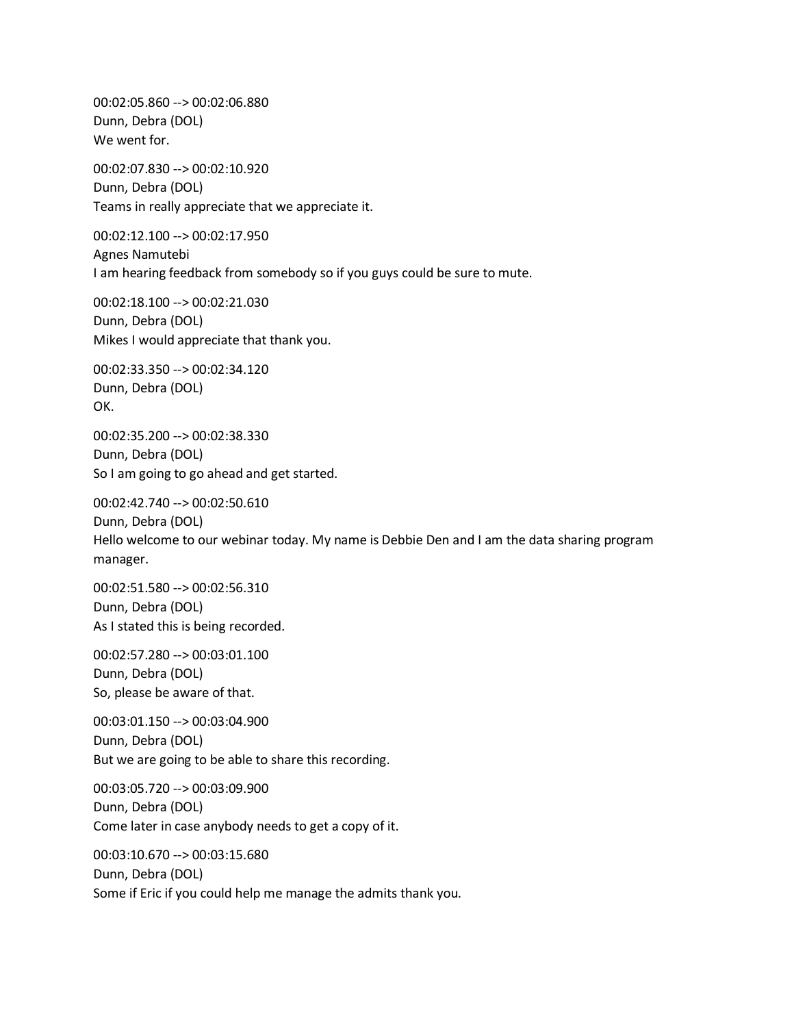00:02:05.860 --> 00:02:06.880 Dunn, Debra (DOL) We went for.

00:02:07.830 --> 00:02:10.920 Dunn, Debra (DOL) Teams in really appreciate that we appreciate it.

00:02:12.100 --> 00:02:17.950 Agnes Namutebi I am hearing feedback from somebody so if you guys could be sure to mute.

00:02:18.100 --> 00:02:21.030 Dunn, Debra (DOL) Mikes I would appreciate that thank you.

00:02:33.350 --> 00:02:34.120 Dunn, Debra (DOL) OK.

00:02:35.200 --> 00:02:38.330 Dunn, Debra (DOL) So I am going to go ahead and get started.

00:02:42.740 --> 00:02:50.610 Dunn, Debra (DOL) Hello welcome to our webinar today. My name is Debbie Den and I am the data sharing program manager.

00:02:51.580 --> 00:02:56.310 Dunn, Debra (DOL) As I stated this is being recorded.

00:02:57.280 --> 00:03:01.100 Dunn, Debra (DOL) So, please be aware of that.

00:03:01.150 --> 00:03:04.900 Dunn, Debra (DOL) But we are going to be able to share this recording.

00:03:05.720 --> 00:03:09.900 Dunn, Debra (DOL) Come later in case anybody needs to get a copy of it.

00:03:10.670 --> 00:03:15.680 Dunn, Debra (DOL) Some if Eric if you could help me manage the admits thank you.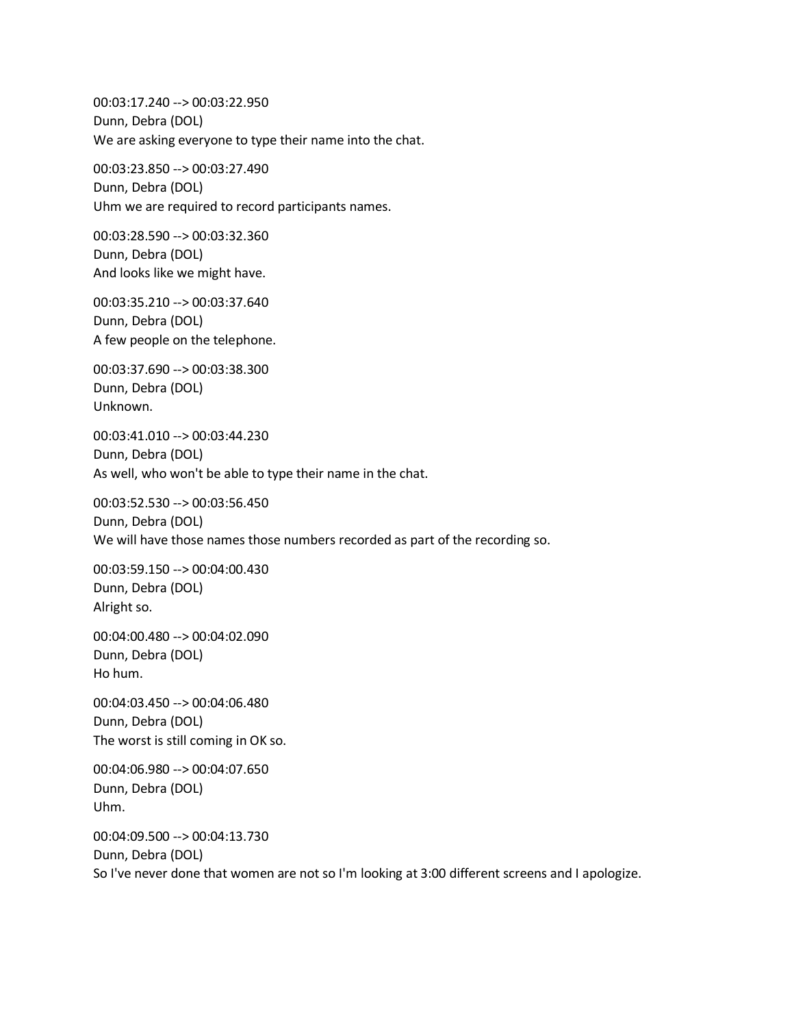00:03:17.240 --> 00:03:22.950 Dunn, Debra (DOL) We are asking everyone to type their name into the chat.

00:03:23.850 --> 00:03:27.490 Dunn, Debra (DOL) Uhm we are required to record participants names.

00:03:28.590 --> 00:03:32.360 Dunn, Debra (DOL) And looks like we might have.

00:03:35.210 --> 00:03:37.640 Dunn, Debra (DOL) A few people on the telephone.

00:03:37.690 --> 00:03:38.300 Dunn, Debra (DOL) Unknown.

00:03:41.010 --> 00:03:44.230 Dunn, Debra (DOL) As well, who won't be able to type their name in the chat.

00:03:52.530 --> 00:03:56.450 Dunn, Debra (DOL) We will have those names those numbers recorded as part of the recording so.

00:03:59.150 --> 00:04:00.430 Dunn, Debra (DOL) Alright so.

00:04:00.480 --> 00:04:02.090 Dunn, Debra (DOL) Ho hum.

00:04:03.450 --> 00:04:06.480 Dunn, Debra (DOL) The worst is still coming in OK so.

00:04:06.980 --> 00:04:07.650 Dunn, Debra (DOL) Uhm.

00:04:09.500 --> 00:04:13.730 Dunn, Debra (DOL) So I've never done that women are not so I'm looking at 3:00 different screens and I apologize.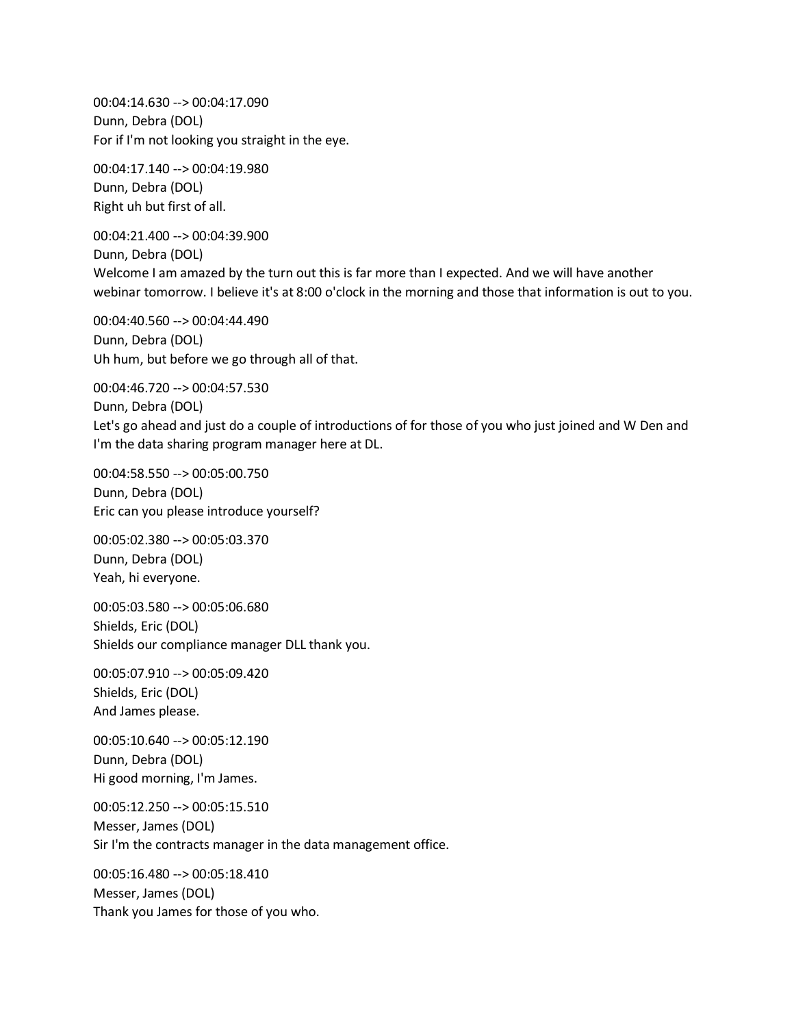00:04:14.630 --> 00:04:17.090 Dunn, Debra (DOL) For if I'm not looking you straight in the eye.

00:04:17.140 --> 00:04:19.980 Dunn, Debra (DOL) Right uh but first of all.

00:04:21.400 --> 00:04:39.900 Dunn, Debra (DOL) Welcome I am amazed by the turn out this is far more than I expected. And we will have another webinar tomorrow. I believe it's at 8:00 o'clock in the morning and those that information is out to you.

00:04:40.560 --> 00:04:44.490 Dunn, Debra (DOL) Uh hum, but before we go through all of that.

00:04:46.720 --> 00:04:57.530 Dunn, Debra (DOL) Let's go ahead and just do a couple of introductions of for those of you who just joined and W Den and I'm the data sharing program manager here at DL.

00:04:58.550 --> 00:05:00.750 Dunn, Debra (DOL) Eric can you please introduce yourself?

00:05:02.380 --> 00:05:03.370 Dunn, Debra (DOL) Yeah, hi everyone.

00:05:03.580 --> 00:05:06.680 Shields, Eric (DOL) Shields our compliance manager DLL thank you.

00:05:07.910 --> 00:05:09.420 Shields, Eric (DOL) And James please.

00:05:10.640 --> 00:05:12.190 Dunn, Debra (DOL) Hi good morning, I'm James.

00:05:12.250 --> 00:05:15.510 Messer, James (DOL) Sir I'm the contracts manager in the data management office.

00:05:16.480 --> 00:05:18.410 Messer, James (DOL) Thank you James for those of you who.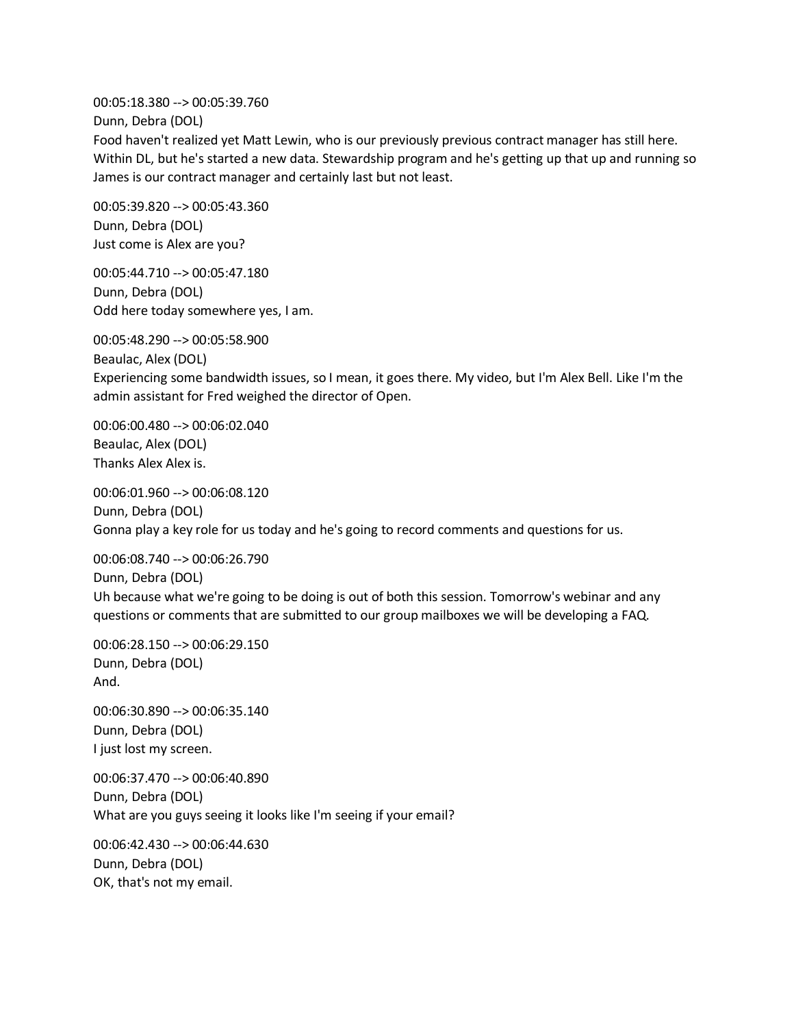00:05:18.380 --> 00:05:39.760

Dunn, Debra (DOL)

Food haven't realized yet Matt Lewin, who is our previously previous contract manager has still here. Within DL, but he's started a new data. Stewardship program and he's getting up that up and running so James is our contract manager and certainly last but not least.

00:05:39.820 --> 00:05:43.360 Dunn, Debra (DOL) Just come is Alex are you?

00:05:44.710 --> 00:05:47.180 Dunn, Debra (DOL) Odd here today somewhere yes, I am.

00:05:48.290 --> 00:05:58.900 Beaulac, Alex (DOL) Experiencing some bandwidth issues, so I mean, it goes there. My video, but I'm Alex Bell. Like I'm the admin assistant for Fred weighed the director of Open.

00:06:00.480 --> 00:06:02.040 Beaulac, Alex (DOL) Thanks Alex Alex is.

00:06:01.960 --> 00:06:08.120 Dunn, Debra (DOL) Gonna play a key role for us today and he's going to record comments and questions for us.

00:06:08.740 --> 00:06:26.790 Dunn, Debra (DOL) Uh because what we're going to be doing is out of both this session. Tomorrow's webinar and any questions or comments that are submitted to our group mailboxes we will be developing a FAQ.

00:06:28.150 --> 00:06:29.150 Dunn, Debra (DOL) And.

00:06:30.890 --> 00:06:35.140 Dunn, Debra (DOL) I just lost my screen.

00:06:37.470 --> 00:06:40.890 Dunn, Debra (DOL) What are you guys seeing it looks like I'm seeing if your email?

00:06:42.430 --> 00:06:44.630 Dunn, Debra (DOL) OK, that's not my email.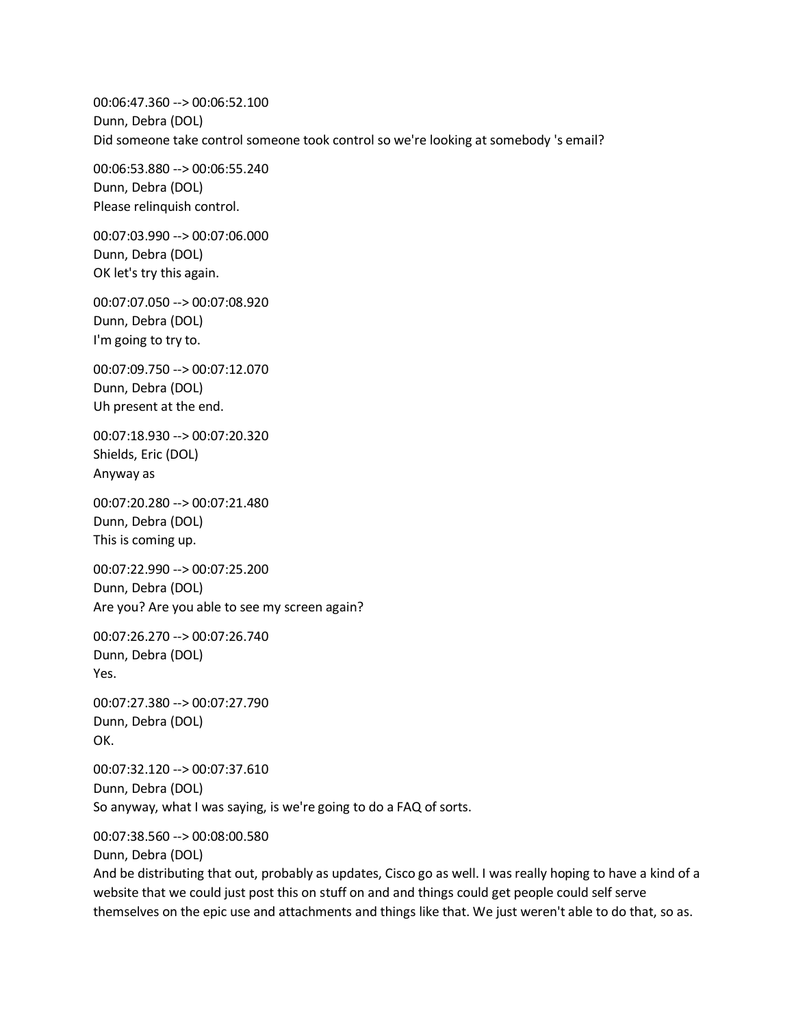00:06:47.360 --> 00:06:52.100 Dunn, Debra (DOL) Did someone take control someone took control so we're looking at somebody 's email?

00:06:53.880 --> 00:06:55.240 Dunn, Debra (DOL) Please relinquish control.

00:07:03.990 --> 00:07:06.000 Dunn, Debra (DOL) OK let's try this again.

00:07:07.050 --> 00:07:08.920 Dunn, Debra (DOL) I'm going to try to.

00:07:09.750 --> 00:07:12.070 Dunn, Debra (DOL) Uh present at the end.

00:07:18.930 --> 00:07:20.320 Shields, Eric (DOL) Anyway as

00:07:20.280 --> 00:07:21.480 Dunn, Debra (DOL) This is coming up.

00:07:22.990 --> 00:07:25.200 Dunn, Debra (DOL) Are you? Are you able to see my screen again?

00:07:26.270 --> 00:07:26.740 Dunn, Debra (DOL) Yes.

00:07:27.380 --> 00:07:27.790 Dunn, Debra (DOL) OK.

00:07:32.120 --> 00:07:37.610 Dunn, Debra (DOL) So anyway, what I was saying, is we're going to do a FAQ of sorts.

00:07:38.560 --> 00:08:00.580

Dunn, Debra (DOL)

And be distributing that out, probably as updates, Cisco go as well. I was really hoping to have a kind of a website that we could just post this on stuff on and and things could get people could self serve themselves on the epic use and attachments and things like that. We just weren't able to do that, so as.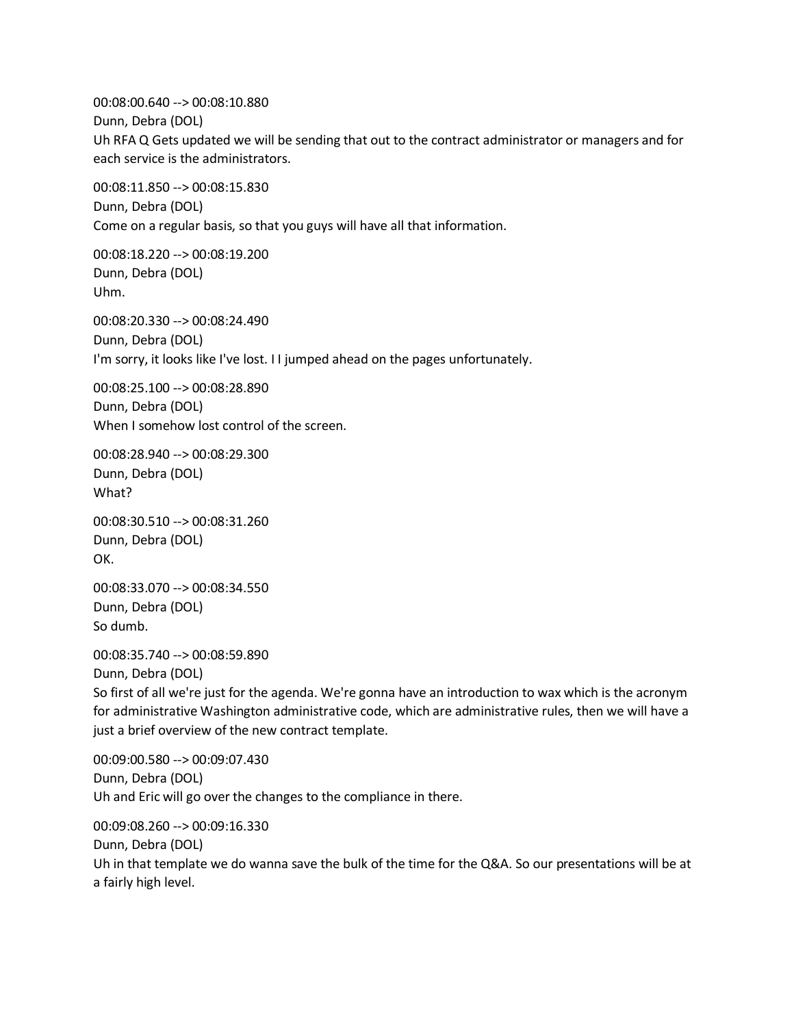00:08:00.640 --> 00:08:10.880 Dunn, Debra (DOL) Uh RFA Q Gets updated we will be sending that out to the contract administrator or managers and for each service is the administrators.

00:08:11.850 --> 00:08:15.830 Dunn, Debra (DOL) Come on a regular basis, so that you guys will have all that information.

00:08:18.220 --> 00:08:19.200 Dunn, Debra (DOL) Uhm.

00:08:20.330 --> 00:08:24.490 Dunn, Debra (DOL) I'm sorry, it looks like I've lost. I I jumped ahead on the pages unfortunately.

00:08:25.100 --> 00:08:28.890 Dunn, Debra (DOL) When I somehow lost control of the screen.

00:08:28.940 --> 00:08:29.300 Dunn, Debra (DOL) What?

00:08:30.510 --> 00:08:31.260 Dunn, Debra (DOL) OK.

00:08:33.070 --> 00:08:34.550 Dunn, Debra (DOL) So dumb.

00:08:35.740 --> 00:08:59.890 Dunn, Debra (DOL) So first of all we're just for the agenda. We're gonna have an introduction to wax which is the acronym for administrative Washington administrative code, which are administrative rules, then we will have a just a brief overview of the new contract template.

00:09:00.580 --> 00:09:07.430 Dunn, Debra (DOL) Uh and Eric will go over the changes to the compliance in there.

00:09:08.260 --> 00:09:16.330 Dunn, Debra (DOL) Uh in that template we do wanna save the bulk of the time for the Q&A. So our presentations will be at a fairly high level.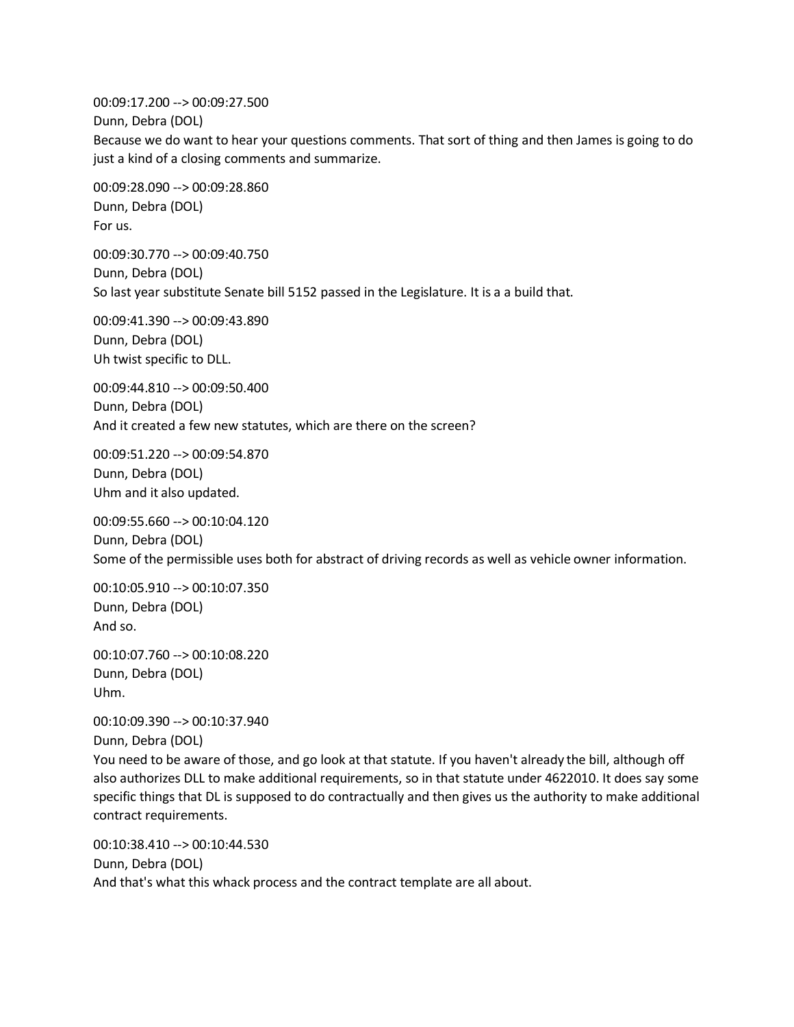00:09:17.200 --> 00:09:27.500 Dunn, Debra (DOL) Because we do want to hear your questions comments. That sort of thing and then James is going to do just a kind of a closing comments and summarize.

00:09:28.090 --> 00:09:28.860 Dunn, Debra (DOL) For us.

00:09:30.770 --> 00:09:40.750 Dunn, Debra (DOL) So last year substitute Senate bill 5152 passed in the Legislature. It is a a build that.

00:09:41.390 --> 00:09:43.890 Dunn, Debra (DOL) Uh twist specific to DLL.

00:09:44.810 --> 00:09:50.400 Dunn, Debra (DOL) And it created a few new statutes, which are there on the screen?

00:09:51.220 --> 00:09:54.870 Dunn, Debra (DOL) Uhm and it also updated.

00:09:55.660 --> 00:10:04.120 Dunn, Debra (DOL) Some of the permissible uses both for abstract of driving records as well as vehicle owner information.

00:10:05.910 --> 00:10:07.350 Dunn, Debra (DOL) And so.

00:10:07.760 --> 00:10:08.220 Dunn, Debra (DOL) Uhm.

00:10:09.390 --> 00:10:37.940 Dunn, Debra (DOL)

You need to be aware of those, and go look at that statute. If you haven't already the bill, although off also authorizes DLL to make additional requirements, so in that statute under 4622010. It does say some specific things that DL is supposed to do contractually and then gives us the authority to make additional contract requirements.

00:10:38.410 --> 00:10:44.530 Dunn, Debra (DOL) And that's what this whack process and the contract template are all about.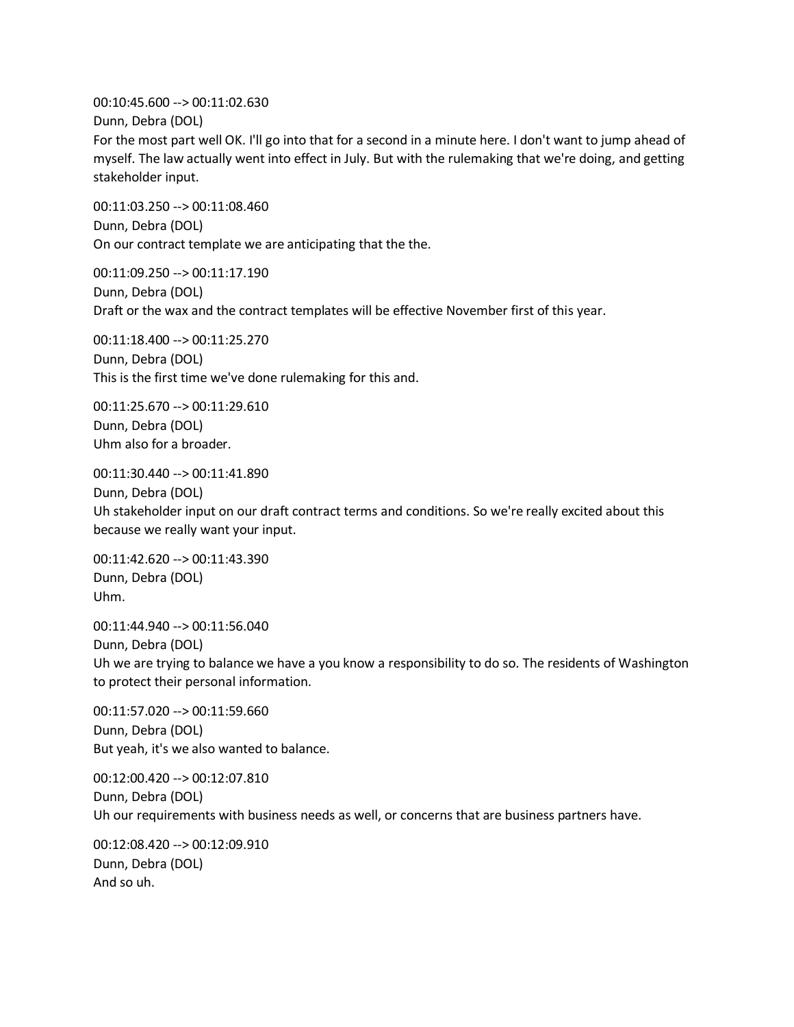00:10:45.600 --> 00:11:02.630 Dunn, Debra (DOL) For the most part well OK. I'll go into that for a second in a minute here. I don't want to jump ahead of myself. The law actually went into effect in July. But with the rulemaking that we're doing, and getting stakeholder input.

00:11:03.250 --> 00:11:08.460 Dunn, Debra (DOL) On our contract template we are anticipating that the the.

00:11:09.250 --> 00:11:17.190 Dunn, Debra (DOL) Draft or the wax and the contract templates will be effective November first of this year.

00:11:18.400 --> 00:11:25.270 Dunn, Debra (DOL) This is the first time we've done rulemaking for this and.

00:11:25.670 --> 00:11:29.610 Dunn, Debra (DOL) Uhm also for a broader.

00:11:30.440 --> 00:11:41.890

Dunn, Debra (DOL) Uh stakeholder input on our draft contract terms and conditions. So we're really excited about this because we really want your input.

00:11:42.620 --> 00:11:43.390 Dunn, Debra (DOL) Uhm.

00:11:44.940 --> 00:11:56.040 Dunn, Debra (DOL) Uh we are trying to balance we have a you know a responsibility to do so. The residents of Washington to protect their personal information.

00:11:57.020 --> 00:11:59.660 Dunn, Debra (DOL) But yeah, it's we also wanted to balance.

00:12:00.420 --> 00:12:07.810 Dunn, Debra (DOL) Uh our requirements with business needs as well, or concerns that are business partners have.

00:12:08.420 --> 00:12:09.910 Dunn, Debra (DOL) And so uh.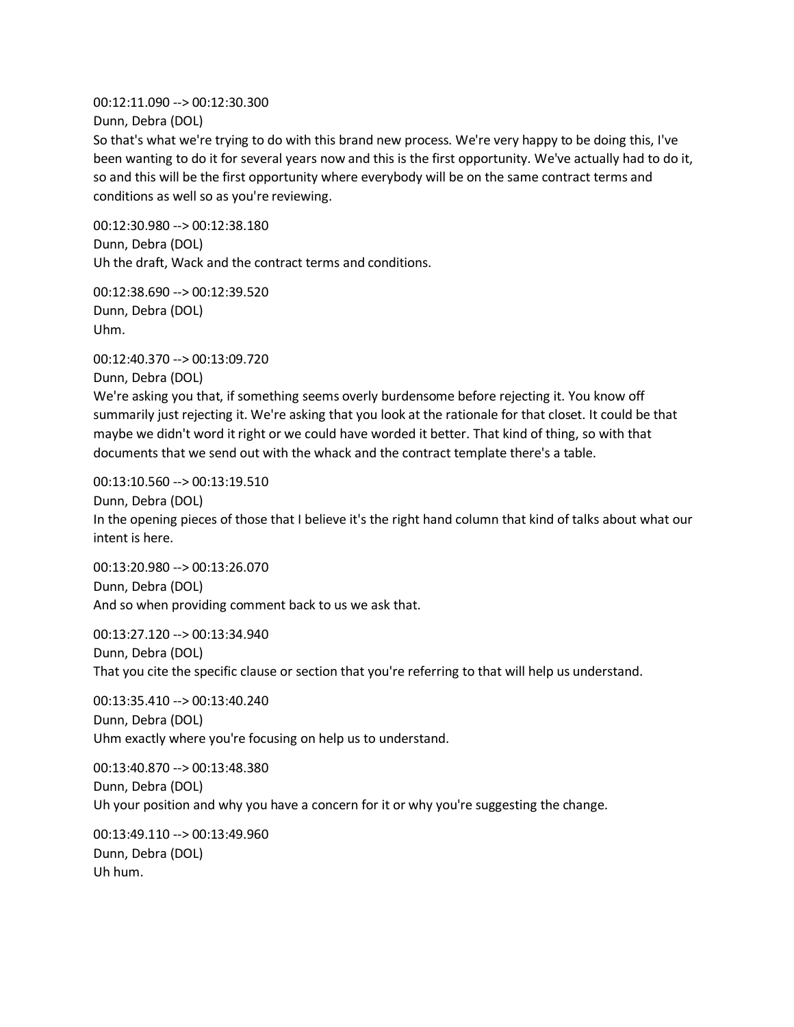00:12:11.090 --> 00:12:30.300 Dunn, Debra (DOL)

So that's what we're trying to do with this brand new process. We're very happy to be doing this, I've been wanting to do it for several years now and this is the first opportunity. We've actually had to do it, so and this will be the first opportunity where everybody will be on the same contract terms and conditions as well so as you're reviewing.

00:12:30.980 --> 00:12:38.180 Dunn, Debra (DOL) Uh the draft, Wack and the contract terms and conditions.

00:12:38.690 --> 00:12:39.520 Dunn, Debra (DOL) Uhm.

00:12:40.370 --> 00:13:09.720 Dunn, Debra (DOL) We're asking you that, if something seems overly burdensome before rejecting it. You know off summarily just rejecting it. We're asking that you look at the rationale for that closet. It could be that maybe we didn't word it right or we could have worded it better. That kind of thing, so with that documents that we send out with the whack and the contract template there's a table.

00:13:10.560 --> 00:13:19.510 Dunn, Debra (DOL) In the opening pieces of those that I believe it's the right hand column that kind of talks about what our intent is here.

00:13:20.980 --> 00:13:26.070 Dunn, Debra (DOL) And so when providing comment back to us we ask that.

00:13:27.120 --> 00:13:34.940 Dunn, Debra (DOL) That you cite the specific clause or section that you're referring to that will help us understand.

00:13:35.410 --> 00:13:40.240 Dunn, Debra (DOL) Uhm exactly where you're focusing on help us to understand.

00:13:40.870 --> 00:13:48.380 Dunn, Debra (DOL) Uh your position and why you have a concern for it or why you're suggesting the change.

00:13:49.110 --> 00:13:49.960 Dunn, Debra (DOL) Uh hum.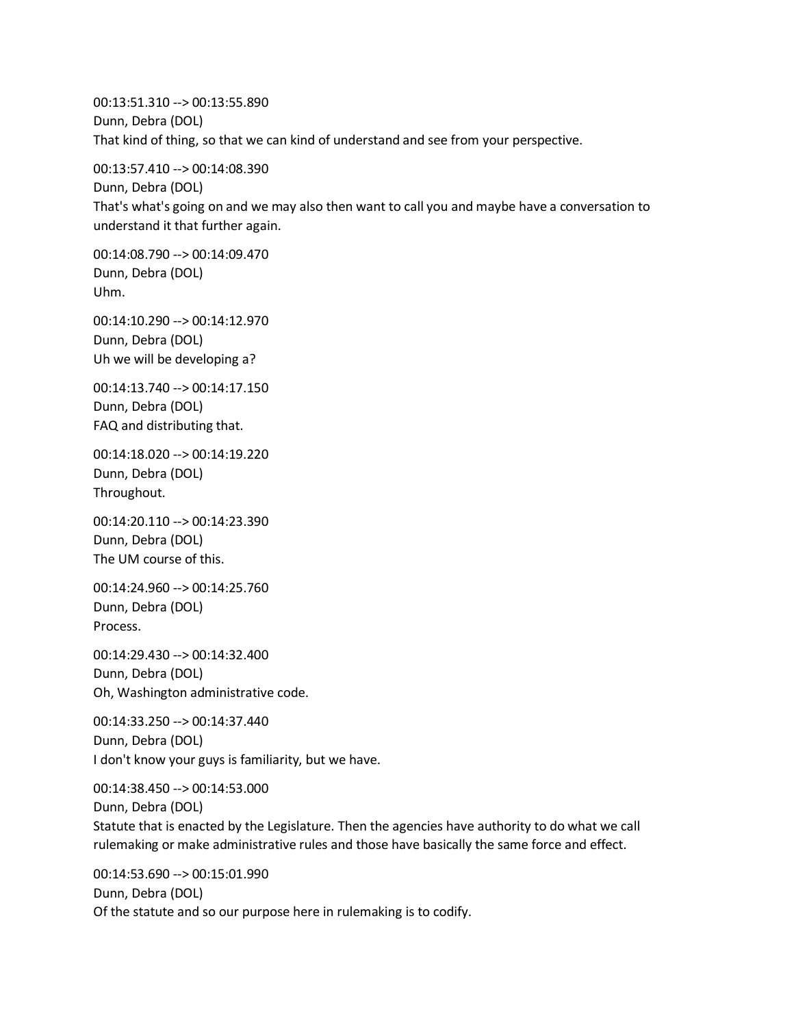00:13:51.310 --> 00:13:55.890 Dunn, Debra (DOL) That kind of thing, so that we can kind of understand and see from your perspective.

00:13:57.410 --> 00:14:08.390 Dunn, Debra (DOL) That's what's going on and we may also then want to call you and maybe have a conversation to understand it that further again.

00:14:08.790 --> 00:14:09.470 Dunn, Debra (DOL) Uhm.

00:14:10.290 --> 00:14:12.970 Dunn, Debra (DOL) Uh we will be developing a?

00:14:13.740 --> 00:14:17.150 Dunn, Debra (DOL) FAQ and distributing that.

00:14:18.020 --> 00:14:19.220 Dunn, Debra (DOL) Throughout.

00:14:20.110 --> 00:14:23.390 Dunn, Debra (DOL) The UM course of this.

00:14:24.960 --> 00:14:25.760 Dunn, Debra (DOL) Process.

00:14:29.430 --> 00:14:32.400 Dunn, Debra (DOL) Oh, Washington administrative code.

00:14:33.250 --> 00:14:37.440 Dunn, Debra (DOL) I don't know your guys is familiarity, but we have.

00:14:38.450 --> 00:14:53.000 Dunn, Debra (DOL) Statute that is enacted by the Legislature. Then the agencies have authority to do what we call rulemaking or make administrative rules and those have basically the same force and effect.

00:14:53.690 --> 00:15:01.990 Dunn, Debra (DOL) Of the statute and so our purpose here in rulemaking is to codify.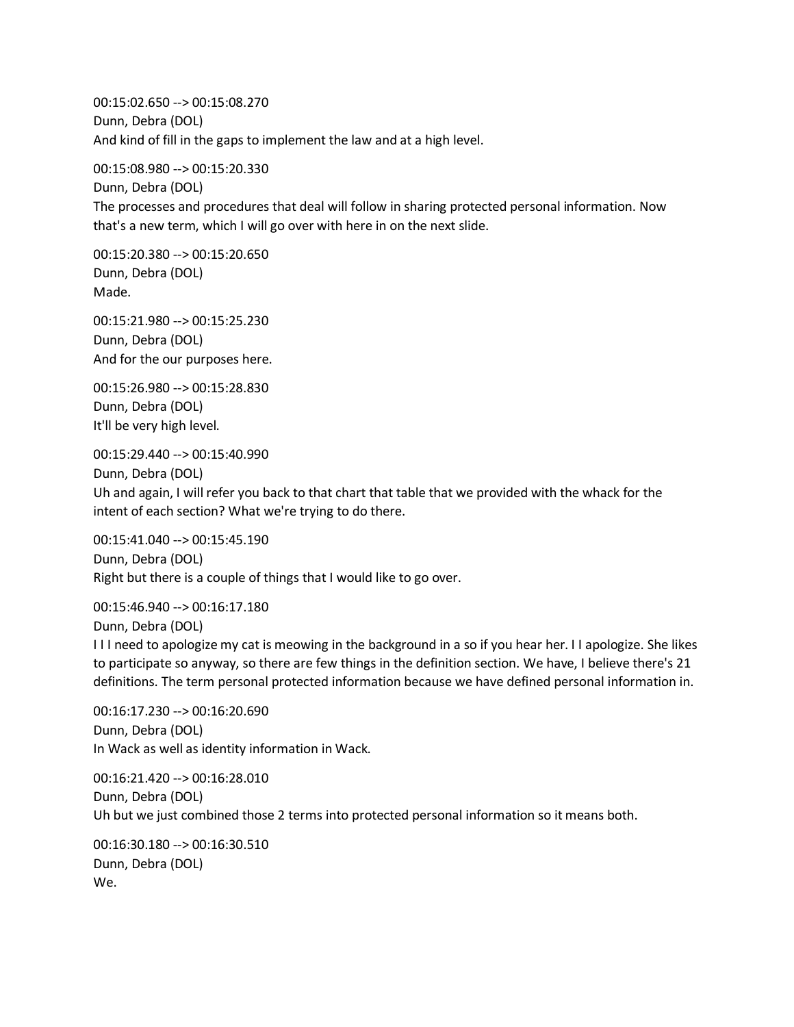00:15:02.650 --> 00:15:08.270 Dunn, Debra (DOL) And kind of fill in the gaps to implement the law and at a high level.

00:15:08.980 --> 00:15:20.330

Dunn, Debra (DOL) The processes and procedures that deal will follow in sharing protected personal information. Now that's a new term, which I will go over with here in on the next slide.

00:15:20.380 --> 00:15:20.650 Dunn, Debra (DOL) Made.

00:15:21.980 --> 00:15:25.230 Dunn, Debra (DOL) And for the our purposes here.

00:15:26.980 --> 00:15:28.830 Dunn, Debra (DOL) It'll be very high level.

00:15:29.440 --> 00:15:40.990

Dunn, Debra (DOL)

Uh and again, I will refer you back to that chart that table that we provided with the whack for the intent of each section? What we're trying to do there.

00:15:41.040 --> 00:15:45.190 Dunn, Debra (DOL) Right but there is a couple of things that I would like to go over.

00:15:46.940 --> 00:16:17.180 Dunn, Debra (DOL)

I I I need to apologize my cat is meowing in the background in a so if you hear her. I I apologize. She likes to participate so anyway, so there are few things in the definition section. We have, I believe there's 21 definitions. The term personal protected information because we have defined personal information in.

00:16:17.230 --> 00:16:20.690 Dunn, Debra (DOL) In Wack as well as identity information in Wack.

00:16:21.420 --> 00:16:28.010 Dunn, Debra (DOL) Uh but we just combined those 2 terms into protected personal information so it means both.

00:16:30.180 --> 00:16:30.510 Dunn, Debra (DOL) We.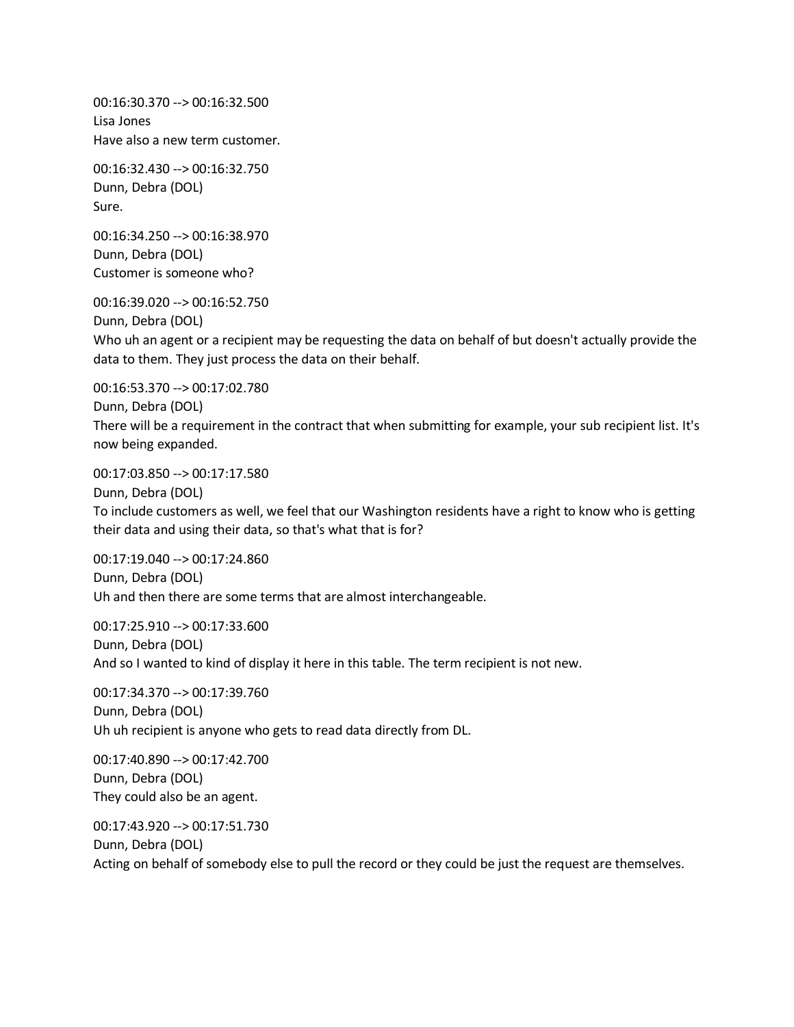00:16:30.370 --> 00:16:32.500 Lisa Jones Have also a new term customer.

00:16:32.430 --> 00:16:32.750 Dunn, Debra (DOL) Sure.

00:16:34.250 --> 00:16:38.970 Dunn, Debra (DOL) Customer is someone who?

00:16:39.020 --> 00:16:52.750

Dunn, Debra (DOL) Who uh an agent or a recipient may be requesting the data on behalf of but doesn't actually provide the data to them. They just process the data on their behalf.

00:16:53.370 --> 00:17:02.780 Dunn, Debra (DOL) There will be a requirement in the contract that when submitting for example, your sub recipient list. It's now being expanded.

00:17:03.850 --> 00:17:17.580

Dunn, Debra (DOL) To include customers as well, we feel that our Washington residents have a right to know who is getting their data and using their data, so that's what that is for?

00:17:19.040 --> 00:17:24.860 Dunn, Debra (DOL) Uh and then there are some terms that are almost interchangeable.

00:17:25.910 --> 00:17:33.600 Dunn, Debra (DOL) And so I wanted to kind of display it here in this table. The term recipient is not new.

00:17:34.370 --> 00:17:39.760 Dunn, Debra (DOL) Uh uh recipient is anyone who gets to read data directly from DL.

00:17:40.890 --> 00:17:42.700 Dunn, Debra (DOL) They could also be an agent.

00:17:43.920 --> 00:17:51.730 Dunn, Debra (DOL) Acting on behalf of somebody else to pull the record or they could be just the request are themselves.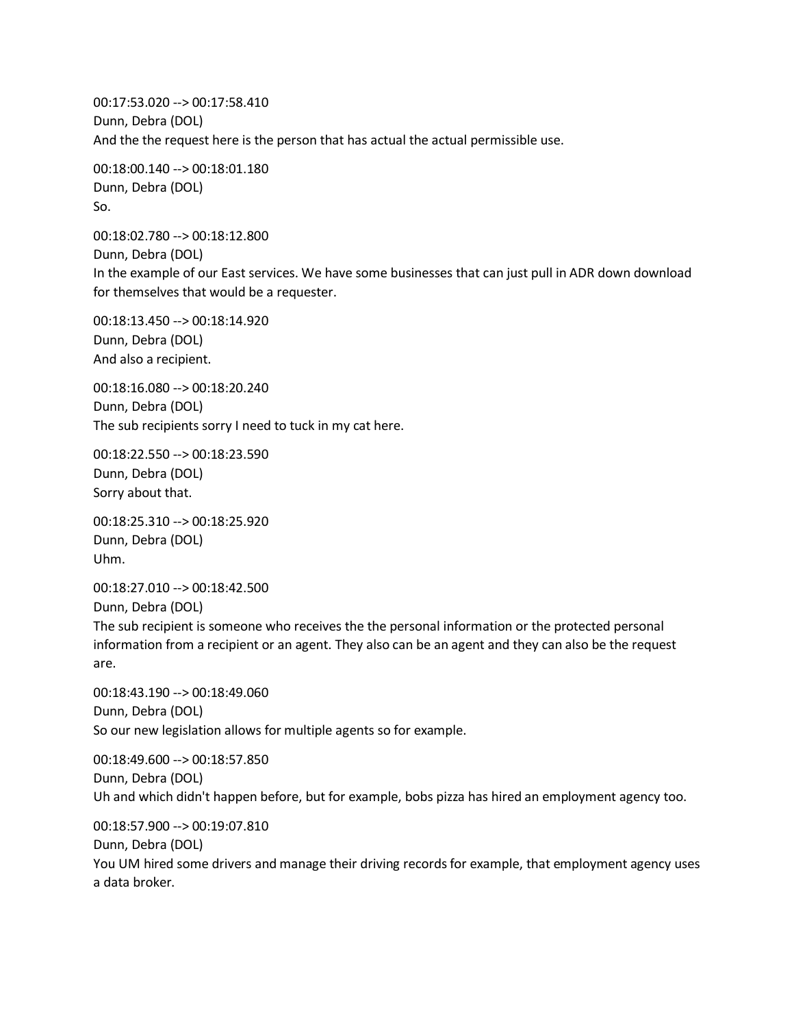00:17:53.020 --> 00:17:58.410 Dunn, Debra (DOL) And the the request here is the person that has actual the actual permissible use.

00:18:00.140 --> 00:18:01.180 Dunn, Debra (DOL) So.

00:18:02.780 --> 00:18:12.800 Dunn, Debra (DOL) In the example of our East services. We have some businesses that can just pull in ADR down download for themselves that would be a requester.

00:18:13.450 --> 00:18:14.920 Dunn, Debra (DOL) And also a recipient.

00:18:16.080 --> 00:18:20.240 Dunn, Debra (DOL) The sub recipients sorry I need to tuck in my cat here.

00:18:22.550 --> 00:18:23.590 Dunn, Debra (DOL) Sorry about that.

00:18:25.310 --> 00:18:25.920 Dunn, Debra (DOL) Uhm.

00:18:27.010 --> 00:18:42.500

Dunn, Debra (DOL)

The sub recipient is someone who receives the the personal information or the protected personal information from a recipient or an agent. They also can be an agent and they can also be the request are.

00:18:43.190 --> 00:18:49.060 Dunn, Debra (DOL) So our new legislation allows for multiple agents so for example.

00:18:49.600 --> 00:18:57.850 Dunn, Debra (DOL) Uh and which didn't happen before, but for example, bobs pizza has hired an employment agency too.

00:18:57.900 --> 00:19:07.810

Dunn, Debra (DOL)

You UM hired some drivers and manage their driving records for example, that employment agency uses a data broker.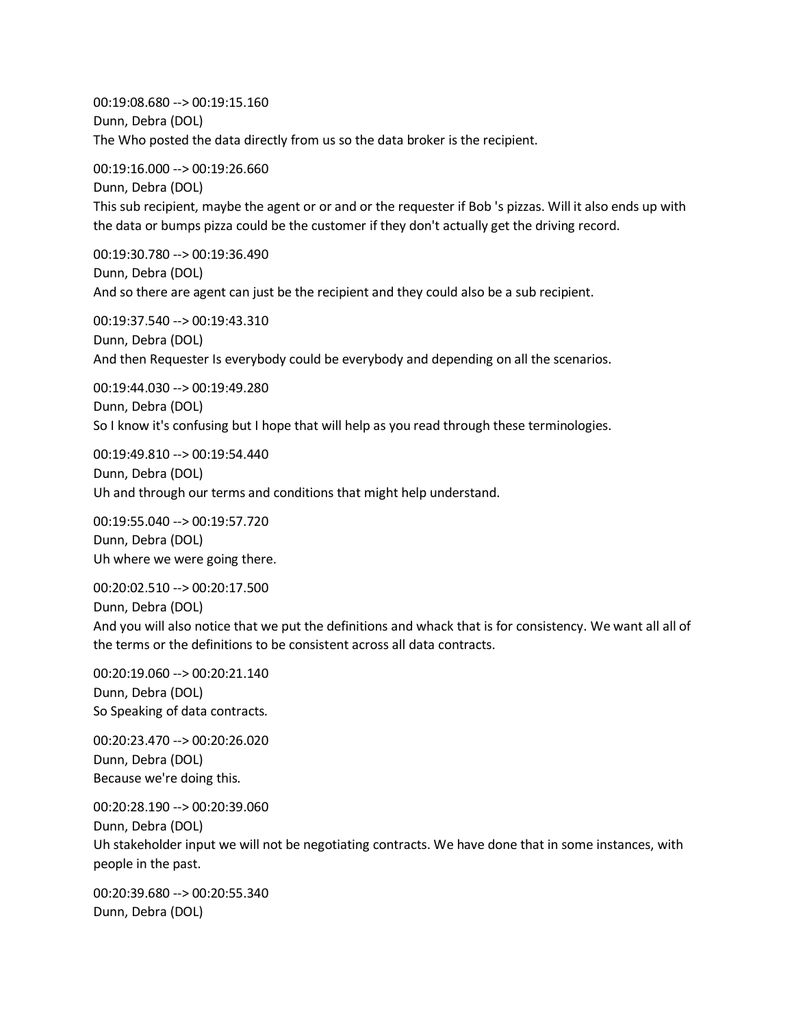00:19:08.680 --> 00:19:15.160 Dunn, Debra (DOL) The Who posted the data directly from us so the data broker is the recipient.

00:19:16.000 --> 00:19:26.660 Dunn, Debra (DOL) This sub recipient, maybe the agent or or and or the requester if Bob 's pizzas. Will it also ends up with the data or bumps pizza could be the customer if they don't actually get the driving record.

00:19:30.780 --> 00:19:36.490 Dunn, Debra (DOL) And so there are agent can just be the recipient and they could also be a sub recipient.

00:19:37.540 --> 00:19:43.310 Dunn, Debra (DOL) And then Requester Is everybody could be everybody and depending on all the scenarios.

00:19:44.030 --> 00:19:49.280 Dunn, Debra (DOL) So I know it's confusing but I hope that will help as you read through these terminologies.

00:19:49.810 --> 00:19:54.440 Dunn, Debra (DOL) Uh and through our terms and conditions that might help understand.

00:19:55.040 --> 00:19:57.720 Dunn, Debra (DOL) Uh where we were going there.

00:20:02.510 --> 00:20:17.500 Dunn, Debra (DOL) And you will also notice that we put the definitions and whack that is for consistency. We want all all of the terms or the definitions to be consistent across all data contracts.

00:20:19.060 --> 00:20:21.140 Dunn, Debra (DOL) So Speaking of data contracts.

00:20:23.470 --> 00:20:26.020 Dunn, Debra (DOL) Because we're doing this.

00:20:28.190 --> 00:20:39.060 Dunn, Debra (DOL) Uh stakeholder input we will not be negotiating contracts. We have done that in some instances, with people in the past.

00:20:39.680 --> 00:20:55.340 Dunn, Debra (DOL)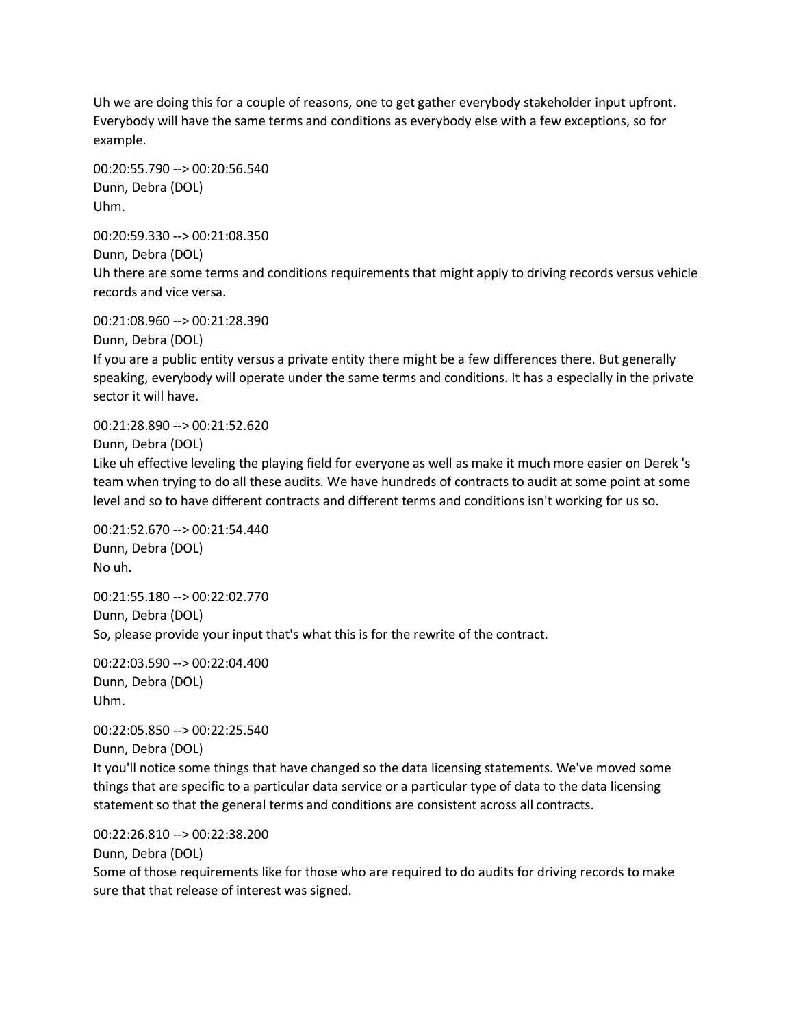Uh we are doing this for a couple of reasons, one to get gather everybody stakeholder input upfront. Everybody will have the same terms and conditions as everybody else with a few exceptions, so for example.

00:20:55.790 --> 00:20:56.540 Dunn, Debra (DOL) Uhm.

00:20:59.330 --> 00:21:08.350 Dunn, Debra (DOL) Uh there are some terms and conditions requirements that might apply to driving records versus vehicle records and vice versa.

00:21:08.960 --> 00:21:28.390

Dunn, Debra (DOL)

If you are a public entity versus a private entity there might be a few differences there. But generally speaking, everybody will operate under the same terms and conditions. It has a especially in the private sector it will have.

00:21:28.890 --> 00:21:52.620

Dunn, Debra (DOL)

Like uh effective leveling the playing field for everyone as well as make it much more easier on Derek 's team when trying to do all these audits. We have hundreds of contracts to audit at some point at some level and so to have different contracts and different terms and conditions isn't working for us so.

00:21:52.670 --> 00:21:54.440 Dunn, Debra (DOL) No uh.

00:21:55.180 --> 00:22:02.770 Dunn, Debra (DOL) So, please provide your input that's what this is for the rewrite of the contract.

00:22:03.590 --> 00:22:04.400 Dunn, Debra (DOL) Uhm.

00:22:05.850 --> 00:22:25.540

Dunn, Debra (DOL)

It you'll notice some things that have changed so the data licensing statements. We've moved some things that are specific to a particular data service or a particular type of data to the data licensing statement so that the general terms and conditions are consistent across all contracts.

00:22:26.810 --> 00:22:38.200 Dunn, Debra (DOL)

Some of those requirements like for those who are required to do audits for driving records to make sure that that release of interest was signed.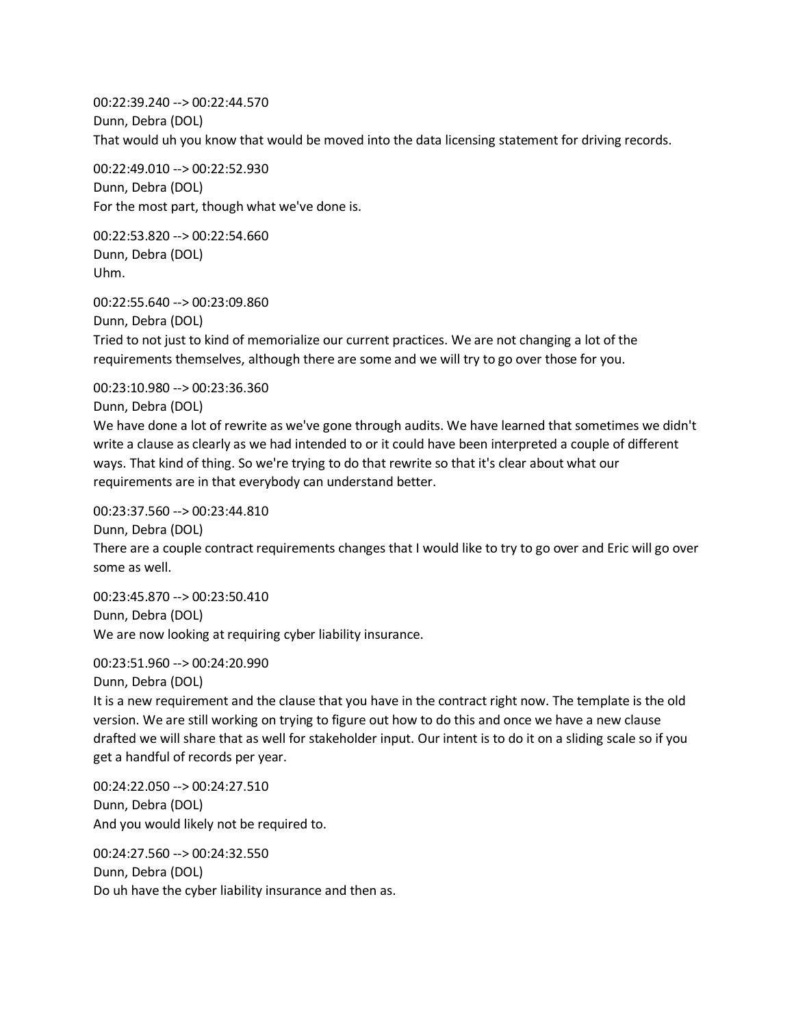00:22:39.240 --> 00:22:44.570 Dunn, Debra (DOL) That would uh you know that would be moved into the data licensing statement for driving records.

00:22:49.010 --> 00:22:52.930 Dunn, Debra (DOL) For the most part, though what we've done is.

00:22:53.820 --> 00:22:54.660 Dunn, Debra (DOL) Uhm.

00:22:55.640 --> 00:23:09.860 Dunn, Debra (DOL) Tried to not just to kind of memorialize our current practices. We are not changing a lot of the requirements themselves, although there are some and we will try to go over those for you.

00:23:10.980 --> 00:23:36.360

Dunn, Debra (DOL)

We have done a lot of rewrite as we've gone through audits. We have learned that sometimes we didn't write a clause as clearly as we had intended to or it could have been interpreted a couple of different ways. That kind of thing. So we're trying to do that rewrite so that it's clear about what our requirements are in that everybody can understand better.

00:23:37.560 --> 00:23:44.810

Dunn, Debra (DOL) There are a couple contract requirements changes that I would like to try to go over and Eric will go over some as well.

00:23:45.870 --> 00:23:50.410 Dunn, Debra (DOL) We are now looking at requiring cyber liability insurance.

00:23:51.960 --> 00:24:20.990

Dunn, Debra (DOL)

It is a new requirement and the clause that you have in the contract right now. The template is the old version. We are still working on trying to figure out how to do this and once we have a new clause drafted we will share that as well for stakeholder input. Our intent is to do it on a sliding scale so if you get a handful of records per year.

00:24:22.050 --> 00:24:27.510 Dunn, Debra (DOL) And you would likely not be required to.

00:24:27.560 --> 00:24:32.550 Dunn, Debra (DOL) Do uh have the cyber liability insurance and then as.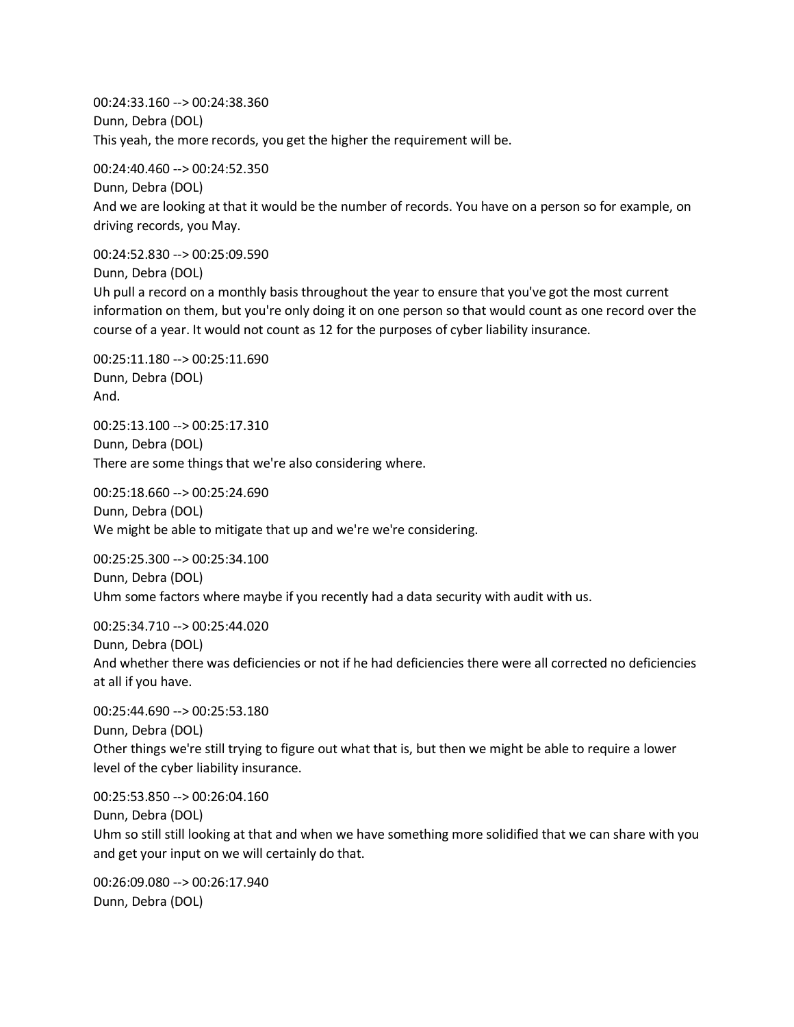00:24:33.160 --> 00:24:38.360 Dunn, Debra (DOL) This yeah, the more records, you get the higher the requirement will be.

00:24:40.460 --> 00:24:52.350 Dunn, Debra (DOL) And we are looking at that it would be the number of records. You have on a person so for example, on driving records, you May.

00:24:52.830 --> 00:25:09.590

Dunn, Debra (DOL)

Uh pull a record on a monthly basis throughout the year to ensure that you've got the most current information on them, but you're only doing it on one person so that would count as one record over the course of a year. It would not count as 12 for the purposes of cyber liability insurance.

00:25:11.180 --> 00:25:11.690 Dunn, Debra (DOL) And.

00:25:13.100 --> 00:25:17.310 Dunn, Debra (DOL) There are some things that we're also considering where.

00:25:18.660 --> 00:25:24.690 Dunn, Debra (DOL) We might be able to mitigate that up and we're we're considering.

00:25:25.300 --> 00:25:34.100 Dunn, Debra (DOL) Uhm some factors where maybe if you recently had a data security with audit with us.

00:25:34.710 --> 00:25:44.020

Dunn, Debra (DOL)

And whether there was deficiencies or not if he had deficiencies there were all corrected no deficiencies at all if you have.

00:25:44.690 --> 00:25:53.180 Dunn, Debra (DOL) Other things we're still trying to figure out what that is, but then we might be able to require a lower level of the cyber liability insurance.

00:25:53.850 --> 00:26:04.160 Dunn, Debra (DOL) Uhm so still still looking at that and when we have something more solidified that we can share with you and get your input on we will certainly do that.

00:26:09.080 --> 00:26:17.940 Dunn, Debra (DOL)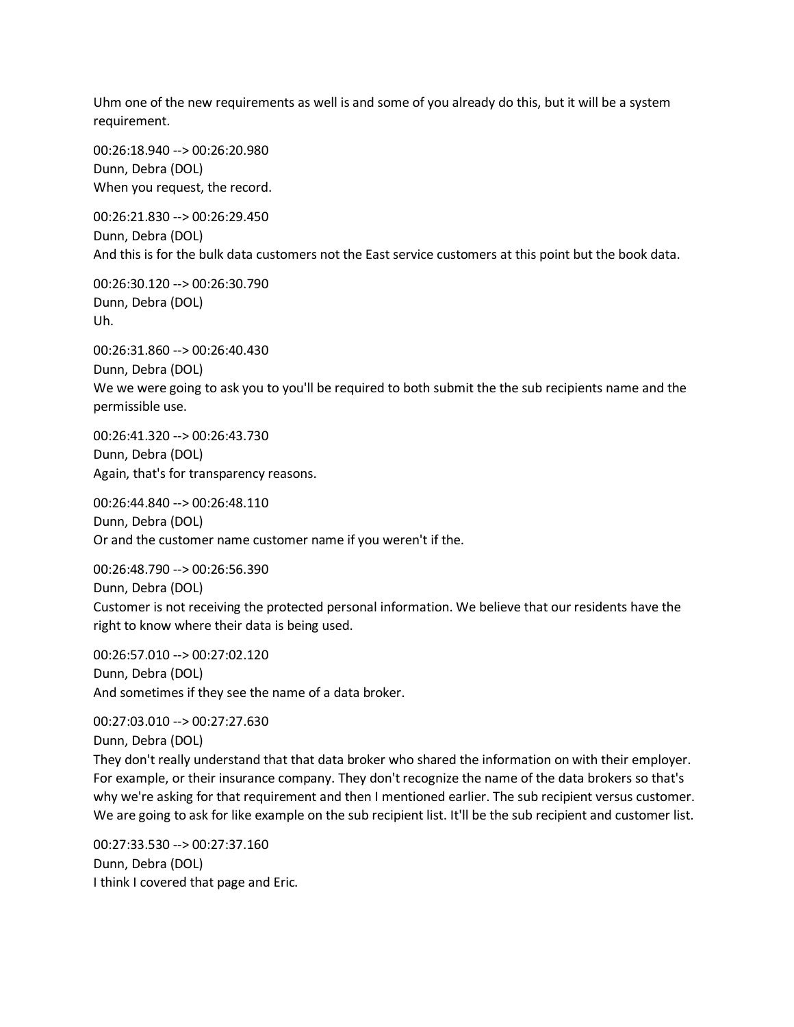Uhm one of the new requirements as well is and some of you already do this, but it will be a system requirement.

00:26:18.940 --> 00:26:20.980 Dunn, Debra (DOL) When you request, the record.

00:26:21.830 --> 00:26:29.450 Dunn, Debra (DOL) And this is for the bulk data customers not the East service customers at this point but the book data.

00:26:30.120 --> 00:26:30.790 Dunn, Debra (DOL) Uh.

00:26:31.860 --> 00:26:40.430 Dunn, Debra (DOL) We we were going to ask you to you'll be required to both submit the the sub recipients name and the permissible use.

00:26:41.320 --> 00:26:43.730 Dunn, Debra (DOL) Again, that's for transparency reasons.

00:26:44.840 --> 00:26:48.110 Dunn, Debra (DOL) Or and the customer name customer name if you weren't if the.

00:26:48.790 --> 00:26:56.390 Dunn, Debra (DOL) Customer is not receiving the protected personal information. We believe that our residents have the right to know where their data is being used.

00:26:57.010 --> 00:27:02.120 Dunn, Debra (DOL) And sometimes if they see the name of a data broker.

00:27:03.010 --> 00:27:27.630 Dunn, Debra (DOL) They don't really understand that that data broker who shared the information on with their employer. For example, or their insurance company. They don't recognize the name of the data brokers so that's why we're asking for that requirement and then I mentioned earlier. The sub recipient versus customer. We are going to ask for like example on the sub recipient list. It'll be the sub recipient and customer list.

00:27:33.530 --> 00:27:37.160 Dunn, Debra (DOL) I think I covered that page and Eric.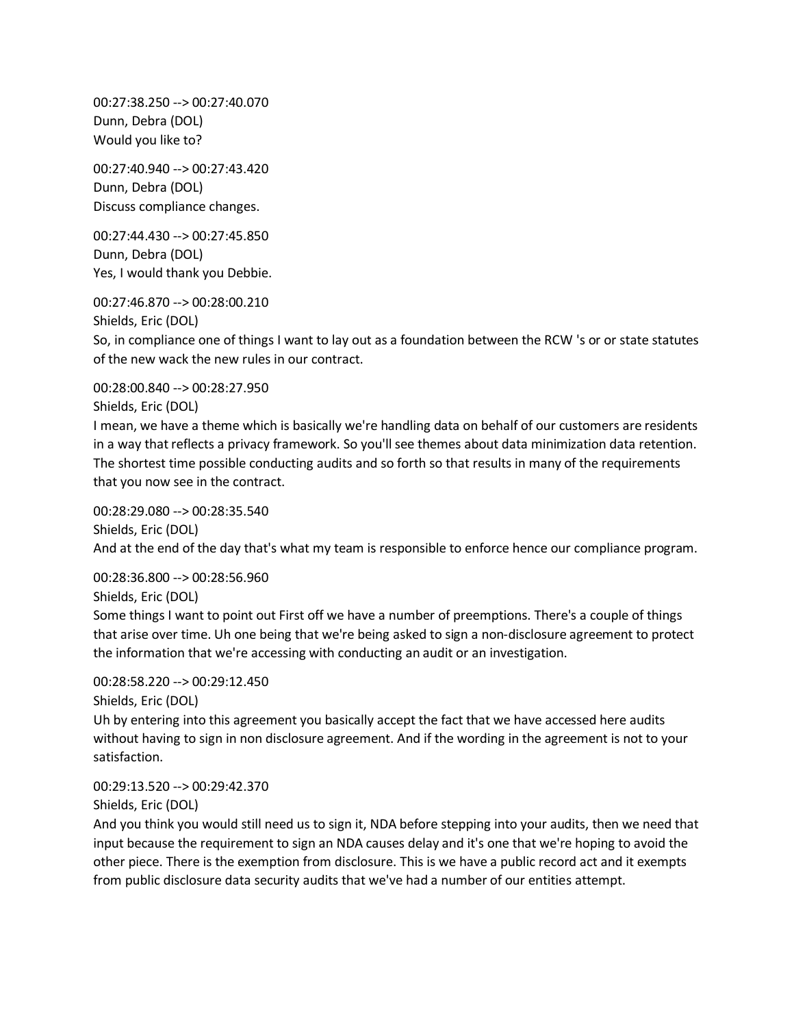00:27:38.250 --> 00:27:40.070 Dunn, Debra (DOL) Would you like to?

00:27:40.940 --> 00:27:43.420 Dunn, Debra (DOL) Discuss compliance changes.

00:27:44.430 --> 00:27:45.850 Dunn, Debra (DOL) Yes, I would thank you Debbie.

00:27:46.870 --> 00:28:00.210

Shields, Eric (DOL)

So, in compliance one of things I want to lay out as a foundation between the RCW 's or or state statutes of the new wack the new rules in our contract.

00:28:00.840 --> 00:28:27.950

Shields, Eric (DOL)

I mean, we have a theme which is basically we're handling data on behalf of our customers are residents in a way that reflects a privacy framework. So you'll see themes about data minimization data retention. The shortest time possible conducting audits and so forth so that results in many of the requirements that you now see in the contract.

00:28:29.080 --> 00:28:35.540 Shields, Eric (DOL) And at the end of the day that's what my team is responsible to enforce hence our compliance program.

00:28:36.800 --> 00:28:56.960

Shields, Eric (DOL)

Some things I want to point out First off we have a number of preemptions. There's a couple of things that arise over time. Uh one being that we're being asked to sign a non-disclosure agreement to protect the information that we're accessing with conducting an audit or an investigation.

## 00:28:58.220 --> 00:29:12.450

Shields, Eric (DOL)

Uh by entering into this agreement you basically accept the fact that we have accessed here audits without having to sign in non disclosure agreement. And if the wording in the agreement is not to your satisfaction.

## 00:29:13.520 --> 00:29:42.370

Shields, Eric (DOL)

And you think you would still need us to sign it, NDA before stepping into your audits, then we need that input because the requirement to sign an NDA causes delay and it's one that we're hoping to avoid the other piece. There is the exemption from disclosure. This is we have a public record act and it exempts from public disclosure data security audits that we've had a number of our entities attempt.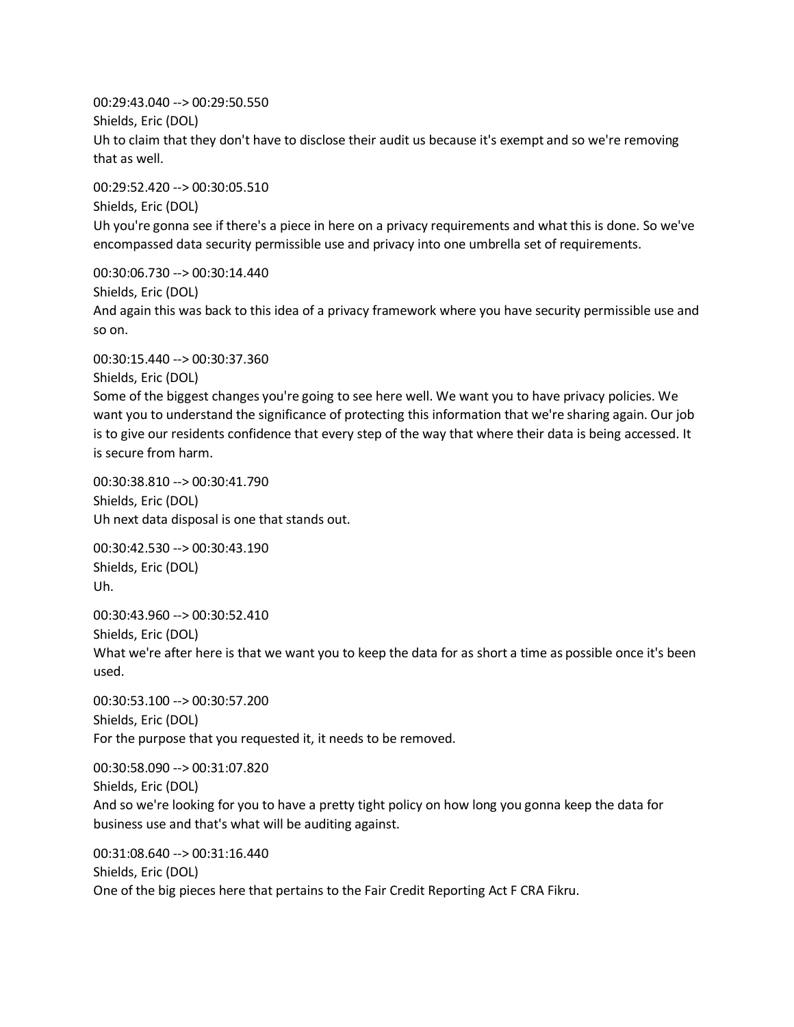00:29:43.040 --> 00:29:50.550 Shields, Eric (DOL) Uh to claim that they don't have to disclose their audit us because it's exempt and so we're removing that as well.

00:29:52.420 --> 00:30:05.510 Shields, Eric (DOL) Uh you're gonna see if there's a piece in here on a privacy requirements and what this is done. So we've encompassed data security permissible use and privacy into one umbrella set of requirements.

00:30:06.730 --> 00:30:14.440 Shields, Eric (DOL) And again this was back to this idea of a privacy framework where you have security permissible use and so on.

00:30:15.440 --> 00:30:37.360 Shields, Eric (DOL) Some of the biggest changes you're going to see here well. We want you to have privacy policies. We want you to understand the significance of protecting this information that we're sharing again. Our job is to give our residents confidence that every step of the way that where their data is being accessed. It is secure from harm.

00:30:38.810 --> 00:30:41.790 Shields, Eric (DOL) Uh next data disposal is one that stands out.

00:30:42.530 --> 00:30:43.190 Shields, Eric (DOL) Uh.

00:30:43.960 --> 00:30:52.410 Shields, Eric (DOL) What we're after here is that we want you to keep the data for as short a time as possible once it's been used.

00:30:53.100 --> 00:30:57.200 Shields, Eric (DOL) For the purpose that you requested it, it needs to be removed.

00:30:58.090 --> 00:31:07.820 Shields, Eric (DOL) And so we're looking for you to have a pretty tight policy on how long you gonna keep the data for business use and that's what will be auditing against.

00:31:08.640 --> 00:31:16.440 Shields, Eric (DOL) One of the big pieces here that pertains to the Fair Credit Reporting Act F CRA Fikru.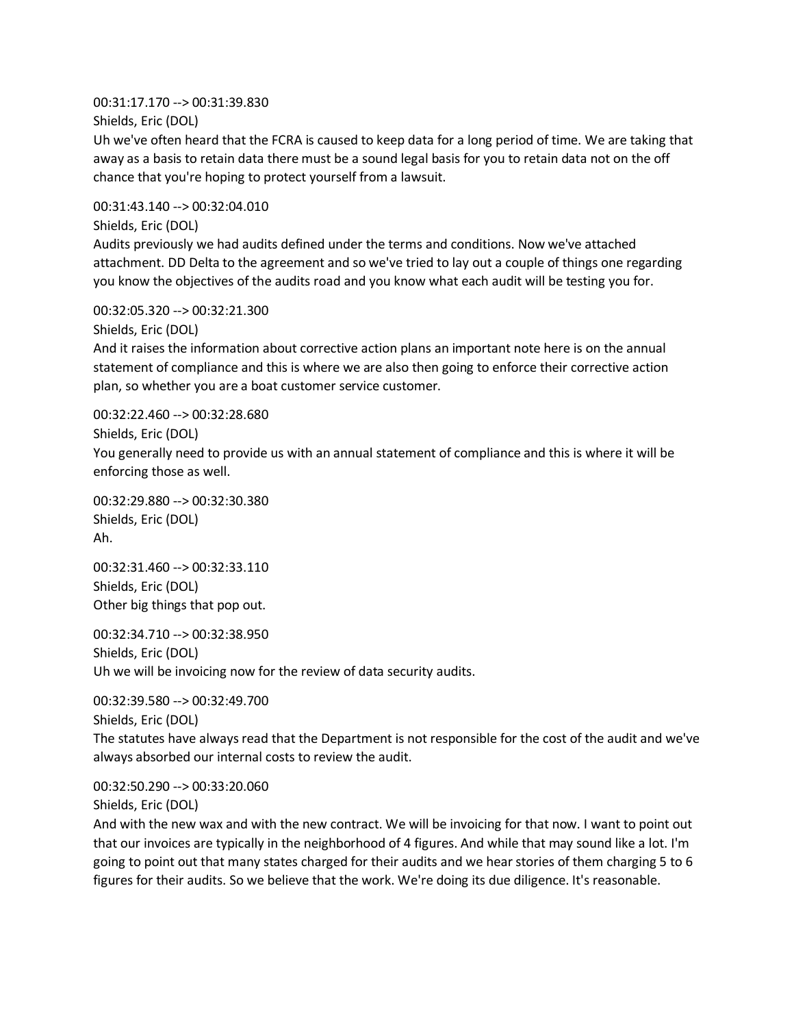00:31:17.170 --> 00:31:39.830 Shields, Eric (DOL)

Uh we've often heard that the FCRA is caused to keep data for a long period of time. We are taking that away as a basis to retain data there must be a sound legal basis for you to retain data not on the off chance that you're hoping to protect yourself from a lawsuit.

00:31:43.140 --> 00:32:04.010

Shields, Eric (DOL)

Audits previously we had audits defined under the terms and conditions. Now we've attached attachment. DD Delta to the agreement and so we've tried to lay out a couple of things one regarding you know the objectives of the audits road and you know what each audit will be testing you for.

00:32:05.320 --> 00:32:21.300

Shields, Eric (DOL)

And it raises the information about corrective action plans an important note here is on the annual statement of compliance and this is where we are also then going to enforce their corrective action plan, so whether you are a boat customer service customer.

00:32:22.460 --> 00:32:28.680

Shields, Eric (DOL)

You generally need to provide us with an annual statement of compliance and this is where it will be enforcing those as well.

00:32:29.880 --> 00:32:30.380 Shields, Eric (DOL) Ah.

00:32:31.460 --> 00:32:33.110 Shields, Eric (DOL) Other big things that pop out.

00:32:34.710 --> 00:32:38.950 Shields, Eric (DOL) Uh we will be invoicing now for the review of data security audits.

00:32:39.580 --> 00:32:49.700 Shields, Eric (DOL) The statutes have always read that the Department is not responsible for the cost of the audit and we've always absorbed our internal costs to review the audit.

00:32:50.290 --> 00:33:20.060 Shields, Eric (DOL)

And with the new wax and with the new contract. We will be invoicing for that now. I want to point out that our invoices are typically in the neighborhood of 4 figures. And while that may sound like a lot. I'm going to point out that many states charged for their audits and we hear stories of them charging 5 to 6 figures for their audits. So we believe that the work. We're doing its due diligence. It's reasonable.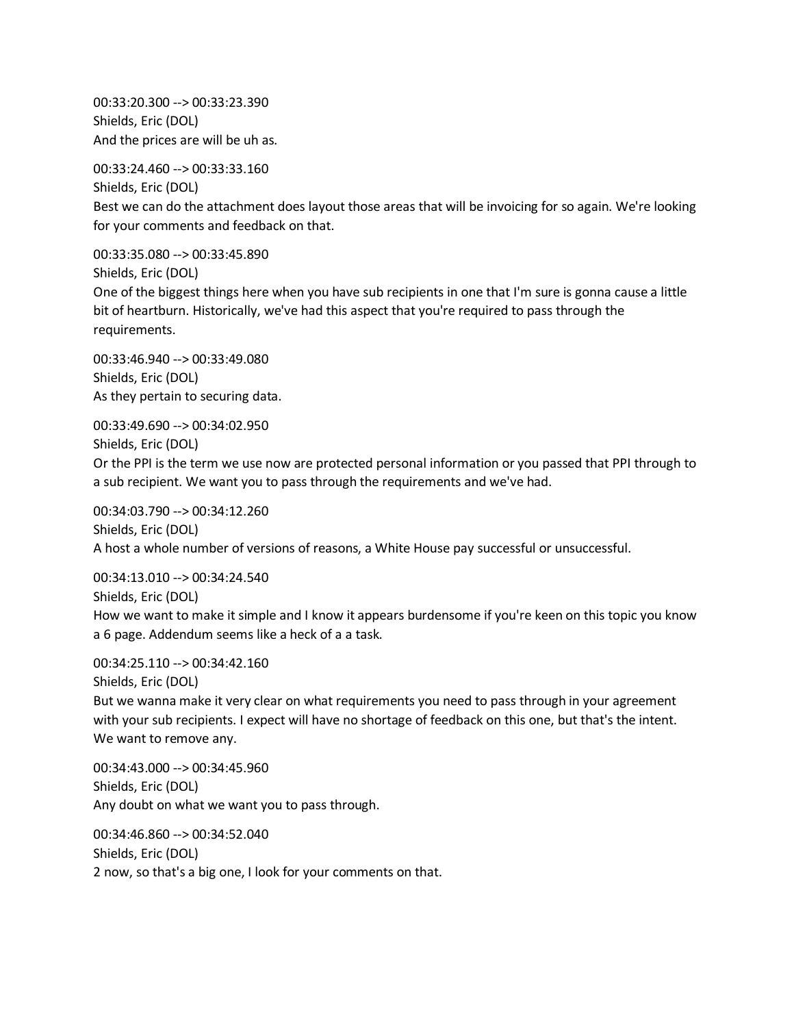00:33:20.300 --> 00:33:23.390 Shields, Eric (DOL) And the prices are will be uh as.

00:33:24.460 --> 00:33:33.160

Shields, Eric (DOL) Best we can do the attachment does layout those areas that will be invoicing for so again. We're looking for your comments and feedback on that.

00:33:35.080 --> 00:33:45.890 Shields, Eric (DOL)

One of the biggest things here when you have sub recipients in one that I'm sure is gonna cause a little bit of heartburn. Historically, we've had this aspect that you're required to pass through the requirements.

00:33:46.940 --> 00:33:49.080 Shields, Eric (DOL) As they pertain to securing data.

00:33:49.690 --> 00:34:02.950 Shields, Eric (DOL) Or the PPI is the term we use now are protected personal information or you passed that PPI through to a sub recipient. We want you to pass through the requirements and we've had.

00:34:03.790 --> 00:34:12.260 Shields, Eric (DOL) A host a whole number of versions of reasons, a White House pay successful or unsuccessful.

00:34:13.010 --> 00:34:24.540 Shields, Eric (DOL) How we want to make it simple and I know it appears burdensome if you're keen on this topic you know a 6 page. Addendum seems like a heck of a a task.

00:34:25.110 --> 00:34:42.160 Shields, Eric (DOL) But we wanna make it very clear on what requirements you need to pass through in your agreement with your sub recipients. I expect will have no shortage of feedback on this one, but that's the intent. We want to remove any.

00:34:43.000 --> 00:34:45.960 Shields, Eric (DOL) Any doubt on what we want you to pass through.

00:34:46.860 --> 00:34:52.040 Shields, Eric (DOL) 2 now, so that's a big one, I look for your comments on that.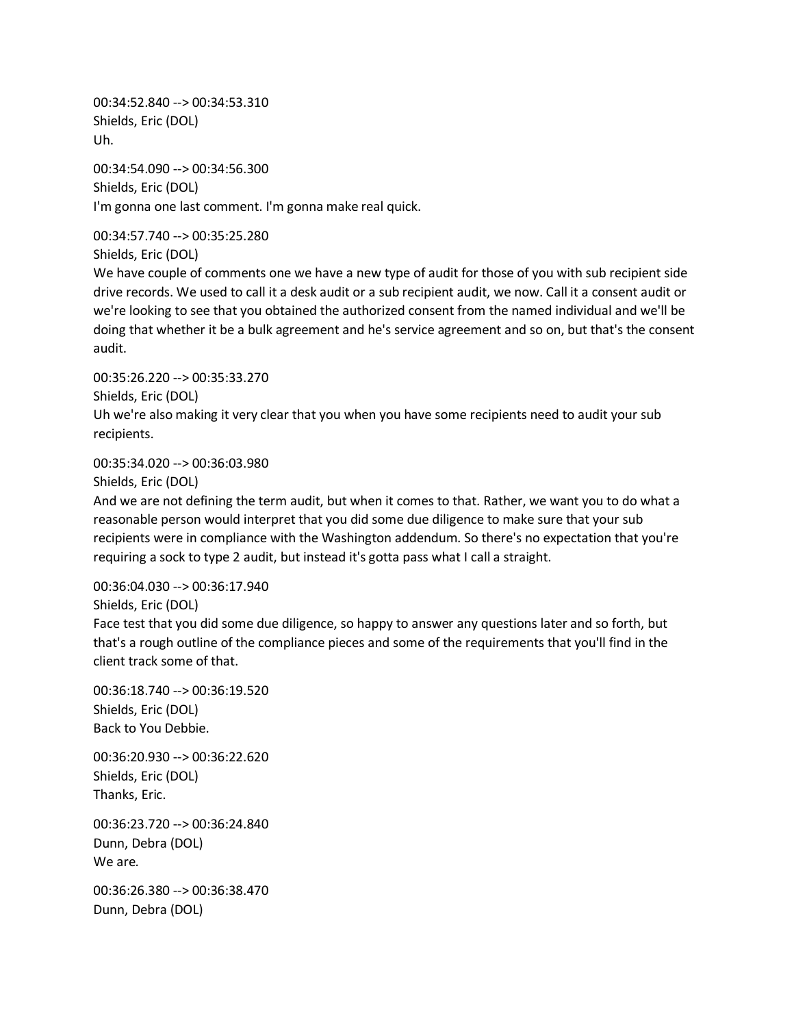00:34:52.840 --> 00:34:53.310 Shields, Eric (DOL) Uh.

00:34:54.090 --> 00:34:56.300 Shields, Eric (DOL) I'm gonna one last comment. I'm gonna make real quick.

00:34:57.740 --> 00:35:25.280 Shields, Eric (DOL)

We have couple of comments one we have a new type of audit for those of you with sub recipient side drive records. We used to call it a desk audit or a sub recipient audit, we now. Call it a consent audit or we're looking to see that you obtained the authorized consent from the named individual and we'll be doing that whether it be a bulk agreement and he's service agreement and so on, but that's the consent audit.

00:35:26.220 --> 00:35:33.270 Shields, Eric (DOL) Uh we're also making it very clear that you when you have some recipients need to audit your sub recipients.

00:35:34.020 --> 00:36:03.980

Shields, Eric (DOL)

And we are not defining the term audit, but when it comes to that. Rather, we want you to do what a reasonable person would interpret that you did some due diligence to make sure that your sub recipients were in compliance with the Washington addendum. So there's no expectation that you're requiring a sock to type 2 audit, but instead it's gotta pass what I call a straight.

00:36:04.030 --> 00:36:17.940

Shields, Eric (DOL)

Face test that you did some due diligence, so happy to answer any questions later and so forth, but that's a rough outline of the compliance pieces and some of the requirements that you'll find in the client track some of that.

00:36:18.740 --> 00:36:19.520 Shields, Eric (DOL) Back to You Debbie.

00:36:20.930 --> 00:36:22.620 Shields, Eric (DOL) Thanks, Eric.

00:36:23.720 --> 00:36:24.840 Dunn, Debra (DOL) We are.

00:36:26.380 --> 00:36:38.470 Dunn, Debra (DOL)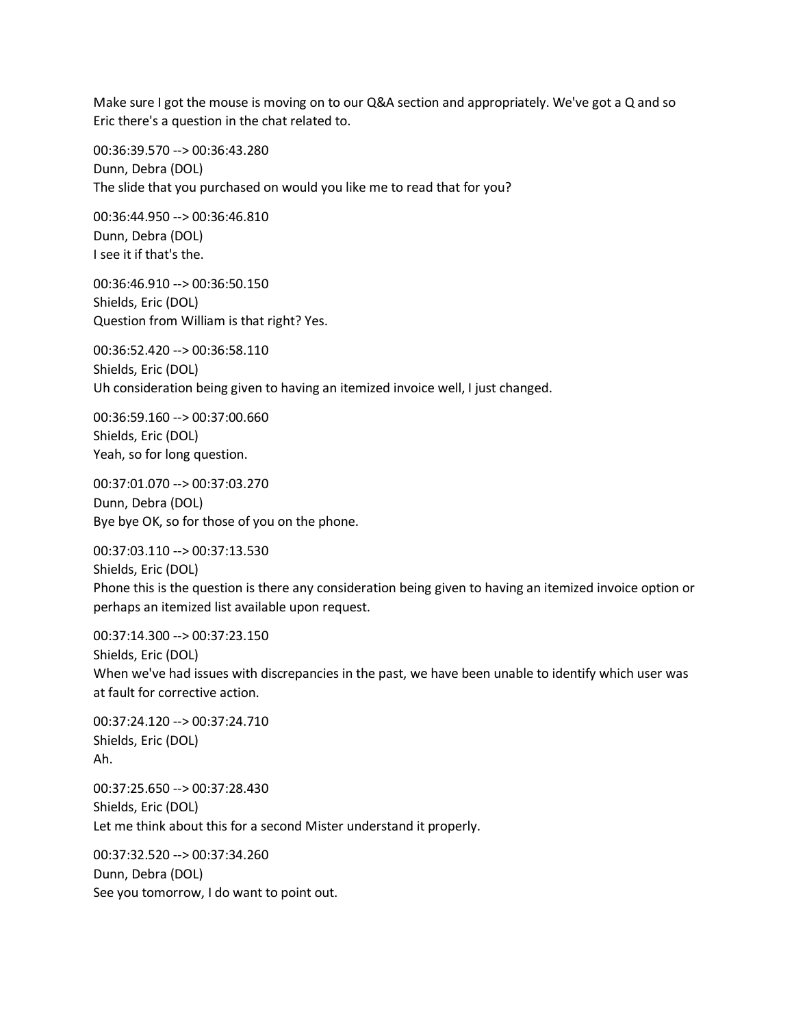Make sure I got the mouse is moving on to our Q&A section and appropriately. We've got a Q and so Eric there's a question in the chat related to.

00:36:39.570 --> 00:36:43.280 Dunn, Debra (DOL) The slide that you purchased on would you like me to read that for you?

00:36:44.950 --> 00:36:46.810 Dunn, Debra (DOL) I see it if that's the.

00:36:46.910 --> 00:36:50.150 Shields, Eric (DOL) Question from William is that right? Yes.

00:36:52.420 --> 00:36:58.110 Shields, Eric (DOL) Uh consideration being given to having an itemized invoice well, I just changed.

00:36:59.160 --> 00:37:00.660 Shields, Eric (DOL) Yeah, so for long question.

00:37:01.070 --> 00:37:03.270 Dunn, Debra (DOL) Bye bye OK, so for those of you on the phone.

00:37:03.110 --> 00:37:13.530 Shields, Eric (DOL) Phone this is the question is there any consideration being given to having an itemized invoice option or perhaps an itemized list available upon request.

00:37:14.300 --> 00:37:23.150 Shields, Eric (DOL) When we've had issues with discrepancies in the past, we have been unable to identify which user was at fault for corrective action.

00:37:24.120 --> 00:37:24.710 Shields, Eric (DOL) Ah.

00:37:25.650 --> 00:37:28.430 Shields, Eric (DOL) Let me think about this for a second Mister understand it properly.

00:37:32.520 --> 00:37:34.260 Dunn, Debra (DOL) See you tomorrow, I do want to point out.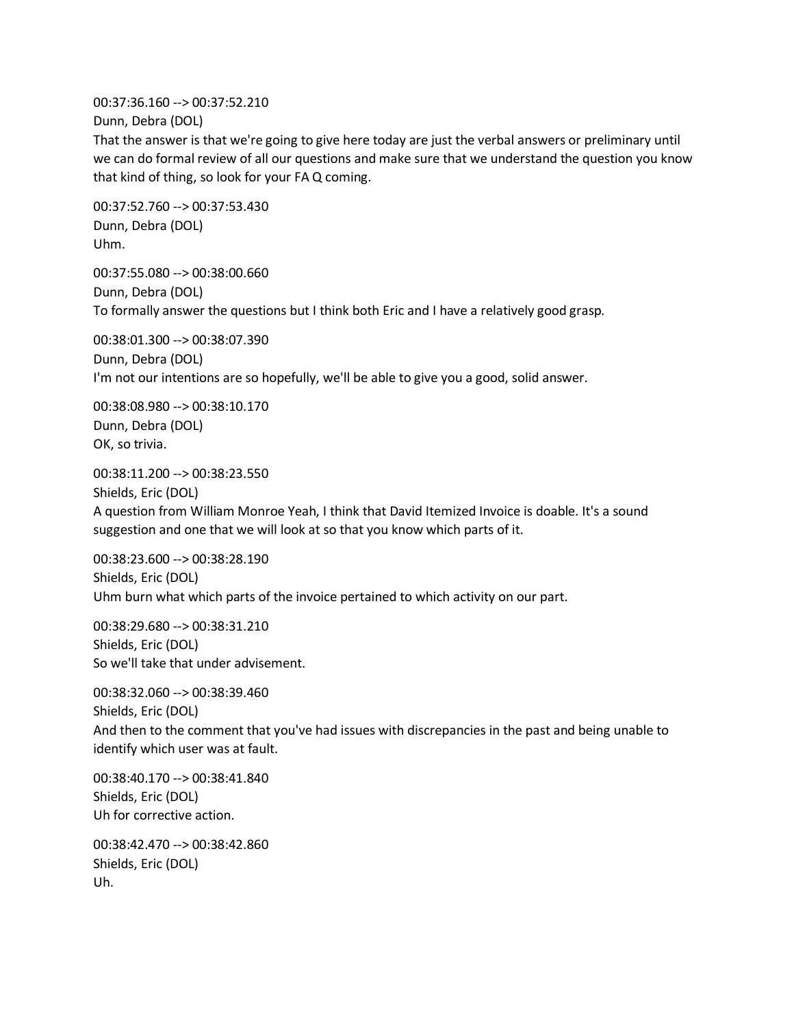00:37:36.160 --> 00:37:52.210 Dunn, Debra (DOL)

That the answer is that we're going to give here today are just the verbal answers or preliminary until we can do formal review of all our questions and make sure that we understand the question you know that kind of thing, so look for your FA Q coming.

00:37:52.760 --> 00:37:53.430 Dunn, Debra (DOL) Uhm.

00:37:55.080 --> 00:38:00.660 Dunn, Debra (DOL) To formally answer the questions but I think both Eric and I have a relatively good grasp.

00:38:01.300 --> 00:38:07.390 Dunn, Debra (DOL) I'm not our intentions are so hopefully, we'll be able to give you a good, solid answer.

00:38:08.980 --> 00:38:10.170 Dunn, Debra (DOL) OK, so trivia.

00:38:11.200 --> 00:38:23.550 Shields, Eric (DOL) A question from William Monroe Yeah, I think that David Itemized Invoice is doable. It's a sound suggestion and one that we will look at so that you know which parts of it.

00:38:23.600 --> 00:38:28.190 Shields, Eric (DOL) Uhm burn what which parts of the invoice pertained to which activity on our part.

00:38:29.680 --> 00:38:31.210 Shields, Eric (DOL) So we'll take that under advisement.

00:38:32.060 --> 00:38:39.460 Shields, Eric (DOL) And then to the comment that you've had issues with discrepancies in the past and being unable to identify which user was at fault.

00:38:40.170 --> 00:38:41.840 Shields, Eric (DOL) Uh for corrective action.

00:38:42.470 --> 00:38:42.860 Shields, Eric (DOL) Uh.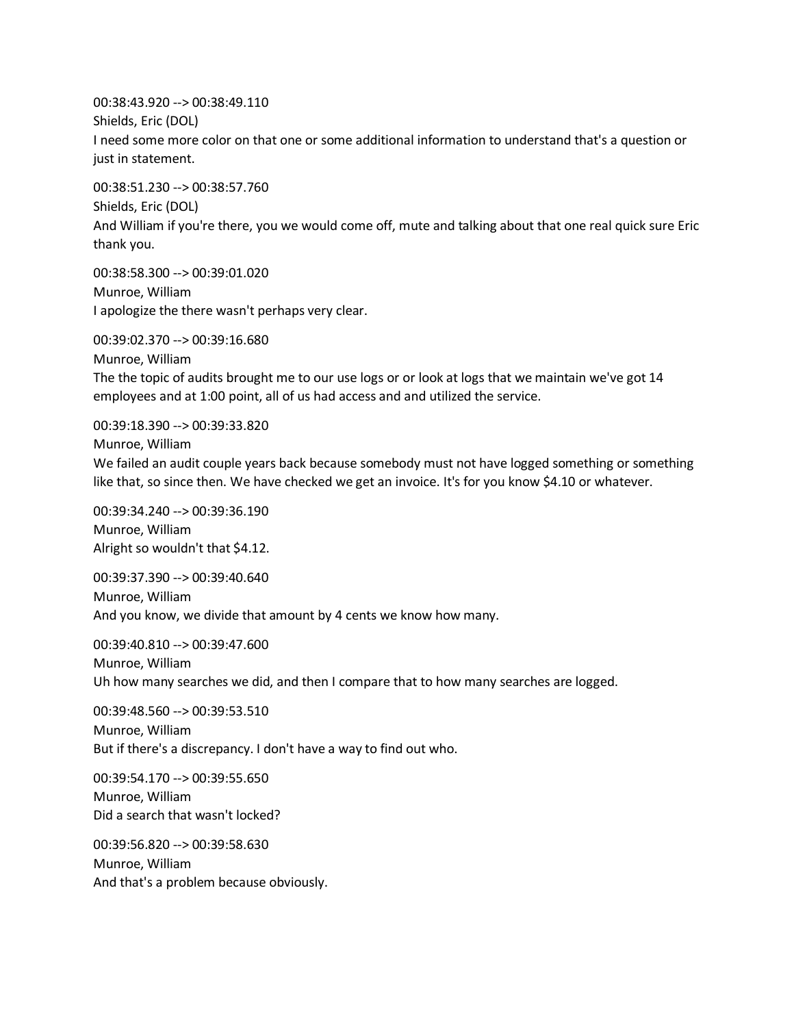00:38:43.920 --> 00:38:49.110 Shields, Eric (DOL) I need some more color on that one or some additional information to understand that's a question or just in statement.

00:38:51.230 --> 00:38:57.760 Shields, Eric (DOL) And William if you're there, you we would come off, mute and talking about that one real quick sure Eric thank you.

00:38:58.300 --> 00:39:01.020 Munroe, William I apologize the there wasn't perhaps very clear.

00:39:02.370 --> 00:39:16.680 Munroe, William The the topic of audits brought me to our use logs or or look at logs that we maintain we've got 14 employees and at 1:00 point, all of us had access and and utilized the service.

00:39:18.390 --> 00:39:33.820 Munroe, William We failed an audit couple years back because somebody must not have logged something or something like that, so since then. We have checked we get an invoice. It's for you know \$4.10 or whatever.

00:39:34.240 --> 00:39:36.190 Munroe, William Alright so wouldn't that \$4.12.

00:39:37.390 --> 00:39:40.640 Munroe, William And you know, we divide that amount by 4 cents we know how many.

00:39:40.810 --> 00:39:47.600 Munroe, William Uh how many searches we did, and then I compare that to how many searches are logged.

00:39:48.560 --> 00:39:53.510 Munroe, William But if there's a discrepancy. I don't have a way to find out who.

00:39:54.170 --> 00:39:55.650 Munroe, William Did a search that wasn't locked?

00:39:56.820 --> 00:39:58.630 Munroe, William And that's a problem because obviously.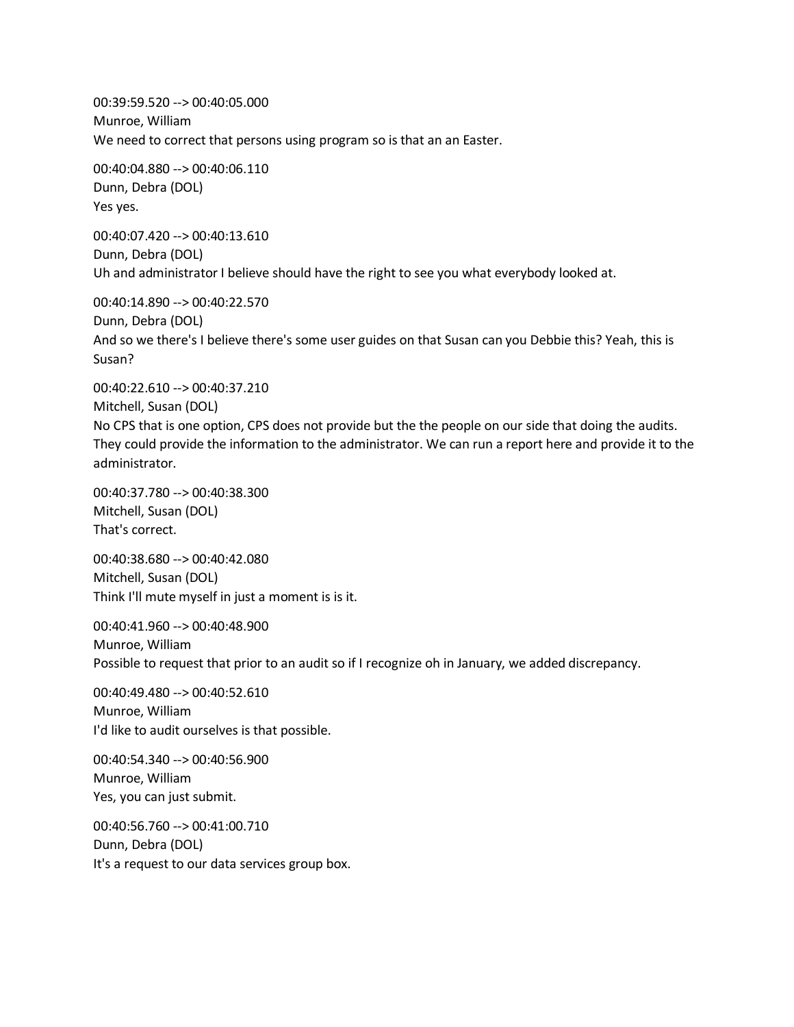00:39:59.520 --> 00:40:05.000 Munroe, William We need to correct that persons using program so is that an an Easter.

00:40:04.880 --> 00:40:06.110 Dunn, Debra (DOL) Yes yes.

00:40:07.420 --> 00:40:13.610 Dunn, Debra (DOL) Uh and administrator I believe should have the right to see you what everybody looked at.

00:40:14.890 --> 00:40:22.570 Dunn, Debra (DOL) And so we there's I believe there's some user guides on that Susan can you Debbie this? Yeah, this is Susan?

00:40:22.610 --> 00:40:37.210 Mitchell, Susan (DOL) No CPS that is one option, CPS does not provide but the the people on our side that doing the audits. They could provide the information to the administrator. We can run a report here and provide it to the administrator.

00:40:37.780 --> 00:40:38.300 Mitchell, Susan (DOL) That's correct.

00:40:38.680 --> 00:40:42.080 Mitchell, Susan (DOL) Think I'll mute myself in just a moment is is it.

00:40:41.960 --> 00:40:48.900 Munroe, William Possible to request that prior to an audit so if I recognize oh in January, we added discrepancy.

00:40:49.480 --> 00:40:52.610 Munroe, William I'd like to audit ourselves is that possible.

00:40:54.340 --> 00:40:56.900 Munroe, William Yes, you can just submit.

00:40:56.760 --> 00:41:00.710 Dunn, Debra (DOL) It's a request to our data services group box.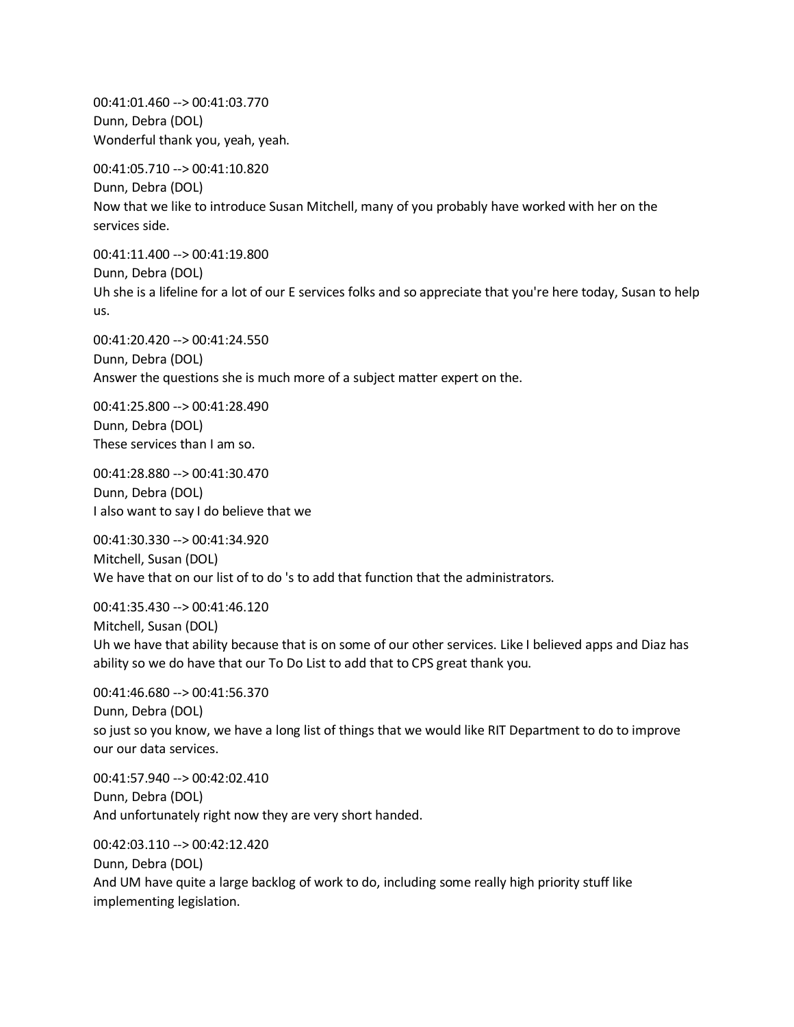00:41:01.460 --> 00:41:03.770 Dunn, Debra (DOL) Wonderful thank you, yeah, yeah.

00:41:05.710 --> 00:41:10.820 Dunn, Debra (DOL) Now that we like to introduce Susan Mitchell, many of you probably have worked with her on the services side.

00:41:11.400 --> 00:41:19.800 Dunn, Debra (DOL) Uh she is a lifeline for a lot of our E services folks and so appreciate that you're here today, Susan to help us.

00:41:20.420 --> 00:41:24.550 Dunn, Debra (DOL) Answer the questions she is much more of a subject matter expert on the.

00:41:25.800 --> 00:41:28.490 Dunn, Debra (DOL) These services than I am so.

00:41:28.880 --> 00:41:30.470 Dunn, Debra (DOL) I also want to say I do believe that we

00:41:30.330 --> 00:41:34.920 Mitchell, Susan (DOL) We have that on our list of to do 's to add that function that the administrators.

00:41:35.430 --> 00:41:46.120 Mitchell, Susan (DOL) Uh we have that ability because that is on some of our other services. Like I believed apps and Diaz has ability so we do have that our To Do List to add that to CPS great thank you.

00:41:46.680 --> 00:41:56.370 Dunn, Debra (DOL) so just so you know, we have a long list of things that we would like RIT Department to do to improve our our data services.

00:41:57.940 --> 00:42:02.410 Dunn, Debra (DOL) And unfortunately right now they are very short handed.

00:42:03.110 --> 00:42:12.420 Dunn, Debra (DOL) And UM have quite a large backlog of work to do, including some really high priority stuff like implementing legislation.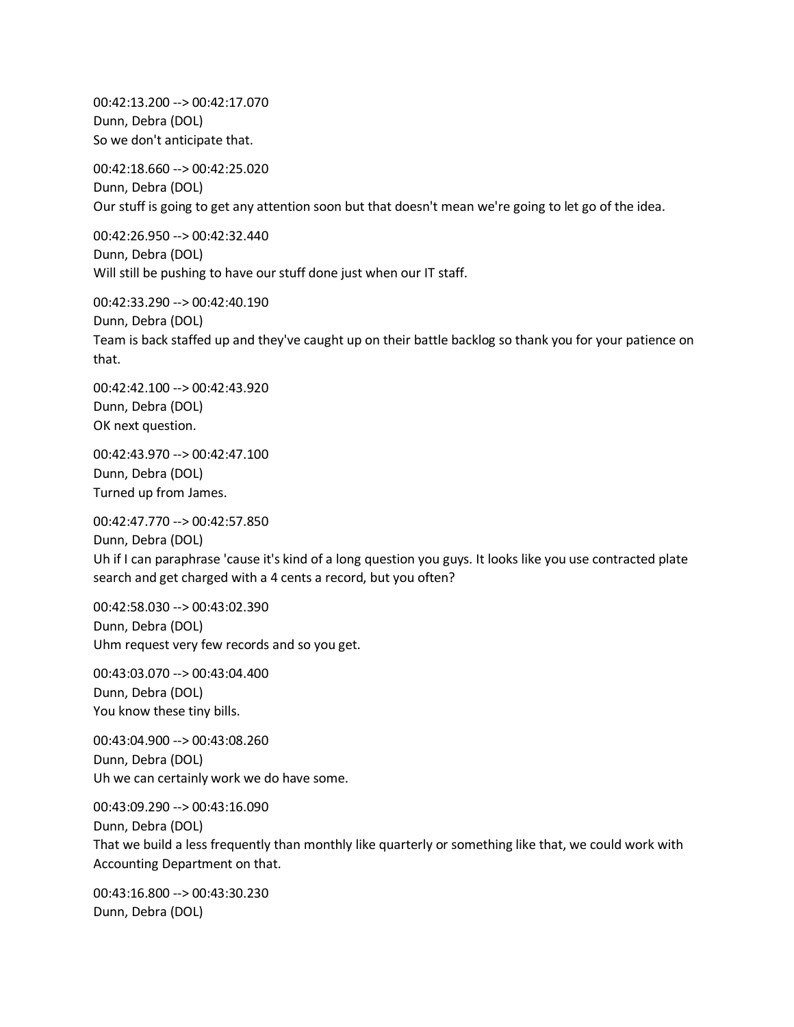00:42:13.200 --> 00:42:17.070 Dunn, Debra (DOL) So we don't anticipate that.

00:42:18.660 --> 00:42:25.020 Dunn, Debra (DOL) Our stuff is going to get any attention soon but that doesn't mean we're going to let go of the idea.

00:42:26.950 --> 00:42:32.440 Dunn, Debra (DOL) Will still be pushing to have our stuff done just when our IT staff.

00:42:33.290 --> 00:42:40.190 Dunn, Debra (DOL) Team is back staffed up and they've caught up on their battle backlog so thank you for your patience on that.

00:42:42.100 --> 00:42:43.920 Dunn, Debra (DOL) OK next question.

00:42:43.970 --> 00:42:47.100 Dunn, Debra (DOL) Turned up from James.

00:42:47.770 --> 00:42:57.850 Dunn, Debra (DOL) Uh if I can paraphrase 'cause it's kind of a long question you guys. It looks like you use contracted plate search and get charged with a 4 cents a record, but you often?

00:42:58.030 --> 00:43:02.390 Dunn, Debra (DOL) Uhm request very few records and so you get.

00:43:03.070 --> 00:43:04.400 Dunn, Debra (DOL) You know these tiny bills.

00:43:04.900 --> 00:43:08.260 Dunn, Debra (DOL) Uh we can certainly work we do have some.

00:43:09.290 --> 00:43:16.090 Dunn, Debra (DOL) That we build a less frequently than monthly like quarterly or something like that, we could work with Accounting Department on that.

00:43:16.800 --> 00:43:30.230 Dunn, Debra (DOL)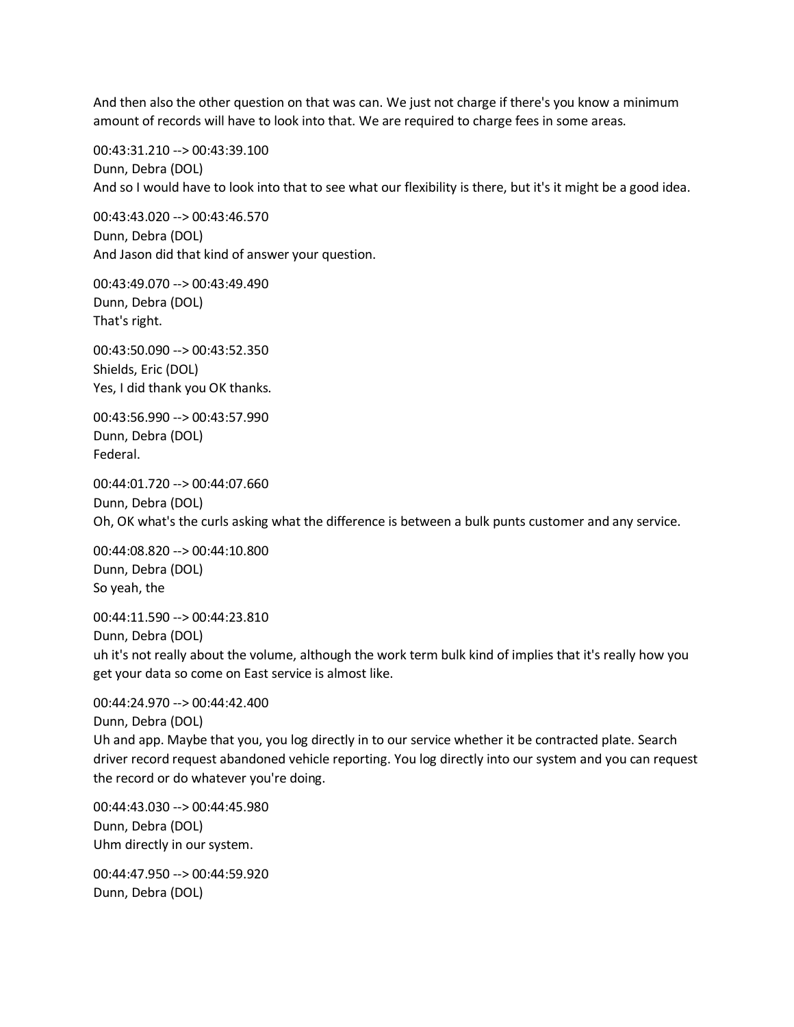And then also the other question on that was can. We just not charge if there's you know a minimum amount of records will have to look into that. We are required to charge fees in some areas.

00:43:31.210 --> 00:43:39.100 Dunn, Debra (DOL) And so I would have to look into that to see what our flexibility is there, but it's it might be a good idea.

00:43:43.020 --> 00:43:46.570 Dunn, Debra (DOL) And Jason did that kind of answer your question.

00:43:49.070 --> 00:43:49.490 Dunn, Debra (DOL) That's right.

00:43:50.090 --> 00:43:52.350 Shields, Eric (DOL) Yes, I did thank you OK thanks.

00:43:56.990 --> 00:43:57.990 Dunn, Debra (DOL) Federal.

00:44:01.720 --> 00:44:07.660 Dunn, Debra (DOL) Oh, OK what's the curls asking what the difference is between a bulk punts customer and any service.

00:44:08.820 --> 00:44:10.800 Dunn, Debra (DOL) So yeah, the

00:44:11.590 --> 00:44:23.810 Dunn, Debra (DOL)

uh it's not really about the volume, although the work term bulk kind of implies that it's really how you get your data so come on East service is almost like.

00:44:24.970 --> 00:44:42.400 Dunn, Debra (DOL) Uh and app. Maybe that you, you log directly in to our service whether it be contracted plate. Search driver record request abandoned vehicle reporting. You log directly into our system and you can request the record or do whatever you're doing.

00:44:43.030 --> 00:44:45.980 Dunn, Debra (DOL) Uhm directly in our system.

00:44:47.950 --> 00:44:59.920 Dunn, Debra (DOL)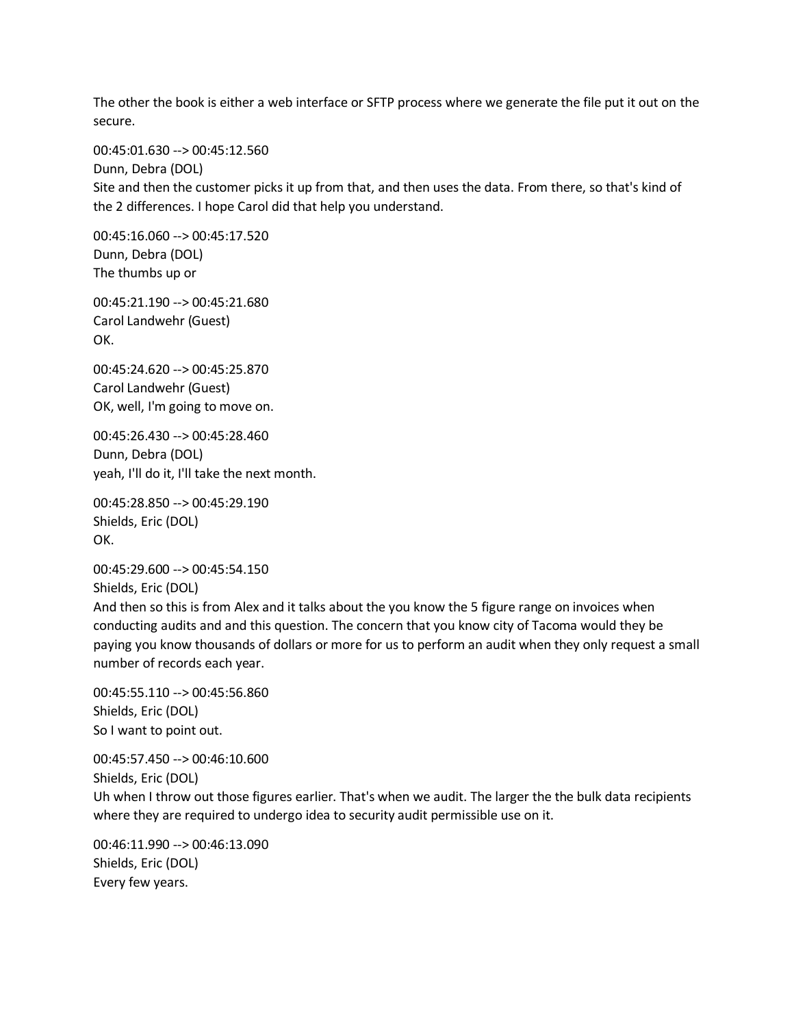The other the book is either a web interface or SFTP process where we generate the file put it out on the secure.

00:45:01.630 --> 00:45:12.560

Dunn, Debra (DOL) Site and then the customer picks it up from that, and then uses the data. From there, so that's kind of the 2 differences. I hope Carol did that help you understand.

00:45:16.060 --> 00:45:17.520 Dunn, Debra (DOL) The thumbs up or

00:45:21.190 --> 00:45:21.680 Carol Landwehr (Guest) OK.

00:45:24.620 --> 00:45:25.870 Carol Landwehr (Guest) OK, well, I'm going to move on.

00:45:26.430 --> 00:45:28.460 Dunn, Debra (DOL) yeah, I'll do it, I'll take the next month.

00:45:28.850 --> 00:45:29.190 Shields, Eric (DOL) OK.

00:45:29.600 --> 00:45:54.150 Shields, Eric (DOL)

And then so this is from Alex and it talks about the you know the 5 figure range on invoices when conducting audits and and this question. The concern that you know city of Tacoma would they be paying you know thousands of dollars or more for us to perform an audit when they only request a small number of records each year.

00:45:55.110 --> 00:45:56.860 Shields, Eric (DOL) So I want to point out.

00:45:57.450 --> 00:46:10.600 Shields, Eric (DOL) Uh when I throw out those figures earlier. That's when we audit. The larger the the bulk data recipients where they are required to undergo idea to security audit permissible use on it.

00:46:11.990 --> 00:46:13.090 Shields, Eric (DOL) Every few years.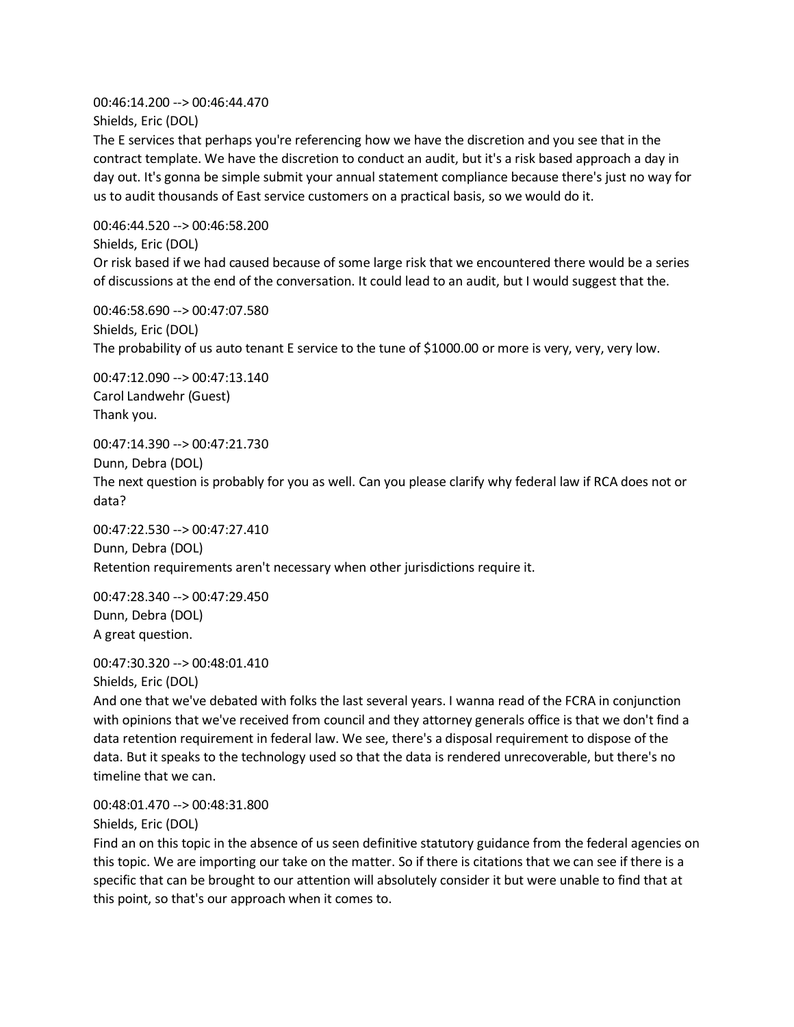00:46:14.200 --> 00:46:44.470 Shields, Eric (DOL)

The E services that perhaps you're referencing how we have the discretion and you see that in the contract template. We have the discretion to conduct an audit, but it's a risk based approach a day in day out. It's gonna be simple submit your annual statement compliance because there's just no way for us to audit thousands of East service customers on a practical basis, so we would do it.

00:46:44.520 --> 00:46:58.200 Shields, Eric (DOL) Or risk based if we had caused because of some large risk that we encountered there would be a series of discussions at the end of the conversation. It could lead to an audit, but I would suggest that the.

00:46:58.690 --> 00:47:07.580 Shields, Eric (DOL) The probability of us auto tenant E service to the tune of \$1000.00 or more is very, very, very low.

00:47:12.090 --> 00:47:13.140 Carol Landwehr (Guest) Thank you.

00:47:14.390 --> 00:47:21.730 Dunn, Debra (DOL) The next question is probably for you as well. Can you please clarify why federal law if RCA does not or data?

00:47:22.530 --> 00:47:27.410 Dunn, Debra (DOL) Retention requirements aren't necessary when other jurisdictions require it.

00:47:28.340 --> 00:47:29.450 Dunn, Debra (DOL) A great question.

00:47:30.320 --> 00:48:01.410 Shields, Eric (DOL)

And one that we've debated with folks the last several years. I wanna read of the FCRA in conjunction with opinions that we've received from council and they attorney generals office is that we don't find a data retention requirement in federal law. We see, there's a disposal requirement to dispose of the data. But it speaks to the technology used so that the data is rendered unrecoverable, but there's no timeline that we can.

00:48:01.470 --> 00:48:31.800 Shields, Eric (DOL)

Find an on this topic in the absence of us seen definitive statutory guidance from the federal agencies on this topic. We are importing our take on the matter. So if there is citations that we can see if there is a specific that can be brought to our attention will absolutely consider it but were unable to find that at this point, so that's our approach when it comes to.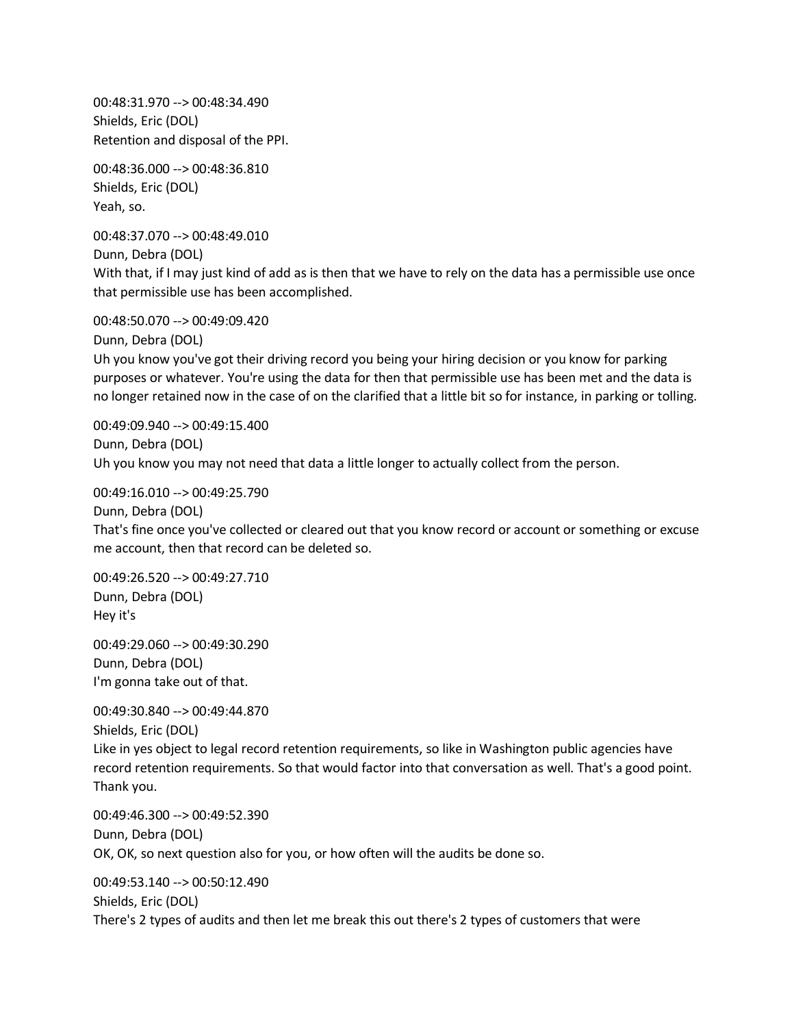00:48:31.970 --> 00:48:34.490 Shields, Eric (DOL) Retention and disposal of the PPI.

00:48:36.000 --> 00:48:36.810 Shields, Eric (DOL) Yeah, so.

00:48:37.070 --> 00:48:49.010

Dunn, Debra (DOL)

With that, if I may just kind of add as is then that we have to rely on the data has a permissible use once that permissible use has been accomplished.

00:48:50.070 --> 00:49:09.420

Dunn, Debra (DOL)

Uh you know you've got their driving record you being your hiring decision or you know for parking purposes or whatever. You're using the data for then that permissible use has been met and the data is no longer retained now in the case of on the clarified that a little bit so for instance, in parking or tolling.

00:49:09.940 --> 00:49:15.400 Dunn, Debra (DOL) Uh you know you may not need that data a little longer to actually collect from the person.

00:49:16.010 --> 00:49:25.790

Dunn, Debra (DOL) That's fine once you've collected or cleared out that you know record or account or something or excuse me account, then that record can be deleted so.

00:49:26.520 --> 00:49:27.710 Dunn, Debra (DOL) Hey it's

00:49:29.060 --> 00:49:30.290 Dunn, Debra (DOL) I'm gonna take out of that.

00:49:30.840 --> 00:49:44.870 Shields, Eric (DOL) Like in yes object to legal record retention requirements, so like in Washington public agencies have record retention requirements. So that would factor into that conversation as well. That's a good point. Thank you.

00:49:46.300 --> 00:49:52.390 Dunn, Debra (DOL) OK, OK, so next question also for you, or how often will the audits be done so.

00:49:53.140 --> 00:50:12.490 Shields, Eric (DOL) There's 2 types of audits and then let me break this out there's 2 types of customers that were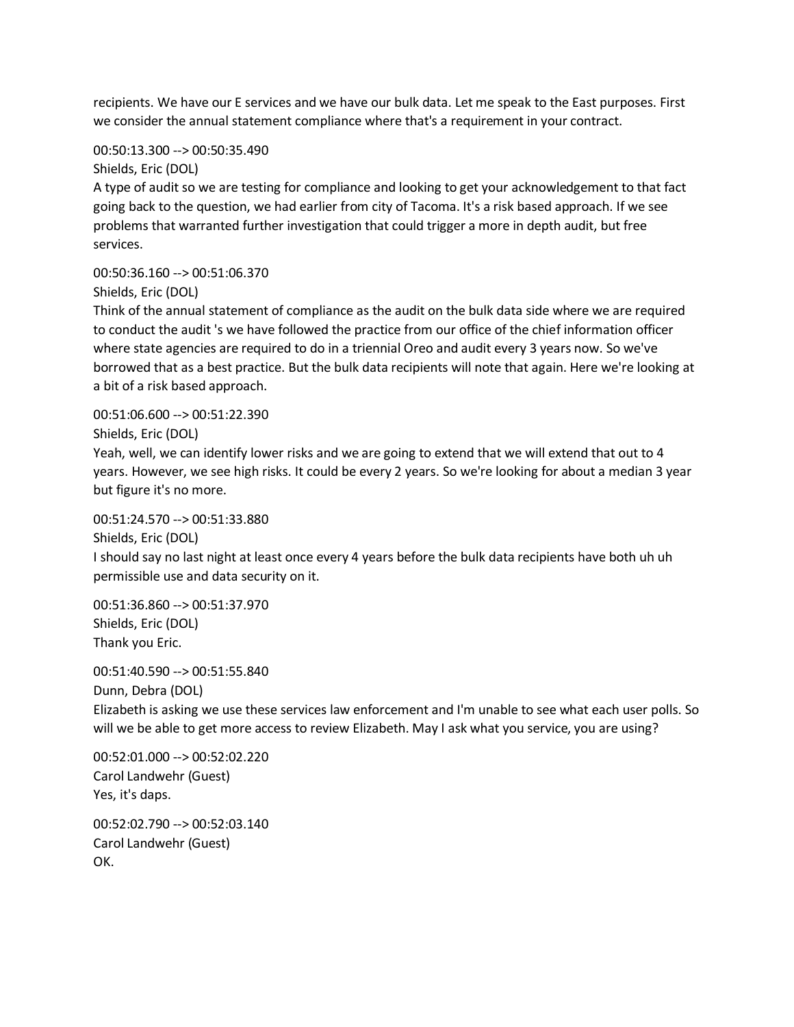recipients. We have our E services and we have our bulk data. Let me speak to the East purposes. First we consider the annual statement compliance where that's a requirement in your contract.

00:50:13.300 --> 00:50:35.490

Shields, Eric (DOL)

A type of audit so we are testing for compliance and looking to get your acknowledgement to that fact going back to the question, we had earlier from city of Tacoma. It's a risk based approach. If we see problems that warranted further investigation that could trigger a more in depth audit, but free services.

00:50:36.160 --> 00:51:06.370 Shields, Eric (DOL)

Think of the annual statement of compliance as the audit on the bulk data side where we are required to conduct the audit 's we have followed the practice from our office of the chief information officer where state agencies are required to do in a triennial Oreo and audit every 3 years now. So we've borrowed that as a best practice. But the bulk data recipients will note that again. Here we're looking at a bit of a risk based approach.

00:51:06.600 --> 00:51:22.390

Shields, Eric (DOL)

Yeah, well, we can identify lower risks and we are going to extend that we will extend that out to 4 years. However, we see high risks. It could be every 2 years. So we're looking for about a median 3 year but figure it's no more.

00:51:24.570 --> 00:51:33.880

Shields, Eric (DOL)

I should say no last night at least once every 4 years before the bulk data recipients have both uh uh permissible use and data security on it.

00:51:36.860 --> 00:51:37.970 Shields, Eric (DOL) Thank you Eric.

00:51:40.590 --> 00:51:55.840 Dunn, Debra (DOL) Elizabeth is asking we use these services law enforcement and I'm unable to see what each user polls. So will we be able to get more access to review Elizabeth. May I ask what you service, you are using?

00:52:01.000 --> 00:52:02.220 Carol Landwehr (Guest) Yes, it's daps.

00:52:02.790 --> 00:52:03.140 Carol Landwehr (Guest) OK.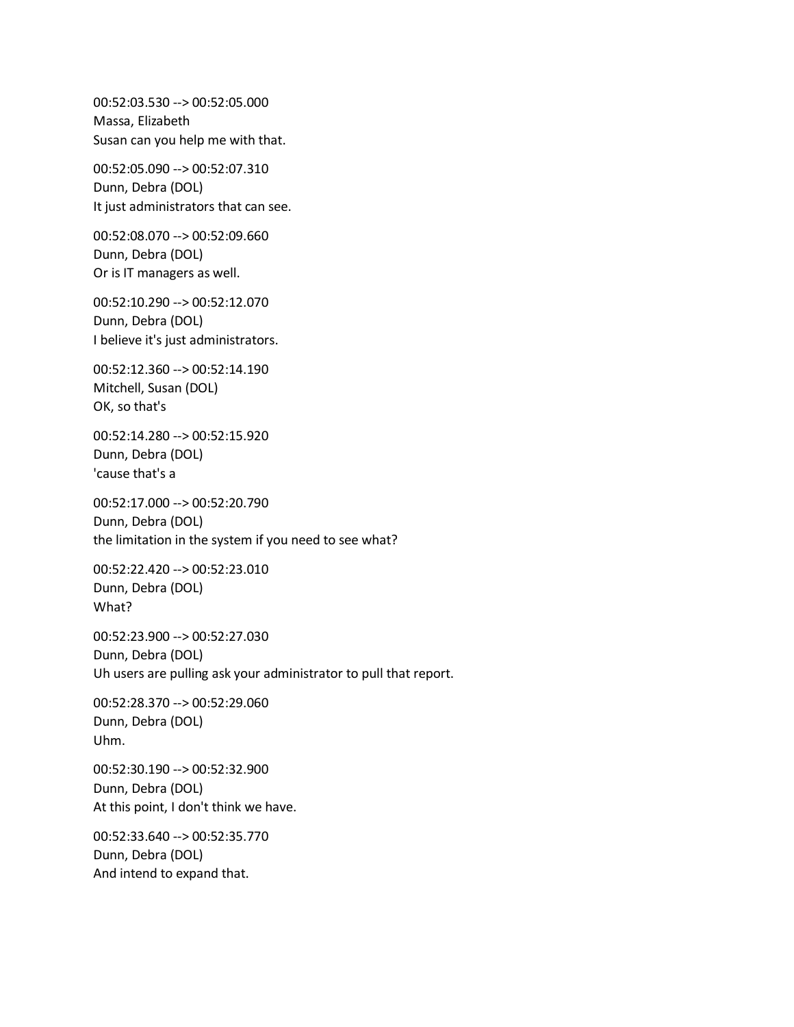00:52:03.530 --> 00:52:05.000 Massa, Elizabeth Susan can you help me with that.

00:52:05.090 --> 00:52:07.310 Dunn, Debra (DOL) It just administrators that can see.

00:52:08.070 --> 00:52:09.660 Dunn, Debra (DOL) Or is IT managers as well.

00:52:10.290 --> 00:52:12.070 Dunn, Debra (DOL) I believe it's just administrators.

00:52:12.360 --> 00:52:14.190 Mitchell, Susan (DOL) OK, so that's

00:52:14.280 --> 00:52:15.920 Dunn, Debra (DOL) 'cause that's a

00:52:17.000 --> 00:52:20.790 Dunn, Debra (DOL) the limitation in the system if you need to see what?

00:52:22.420 --> 00:52:23.010 Dunn, Debra (DOL) What?

00:52:23.900 --> 00:52:27.030 Dunn, Debra (DOL) Uh users are pulling ask your administrator to pull that report.

00:52:28.370 --> 00:52:29.060 Dunn, Debra (DOL) Uhm.

00:52:30.190 --> 00:52:32.900 Dunn, Debra (DOL) At this point, I don't think we have.

00:52:33.640 --> 00:52:35.770 Dunn, Debra (DOL) And intend to expand that.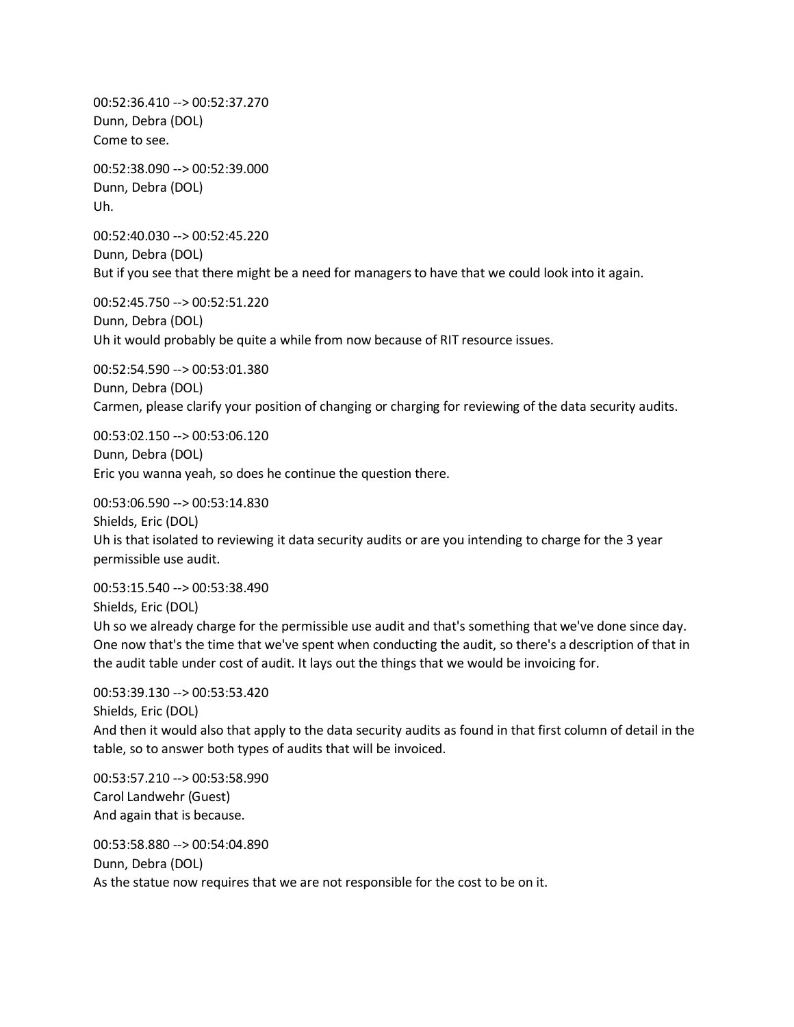00:52:36.410 --> 00:52:37.270 Dunn, Debra (DOL) Come to see.

00:52:38.090 --> 00:52:39.000 Dunn, Debra (DOL) Uh.

00:52:40.030 --> 00:52:45.220 Dunn, Debra (DOL) But if you see that there might be a need for managers to have that we could look into it again.

00:52:45.750 --> 00:52:51.220 Dunn, Debra (DOL) Uh it would probably be quite a while from now because of RIT resource issues.

00:52:54.590 --> 00:53:01.380 Dunn, Debra (DOL) Carmen, please clarify your position of changing or charging for reviewing of the data security audits.

00:53:02.150 --> 00:53:06.120 Dunn, Debra (DOL) Eric you wanna yeah, so does he continue the question there.

00:53:06.590 --> 00:53:14.830 Shields, Eric (DOL) Uh is that isolated to reviewing it data security audits or are you intending to charge for the 3 year permissible use audit.

00:53:15.540 --> 00:53:38.490 Shields, Eric (DOL) Uh so we already charge for the permissible use audit and that's something that we've done since day. One now that's the time that we've spent when conducting the audit, so there's a description of that in the audit table under cost of audit. It lays out the things that we would be invoicing for.

00:53:39.130 --> 00:53:53.420 Shields, Eric (DOL) And then it would also that apply to the data security audits as found in that first column of detail in the table, so to answer both types of audits that will be invoiced.

00:53:57.210 --> 00:53:58.990 Carol Landwehr (Guest) And again that is because.

00:53:58.880 --> 00:54:04.890 Dunn, Debra (DOL) As the statue now requires that we are not responsible for the cost to be on it.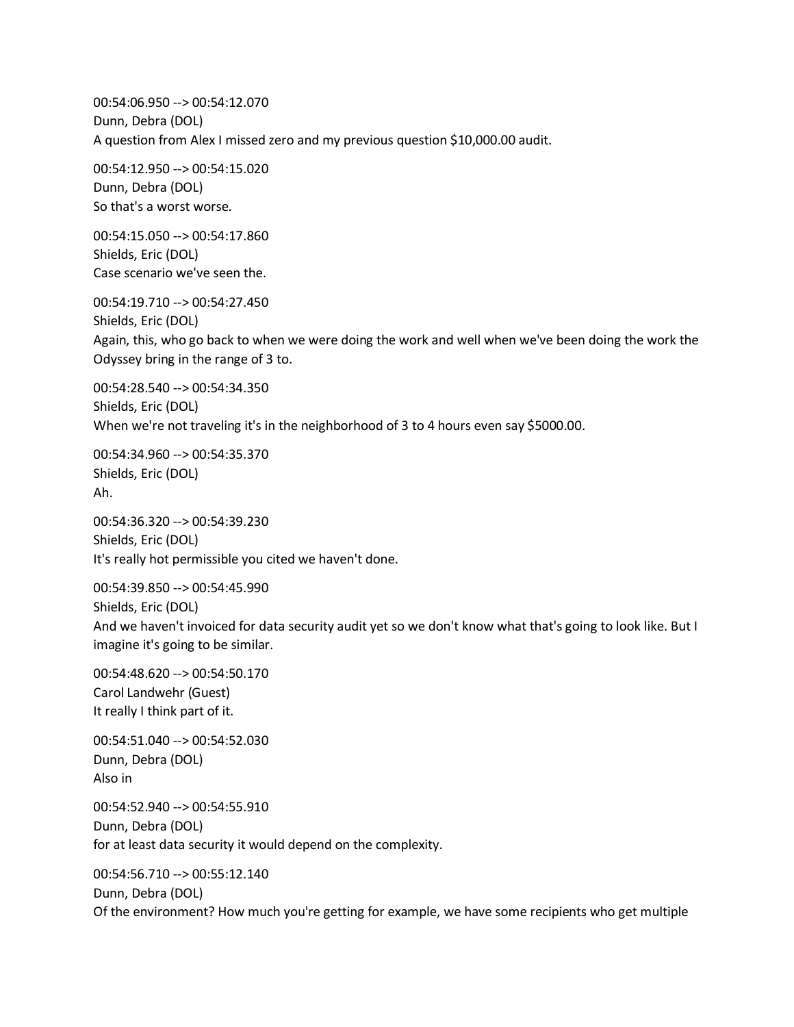00:54:06.950 --> 00:54:12.070 Dunn, Debra (DOL) A question from Alex I missed zero and my previous question \$10,000.00 audit.

00:54:12.950 --> 00:54:15.020 Dunn, Debra (DOL) So that's a worst worse.

00:54:15.050 --> 00:54:17.860 Shields, Eric (DOL) Case scenario we've seen the.

00:54:19.710 --> 00:54:27.450 Shields, Eric (DOL) Again, this, who go back to when we were doing the work and well when we've been doing the work the Odyssey bring in the range of 3 to.

00:54:28.540 --> 00:54:34.350 Shields, Eric (DOL) When we're not traveling it's in the neighborhood of 3 to 4 hours even say \$5000.00.

00:54:34.960 --> 00:54:35.370 Shields, Eric (DOL) Ah.

00:54:36.320 --> 00:54:39.230 Shields, Eric (DOL) It's really hot permissible you cited we haven't done.

00:54:39.850 --> 00:54:45.990 Shields, Eric (DOL) And we haven't invoiced for data security audit yet so we don't know what that's going to look like. But I imagine it's going to be similar.

00:54:48.620 --> 00:54:50.170 Carol Landwehr (Guest) It really I think part of it.

00:54:51.040 --> 00:54:52.030 Dunn, Debra (DOL) Also in

00:54:52.940 --> 00:54:55.910 Dunn, Debra (DOL) for at least data security it would depend on the complexity.

00:54:56.710 --> 00:55:12.140 Dunn, Debra (DOL) Of the environment? How much you're getting for example, we have some recipients who get multiple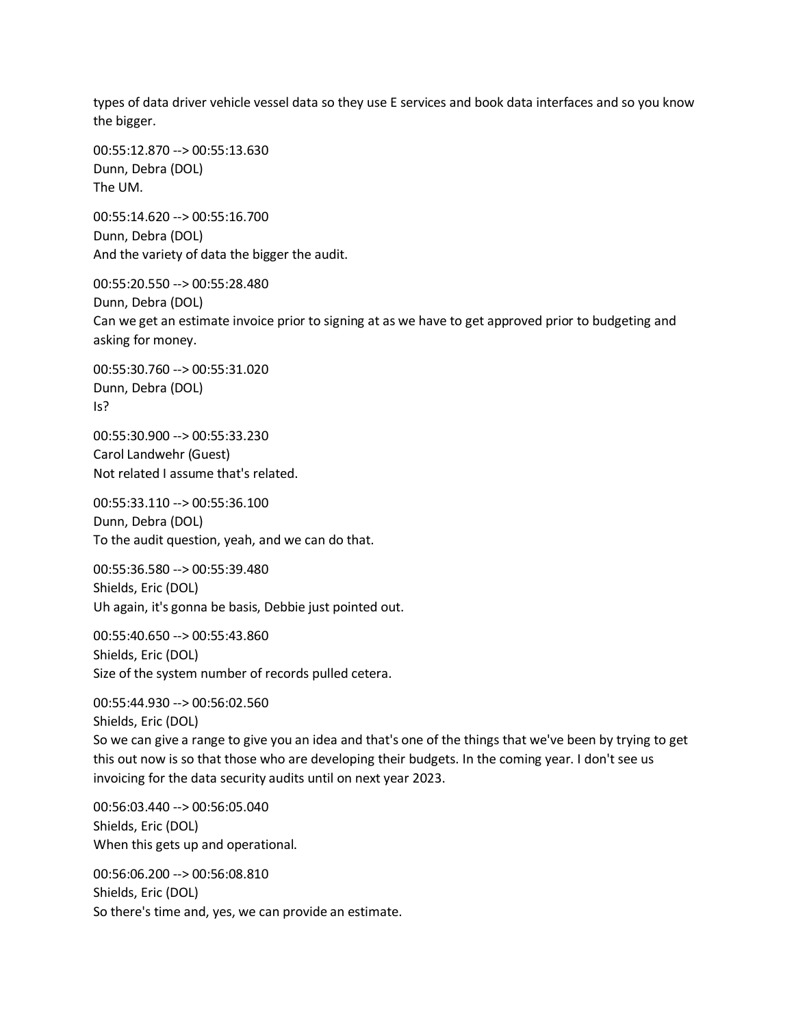types of data driver vehicle vessel data so they use E services and book data interfaces and so you know the bigger.

00:55:12.870 --> 00:55:13.630 Dunn, Debra (DOL) The UM.

00:55:14.620 --> 00:55:16.700 Dunn, Debra (DOL) And the variety of data the bigger the audit.

00:55:20.550 --> 00:55:28.480 Dunn, Debra (DOL) Can we get an estimate invoice prior to signing at as we have to get approved prior to budgeting and asking for money.

00:55:30.760 --> 00:55:31.020 Dunn, Debra (DOL) Is?

00:55:30.900 --> 00:55:33.230 Carol Landwehr (Guest) Not related I assume that's related.

00:55:33.110 --> 00:55:36.100 Dunn, Debra (DOL) To the audit question, yeah, and we can do that.

00:55:36.580 --> 00:55:39.480 Shields, Eric (DOL) Uh again, it's gonna be basis, Debbie just pointed out.

00:55:40.650 --> 00:55:43.860 Shields, Eric (DOL) Size of the system number of records pulled cetera.

00:55:44.930 --> 00:56:02.560 Shields, Eric (DOL) So we can give a range to give you an idea and that's one of the things that we've been by trying to get this out now is so that those who are developing their budgets. In the coming year. I don't see us invoicing for the data security audits until on next year 2023.

00:56:03.440 --> 00:56:05.040 Shields, Eric (DOL) When this gets up and operational.

00:56:06.200 --> 00:56:08.810 Shields, Eric (DOL) So there's time and, yes, we can provide an estimate.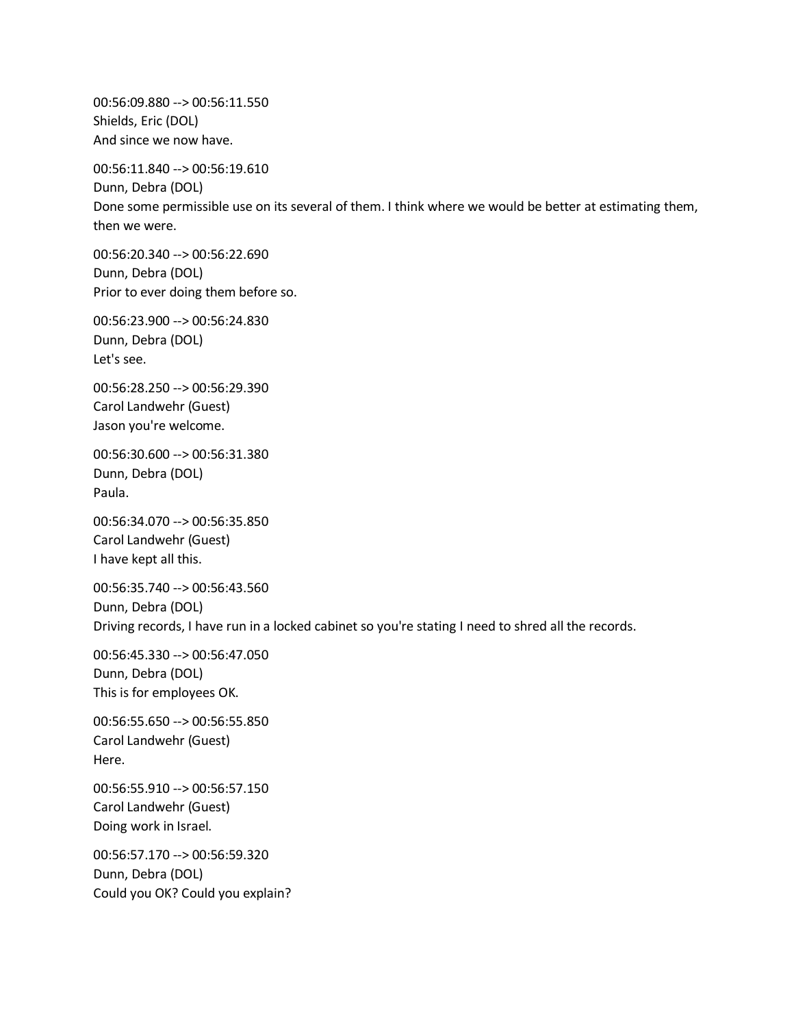00:56:09.880 --> 00:56:11.550 Shields, Eric (DOL) And since we now have.

00:56:11.840 --> 00:56:19.610 Dunn, Debra (DOL) Done some permissible use on its several of them. I think where we would be better at estimating them, then we were.

00:56:20.340 --> 00:56:22.690 Dunn, Debra (DOL) Prior to ever doing them before so.

00:56:23.900 --> 00:56:24.830 Dunn, Debra (DOL) Let's see.

00:56:28.250 --> 00:56:29.390 Carol Landwehr (Guest) Jason you're welcome.

00:56:30.600 --> 00:56:31.380 Dunn, Debra (DOL) Paula.

00:56:34.070 --> 00:56:35.850 Carol Landwehr (Guest) I have kept all this.

00:56:35.740 --> 00:56:43.560 Dunn, Debra (DOL) Driving records, I have run in a locked cabinet so you're stating I need to shred all the records.

00:56:45.330 --> 00:56:47.050 Dunn, Debra (DOL) This is for employees OK.

00:56:55.650 --> 00:56:55.850 Carol Landwehr (Guest) Here.

00:56:55.910 --> 00:56:57.150 Carol Landwehr (Guest) Doing work in Israel.

00:56:57.170 --> 00:56:59.320 Dunn, Debra (DOL) Could you OK? Could you explain?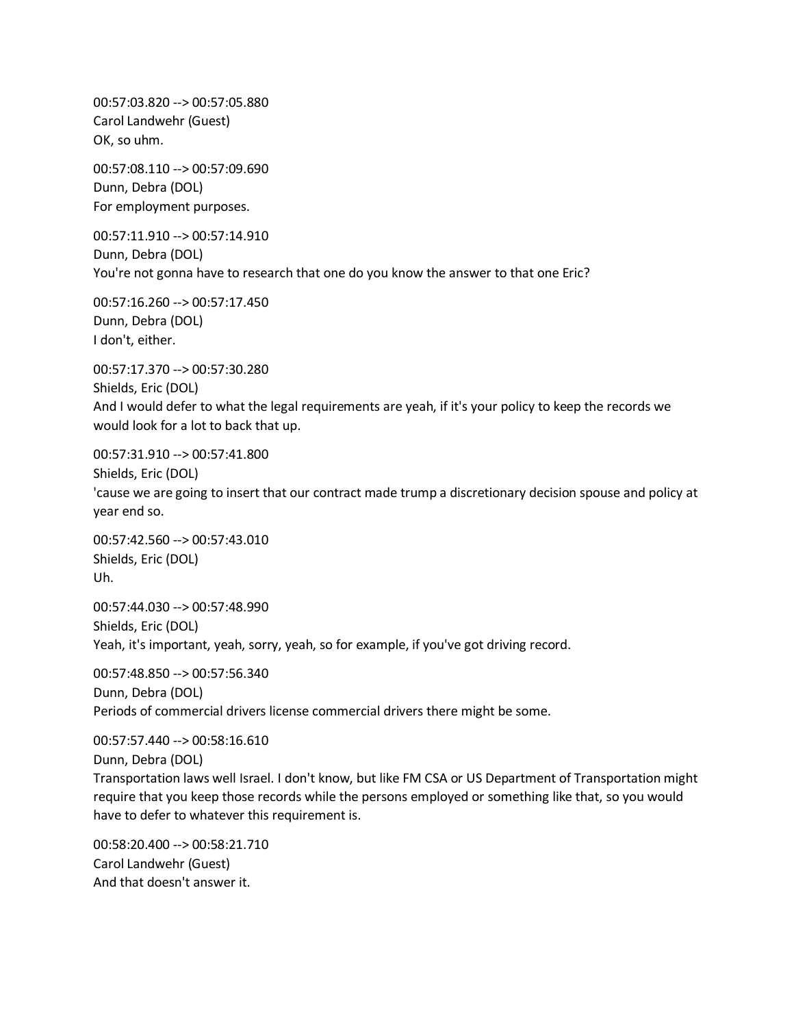00:57:03.820 --> 00:57:05.880 Carol Landwehr (Guest) OK, so uhm.

00:57:08.110 --> 00:57:09.690 Dunn, Debra (DOL) For employment purposes.

00:57:11.910 --> 00:57:14.910 Dunn, Debra (DOL) You're not gonna have to research that one do you know the answer to that one Eric?

00:57:16.260 --> 00:57:17.450 Dunn, Debra (DOL) I don't, either.

00:57:17.370 --> 00:57:30.280 Shields, Eric (DOL) And I would defer to what the legal requirements are yeah, if it's your policy to keep the records we would look for a lot to back that up.

00:57:31.910 --> 00:57:41.800

Shields, Eric (DOL)

'cause we are going to insert that our contract made trump a discretionary decision spouse and policy at year end so.

00:57:42.560 --> 00:57:43.010 Shields, Eric (DOL) Uh.

00:57:44.030 --> 00:57:48.990 Shields, Eric (DOL) Yeah, it's important, yeah, sorry, yeah, so for example, if you've got driving record.

00:57:48.850 --> 00:57:56.340 Dunn, Debra (DOL) Periods of commercial drivers license commercial drivers there might be some.

00:57:57.440 --> 00:58:16.610 Dunn, Debra (DOL) Transportation laws well Israel. I don't know, but like FM CSA or US Department of Transportation might require that you keep those records while the persons employed or something like that, so you would have to defer to whatever this requirement is.

00:58:20.400 --> 00:58:21.710 Carol Landwehr (Guest) And that doesn't answer it.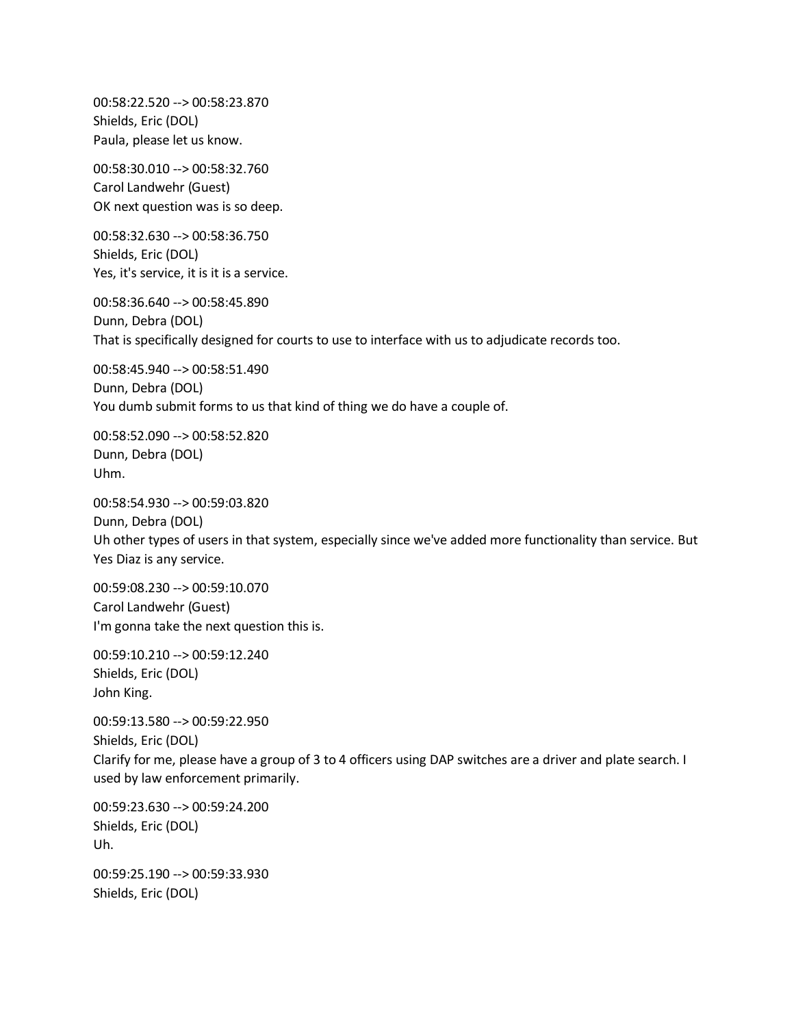00:58:22.520 --> 00:58:23.870 Shields, Eric (DOL) Paula, please let us know.

00:58:30.010 --> 00:58:32.760 Carol Landwehr (Guest) OK next question was is so deep.

00:58:32.630 --> 00:58:36.750 Shields, Eric (DOL) Yes, it's service, it is it is a service.

00:58:36.640 --> 00:58:45.890 Dunn, Debra (DOL) That is specifically designed for courts to use to interface with us to adjudicate records too.

00:58:45.940 --> 00:58:51.490 Dunn, Debra (DOL) You dumb submit forms to us that kind of thing we do have a couple of.

00:58:52.090 --> 00:58:52.820 Dunn, Debra (DOL) Uhm.

00:58:54.930 --> 00:59:03.820 Dunn, Debra (DOL) Uh other types of users in that system, especially since we've added more functionality than service. But Yes Diaz is any service.

00:59:08.230 --> 00:59:10.070 Carol Landwehr (Guest) I'm gonna take the next question this is.

00:59:10.210 --> 00:59:12.240 Shields, Eric (DOL) John King.

00:59:13.580 --> 00:59:22.950 Shields, Eric (DOL) Clarify for me, please have a group of 3 to 4 officers using DAP switches are a driver and plate search. I used by law enforcement primarily.

00:59:23.630 --> 00:59:24.200 Shields, Eric (DOL) Uh.

00:59:25.190 --> 00:59:33.930 Shields, Eric (DOL)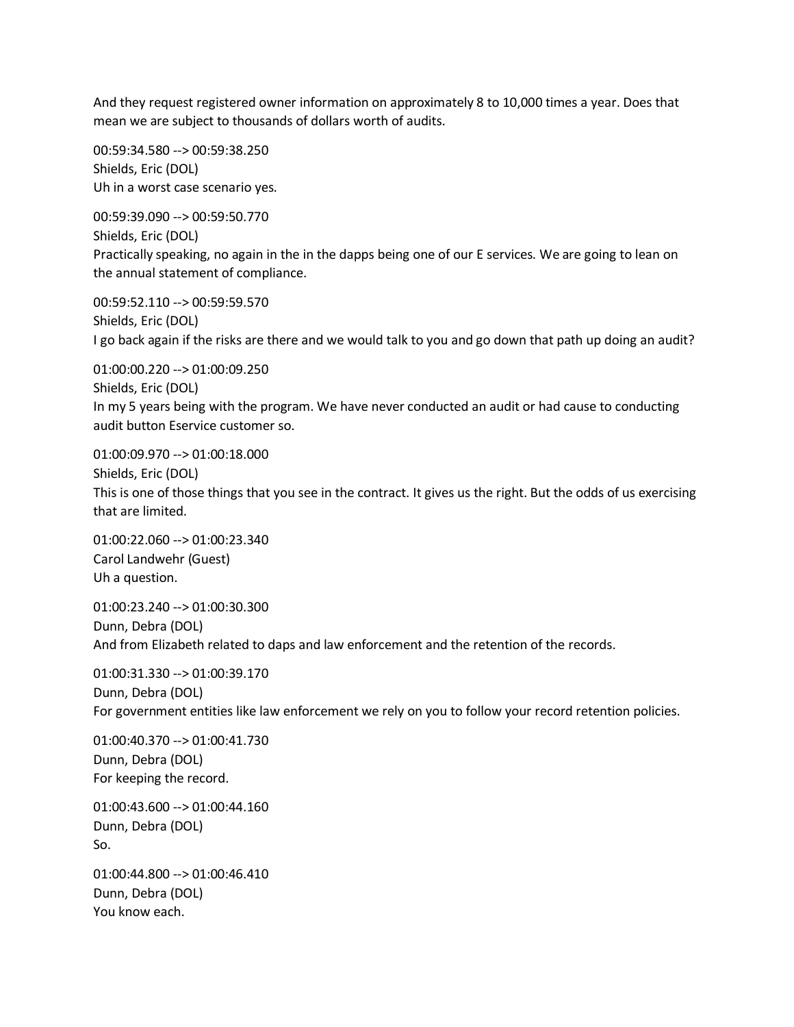And they request registered owner information on approximately 8 to 10,000 times a year. Does that mean we are subject to thousands of dollars worth of audits.

00:59:34.580 --> 00:59:38.250 Shields, Eric (DOL) Uh in a worst case scenario yes.

00:59:39.090 --> 00:59:50.770 Shields, Eric (DOL) Practically speaking, no again in the in the dapps being one of our E services. We are going to lean on the annual statement of compliance.

00:59:52.110 --> 00:59:59.570 Shields, Eric (DOL) I go back again if the risks are there and we would talk to you and go down that path up doing an audit?

01:00:00.220 --> 01:00:09.250 Shields, Eric (DOL) In my 5 years being with the program. We have never conducted an audit or had cause to conducting audit button Eservice customer so.

01:00:09.970 --> 01:00:18.000 Shields, Eric (DOL) This is one of those things that you see in the contract. It gives us the right. But the odds of us exercising that are limited.

01:00:22.060 --> 01:00:23.340 Carol Landwehr (Guest) Uh a question.

01:00:23.240 --> 01:00:30.300 Dunn, Debra (DOL) And from Elizabeth related to daps and law enforcement and the retention of the records.

01:00:31.330 --> 01:00:39.170 Dunn, Debra (DOL) For government entities like law enforcement we rely on you to follow your record retention policies.

01:00:40.370 --> 01:00:41.730 Dunn, Debra (DOL) For keeping the record.

01:00:43.600 --> 01:00:44.160 Dunn, Debra (DOL) So.

01:00:44.800 --> 01:00:46.410 Dunn, Debra (DOL) You know each.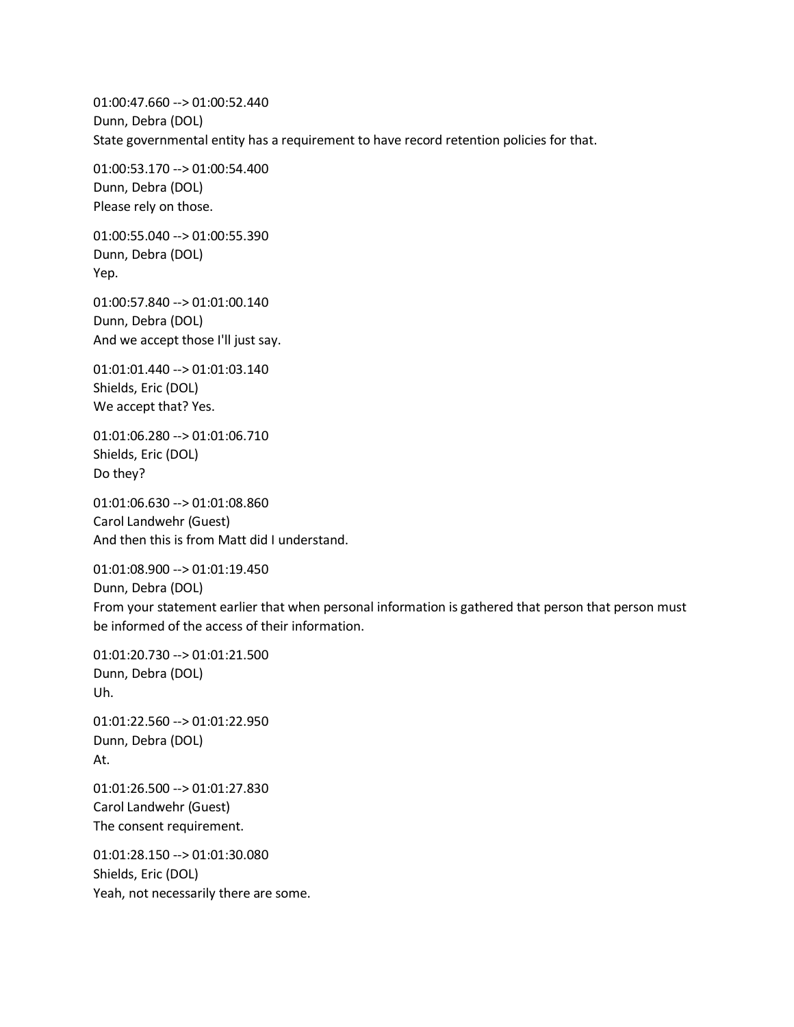01:00:47.660 --> 01:00:52.440 Dunn, Debra (DOL) State governmental entity has a requirement to have record retention policies for that.

01:00:53.170 --> 01:00:54.400 Dunn, Debra (DOL) Please rely on those.

01:00:55.040 --> 01:00:55.390 Dunn, Debra (DOL) Yep.

01:00:57.840 --> 01:01:00.140 Dunn, Debra (DOL) And we accept those I'll just say.

01:01:01.440 --> 01:01:03.140 Shields, Eric (DOL) We accept that? Yes.

01:01:06.280 --> 01:01:06.710 Shields, Eric (DOL) Do they?

01:01:06.630 --> 01:01:08.860 Carol Landwehr (Guest) And then this is from Matt did I understand.

01:01:08.900 --> 01:01:19.450 Dunn, Debra (DOL) From your statement earlier that when personal information is gathered that person that person must be informed of the access of their information.

01:01:20.730 --> 01:01:21.500 Dunn, Debra (DOL) Uh.

01:01:22.560 --> 01:01:22.950 Dunn, Debra (DOL) At.

01:01:26.500 --> 01:01:27.830 Carol Landwehr (Guest) The consent requirement.

01:01:28.150 --> 01:01:30.080 Shields, Eric (DOL) Yeah, not necessarily there are some.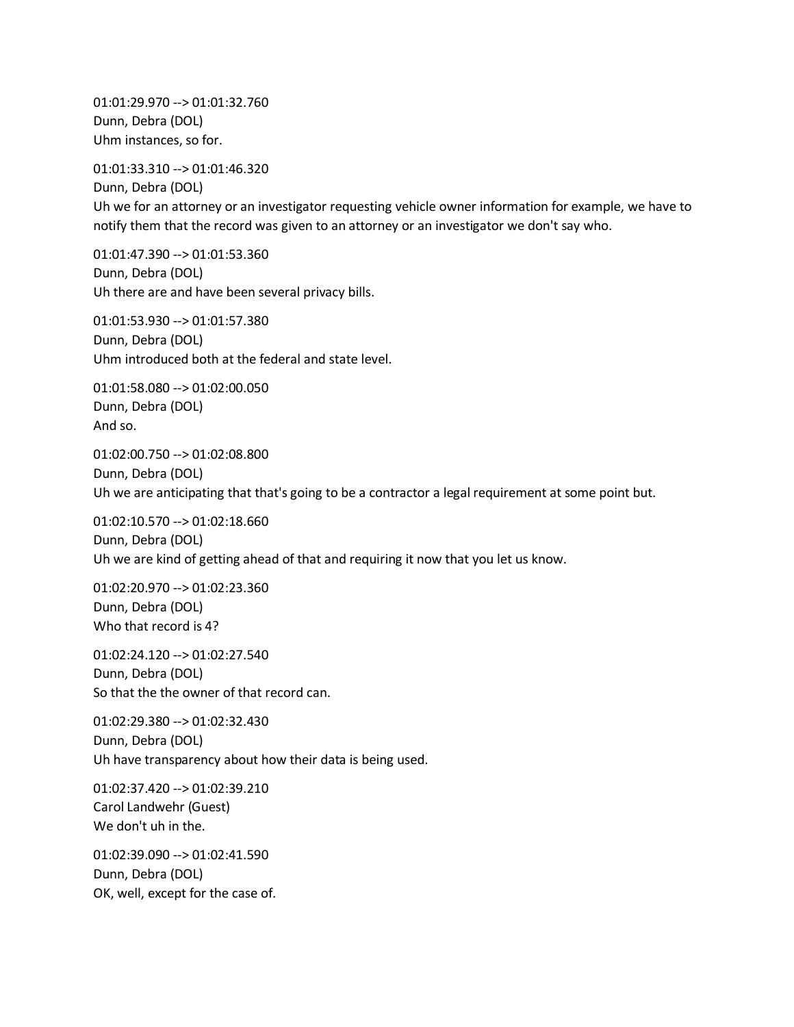01:01:29.970 --> 01:01:32.760 Dunn, Debra (DOL) Uhm instances, so for.

01:01:33.310 --> 01:01:46.320

Dunn, Debra (DOL) Uh we for an attorney or an investigator requesting vehicle owner information for example, we have to notify them that the record was given to an attorney or an investigator we don't say who.

01:01:47.390 --> 01:01:53.360 Dunn, Debra (DOL) Uh there are and have been several privacy bills.

01:01:53.930 --> 01:01:57.380 Dunn, Debra (DOL) Uhm introduced both at the federal and state level.

01:01:58.080 --> 01:02:00.050 Dunn, Debra (DOL) And so.

01:02:00.750 --> 01:02:08.800 Dunn, Debra (DOL) Uh we are anticipating that that's going to be a contractor a legal requirement at some point but.

01:02:10.570 --> 01:02:18.660 Dunn, Debra (DOL) Uh we are kind of getting ahead of that and requiring it now that you let us know.

01:02:20.970 --> 01:02:23.360 Dunn, Debra (DOL) Who that record is 4?

01:02:24.120 --> 01:02:27.540 Dunn, Debra (DOL) So that the the owner of that record can.

01:02:29.380 --> 01:02:32.430 Dunn, Debra (DOL) Uh have transparency about how their data is being used.

01:02:37.420 --> 01:02:39.210 Carol Landwehr (Guest) We don't uh in the.

01:02:39.090 --> 01:02:41.590 Dunn, Debra (DOL) OK, well, except for the case of.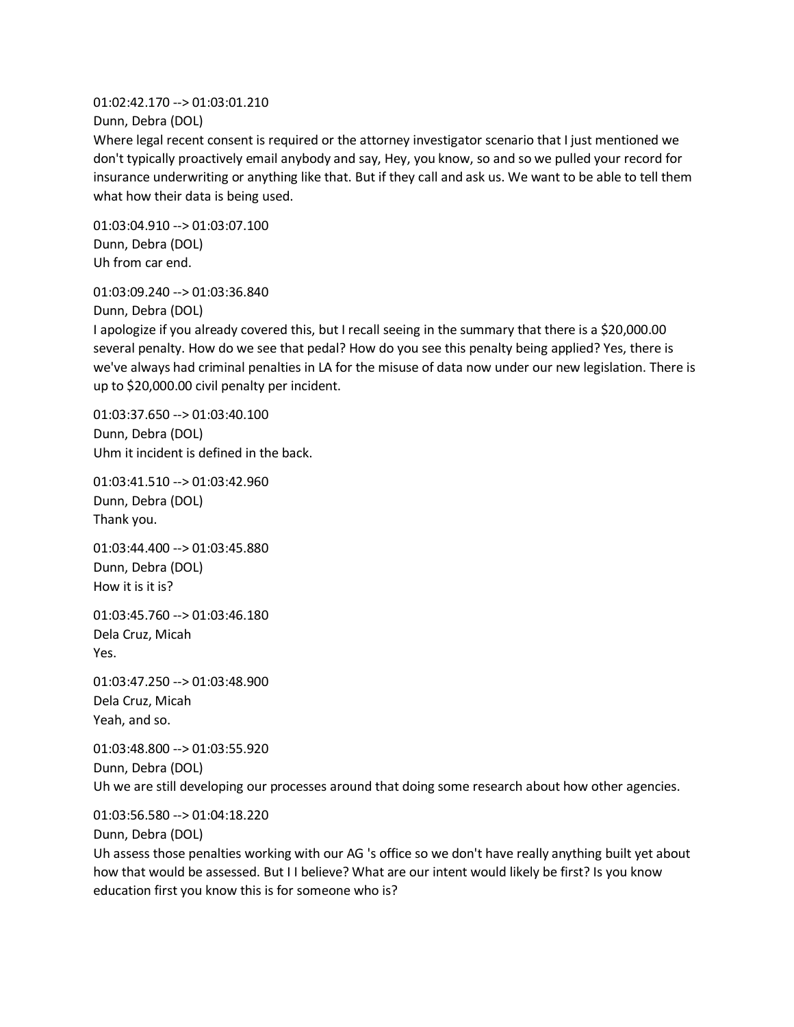01:02:42.170 --> 01:03:01.210

Dunn, Debra (DOL)

Where legal recent consent is required or the attorney investigator scenario that I just mentioned we don't typically proactively email anybody and say, Hey, you know, so and so we pulled your record for insurance underwriting or anything like that. But if they call and ask us. We want to be able to tell them what how their data is being used.

01:03:04.910 --> 01:03:07.100 Dunn, Debra (DOL) Uh from car end.

01:03:09.240 --> 01:03:36.840 Dunn, Debra (DOL)

I apologize if you already covered this, but I recall seeing in the summary that there is a \$20,000.00 several penalty. How do we see that pedal? How do you see this penalty being applied? Yes, there is we've always had criminal penalties in LA for the misuse of data now under our new legislation. There is up to \$20,000.00 civil penalty per incident.

01:03:37.650 --> 01:03:40.100 Dunn, Debra (DOL) Uhm it incident is defined in the back.

01:03:41.510 --> 01:03:42.960 Dunn, Debra (DOL) Thank you.

01:03:44.400 --> 01:03:45.880 Dunn, Debra (DOL) How it is it is?

01:03:45.760 --> 01:03:46.180 Dela Cruz, Micah Yes.

01:03:47.250 --> 01:03:48.900 Dela Cruz, Micah Yeah, and so.

01:03:48.800 --> 01:03:55.920 Dunn, Debra (DOL) Uh we are still developing our processes around that doing some research about how other agencies.

01:03:56.580 --> 01:04:18.220

Dunn, Debra (DOL)

Uh assess those penalties working with our AG 's office so we don't have really anything built yet about how that would be assessed. But I I believe? What are our intent would likely be first? Is you know education first you know this is for someone who is?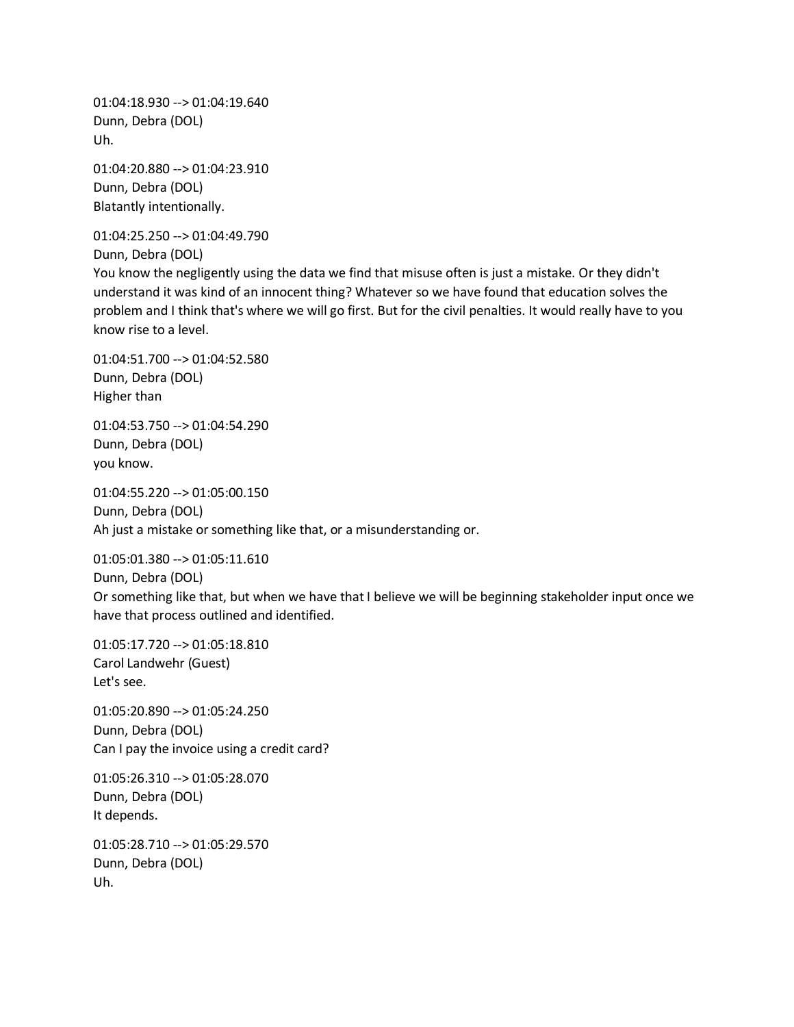01:04:18.930 --> 01:04:19.640 Dunn, Debra (DOL) Uh.

01:04:20.880 --> 01:04:23.910 Dunn, Debra (DOL) Blatantly intentionally.

01:04:25.250 --> 01:04:49.790

Dunn, Debra (DOL)

You know the negligently using the data we find that misuse often is just a mistake. Or they didn't understand it was kind of an innocent thing? Whatever so we have found that education solves the problem and I think that's where we will go first. But for the civil penalties. It would really have to you know rise to a level.

01:04:51.700 --> 01:04:52.580 Dunn, Debra (DOL) Higher than

01:04:53.750 --> 01:04:54.290 Dunn, Debra (DOL) you know.

01:04:55.220 --> 01:05:00.150 Dunn, Debra (DOL) Ah just a mistake or something like that, or a misunderstanding or.

01:05:01.380 --> 01:05:11.610 Dunn, Debra (DOL) Or something like that, but when we have that I believe we will be beginning stakeholder input once we have that process outlined and identified.

01:05:17.720 --> 01:05:18.810 Carol Landwehr (Guest) Let's see.

01:05:20.890 --> 01:05:24.250 Dunn, Debra (DOL) Can I pay the invoice using a credit card?

01:05:26.310 --> 01:05:28.070 Dunn, Debra (DOL) It depends.

01:05:28.710 --> 01:05:29.570 Dunn, Debra (DOL) Uh.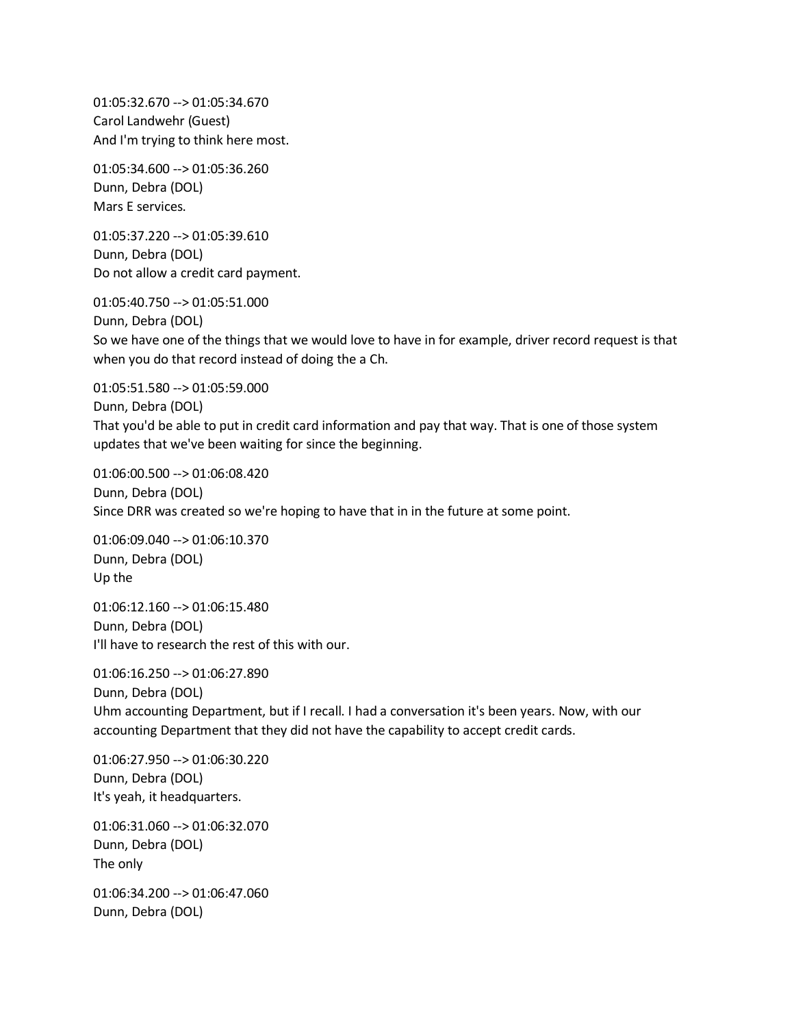01:05:32.670 --> 01:05:34.670 Carol Landwehr (Guest) And I'm trying to think here most.

01:05:34.600 --> 01:05:36.260 Dunn, Debra (DOL) Mars E services.

01:05:37.220 --> 01:05:39.610 Dunn, Debra (DOL) Do not allow a credit card payment.

01:05:40.750 --> 01:05:51.000 Dunn, Debra (DOL) So we have one of the things that we would love to have in for example, driver record request is that when you do that record instead of doing the a Ch.

01:05:51.580 --> 01:05:59.000 Dunn, Debra (DOL) That you'd be able to put in credit card information and pay that way. That is one of those system updates that we've been waiting for since the beginning.

01:06:00.500 --> 01:06:08.420 Dunn, Debra (DOL) Since DRR was created so we're hoping to have that in in the future at some point.

01:06:09.040 --> 01:06:10.370 Dunn, Debra (DOL) Up the

01:06:12.160 --> 01:06:15.480 Dunn, Debra (DOL) I'll have to research the rest of this with our.

01:06:16.250 --> 01:06:27.890 Dunn, Debra (DOL) Uhm accounting Department, but if I recall. I had a conversation it's been years. Now, with our accounting Department that they did not have the capability to accept credit cards.

01:06:27.950 --> 01:06:30.220 Dunn, Debra (DOL) It's yeah, it headquarters.

01:06:31.060 --> 01:06:32.070 Dunn, Debra (DOL) The only

01:06:34.200 --> 01:06:47.060 Dunn, Debra (DOL)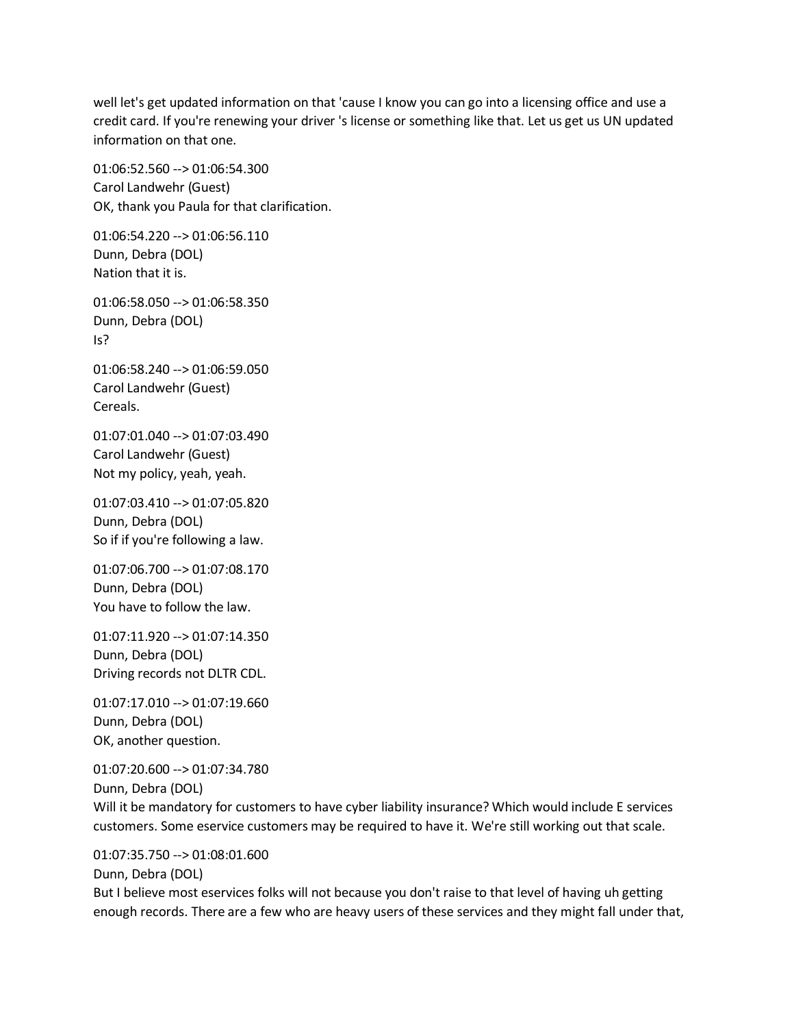well let's get updated information on that 'cause I know you can go into a licensing office and use a credit card. If you're renewing your driver 's license or something like that. Let us get us UN updated information on that one.

01:06:52.560 --> 01:06:54.300 Carol Landwehr (Guest) OK, thank you Paula for that clarification.

01:06:54.220 --> 01:06:56.110 Dunn, Debra (DOL) Nation that it is.

01:06:58.050 --> 01:06:58.350 Dunn, Debra (DOL) Is?

01:06:58.240 --> 01:06:59.050 Carol Landwehr (Guest) Cereals.

01:07:01.040 --> 01:07:03.490 Carol Landwehr (Guest) Not my policy, yeah, yeah.

01:07:03.410 --> 01:07:05.820 Dunn, Debra (DOL) So if if you're following a law.

01:07:06.700 --> 01:07:08.170 Dunn, Debra (DOL) You have to follow the law.

01:07:11.920 --> 01:07:14.350 Dunn, Debra (DOL) Driving records not DLTR CDL.

01:07:17.010 --> 01:07:19.660 Dunn, Debra (DOL) OK, another question.

01:07:20.600 --> 01:07:34.780 Dunn, Debra (DOL)

Will it be mandatory for customers to have cyber liability insurance? Which would include E services customers. Some eservice customers may be required to have it. We're still working out that scale.

01:07:35.750 --> 01:08:01.600

Dunn, Debra (DOL)

But I believe most eservices folks will not because you don't raise to that level of having uh getting enough records. There are a few who are heavy users of these services and they might fall under that,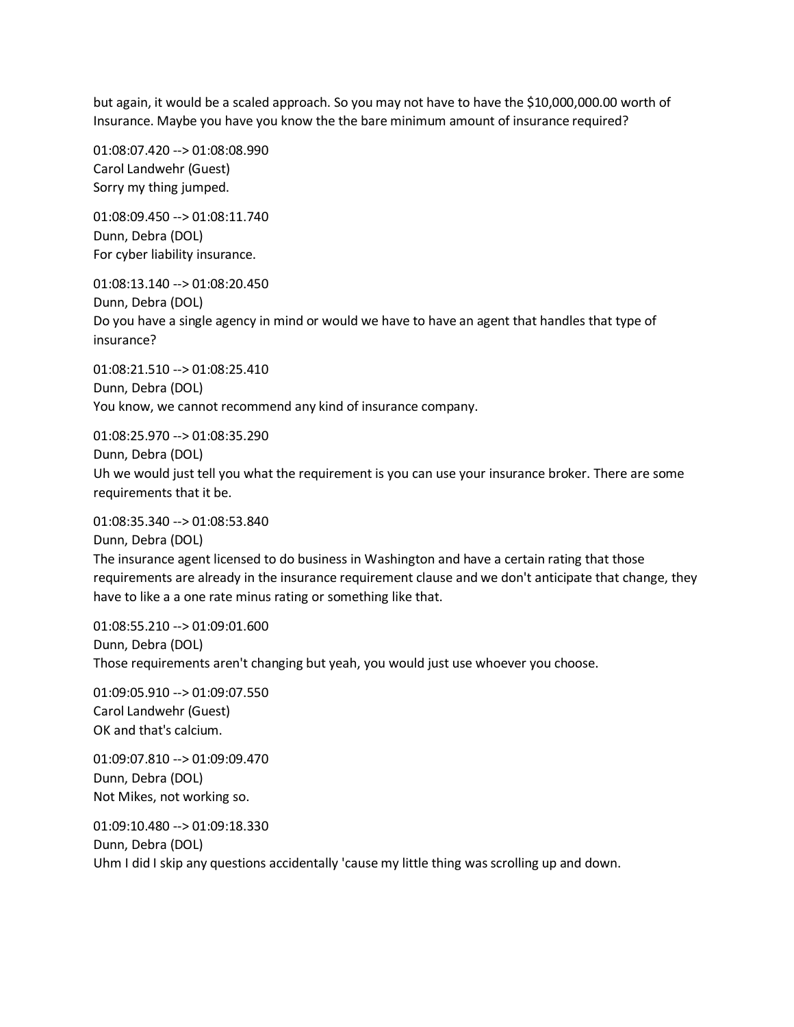but again, it would be a scaled approach. So you may not have to have the \$10,000,000.00 worth of Insurance. Maybe you have you know the the bare minimum amount of insurance required?

01:08:07.420 --> 01:08:08.990 Carol Landwehr (Guest) Sorry my thing jumped.

01:08:09.450 --> 01:08:11.740 Dunn, Debra (DOL) For cyber liability insurance.

01:08:13.140 --> 01:08:20.450 Dunn, Debra (DOL) Do you have a single agency in mind or would we have to have an agent that handles that type of insurance?

01:08:21.510 --> 01:08:25.410 Dunn, Debra (DOL) You know, we cannot recommend any kind of insurance company.

01:08:25.970 --> 01:08:35.290 Dunn, Debra (DOL) Uh we would just tell you what the requirement is you can use your insurance broker. There are some requirements that it be.

01:08:35.340 --> 01:08:53.840 Dunn, Debra (DOL) The insurance agent licensed to do business in Washington and have a certain rating that those requirements are already in the insurance requirement clause and we don't anticipate that change, they have to like a a one rate minus rating or something like that.

01:08:55.210 --> 01:09:01.600 Dunn, Debra (DOL) Those requirements aren't changing but yeah, you would just use whoever you choose.

01:09:05.910 --> 01:09:07.550 Carol Landwehr (Guest) OK and that's calcium.

01:09:07.810 --> 01:09:09.470 Dunn, Debra (DOL) Not Mikes, not working so.

01:09:10.480 --> 01:09:18.330 Dunn, Debra (DOL) Uhm I did I skip any questions accidentally 'cause my little thing was scrolling up and down.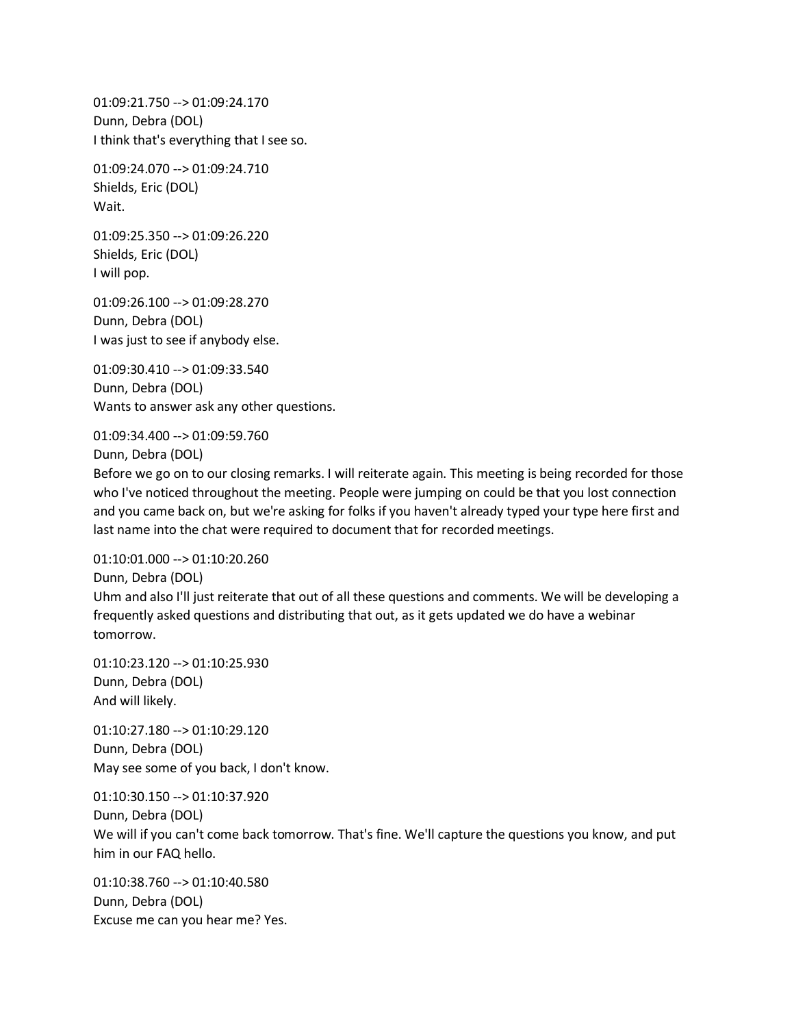01:09:21.750 --> 01:09:24.170 Dunn, Debra (DOL) I think that's everything that I see so.

01:09:24.070 --> 01:09:24.710 Shields, Eric (DOL) Wait.

01:09:25.350 --> 01:09:26.220 Shields, Eric (DOL) I will pop.

01:09:26.100 --> 01:09:28.270 Dunn, Debra (DOL) I was just to see if anybody else.

01:09:30.410 --> 01:09:33.540 Dunn, Debra (DOL) Wants to answer ask any other questions.

01:09:34.400 --> 01:09:59.760 Dunn, Debra (DOL)

Before we go on to our closing remarks. I will reiterate again. This meeting is being recorded for those who I've noticed throughout the meeting. People were jumping on could be that you lost connection and you came back on, but we're asking for folks if you haven't already typed your type here first and last name into the chat were required to document that for recorded meetings.

01:10:01.000 --> 01:10:20.260 Dunn, Debra (DOL) Uhm and also I'll just reiterate that out of all these questions and comments. We will be developing a frequently asked questions and distributing that out, as it gets updated we do have a webinar tomorrow.

01:10:23.120 --> 01:10:25.930 Dunn, Debra (DOL) And will likely.

01:10:27.180 --> 01:10:29.120 Dunn, Debra (DOL) May see some of you back, I don't know.

01:10:30.150 --> 01:10:37.920 Dunn, Debra (DOL) We will if you can't come back tomorrow. That's fine. We'll capture the questions you know, and put him in our FAQ hello.

01:10:38.760 --> 01:10:40.580 Dunn, Debra (DOL) Excuse me can you hear me? Yes.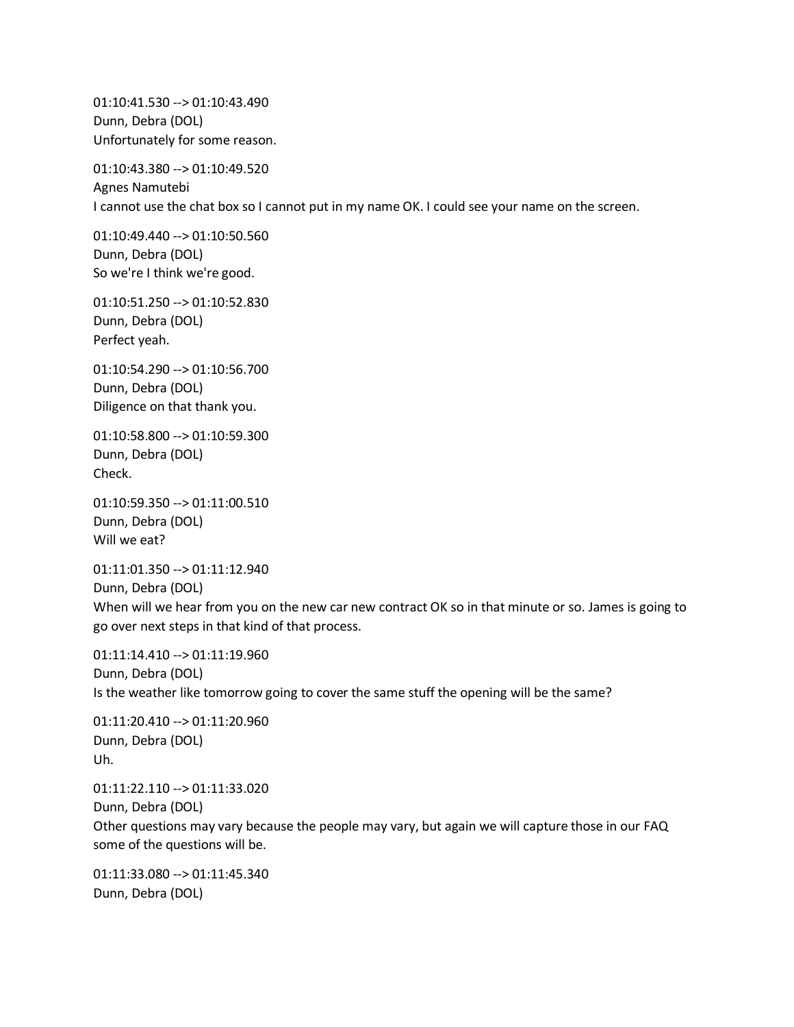01:10:41.530 --> 01:10:43.490 Dunn, Debra (DOL) Unfortunately for some reason.

01:10:43.380 --> 01:10:49.520 Agnes Namutebi I cannot use the chat box so I cannot put in my name OK. I could see your name on the screen.

01:10:49.440 --> 01:10:50.560 Dunn, Debra (DOL) So we're I think we're good.

01:10:51.250 --> 01:10:52.830 Dunn, Debra (DOL) Perfect yeah.

01:10:54.290 --> 01:10:56.700 Dunn, Debra (DOL) Diligence on that thank you.

01:10:58.800 --> 01:10:59.300 Dunn, Debra (DOL) Check.

01:10:59.350 --> 01:11:00.510 Dunn, Debra (DOL) Will we eat?

01:11:01.350 --> 01:11:12.940 Dunn, Debra (DOL) When will we hear from you on the new car new contract OK so in that minute or so. James is going to go over next steps in that kind of that process.

01:11:14.410 --> 01:11:19.960 Dunn, Debra (DOL) Is the weather like tomorrow going to cover the same stuff the opening will be the same?

01:11:20.410 --> 01:11:20.960 Dunn, Debra (DOL) Uh.

01:11:22.110 --> 01:11:33.020 Dunn, Debra (DOL) Other questions may vary because the people may vary, but again we will capture those in our FAQ some of the questions will be.

01:11:33.080 --> 01:11:45.340 Dunn, Debra (DOL)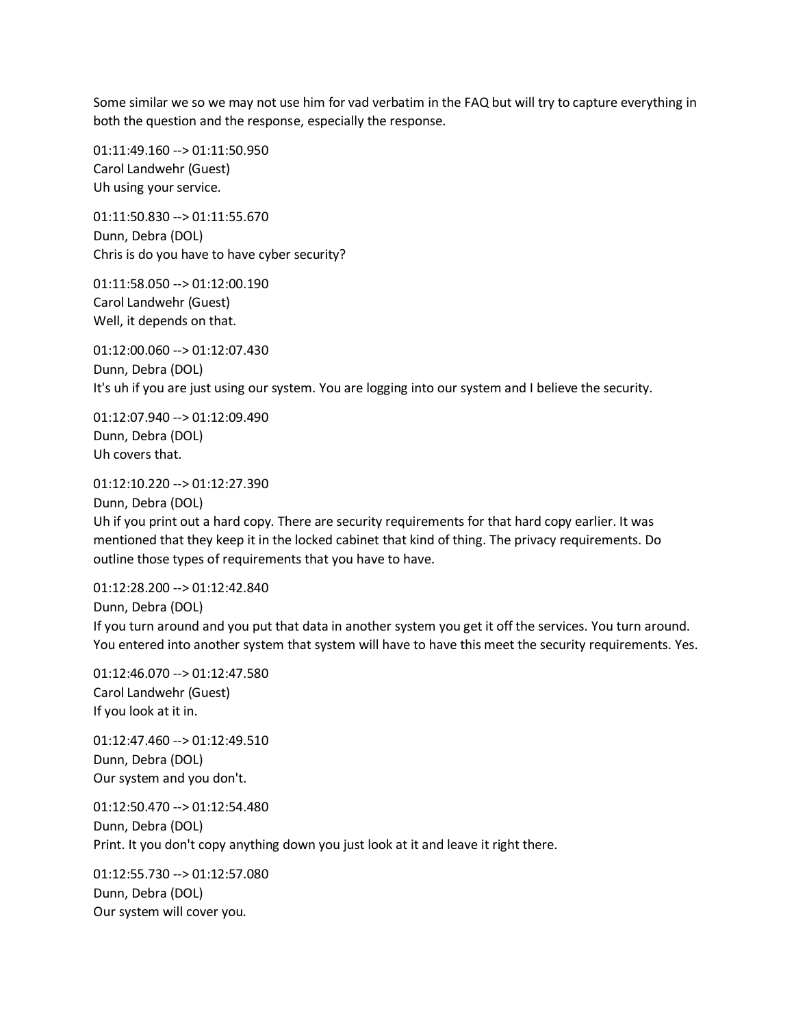Some similar we so we may not use him for vad verbatim in the FAQ but will try to capture everything in both the question and the response, especially the response.

01:11:49.160 --> 01:11:50.950 Carol Landwehr (Guest) Uh using your service.

01:11:50.830 --> 01:11:55.670 Dunn, Debra (DOL) Chris is do you have to have cyber security?

01:11:58.050 --> 01:12:00.190 Carol Landwehr (Guest) Well, it depends on that.

01:12:00.060 --> 01:12:07.430 Dunn, Debra (DOL) It's uh if you are just using our system. You are logging into our system and I believe the security.

01:12:07.940 --> 01:12:09.490 Dunn, Debra (DOL) Uh covers that.

01:12:10.220 --> 01:12:27.390

Dunn, Debra (DOL)

Uh if you print out a hard copy. There are security requirements for that hard copy earlier. It was mentioned that they keep it in the locked cabinet that kind of thing. The privacy requirements. Do outline those types of requirements that you have to have.

01:12:28.200 --> 01:12:42.840 Dunn, Debra (DOL) If you turn around and you put that data in another system you get it off the services. You turn around. You entered into another system that system will have to have this meet the security requirements. Yes.

01:12:46.070 --> 01:12:47.580 Carol Landwehr (Guest) If you look at it in.

01:12:47.460 --> 01:12:49.510 Dunn, Debra (DOL) Our system and you don't.

01:12:50.470 --> 01:12:54.480 Dunn, Debra (DOL) Print. It you don't copy anything down you just look at it and leave it right there.

01:12:55.730 --> 01:12:57.080 Dunn, Debra (DOL) Our system will cover you.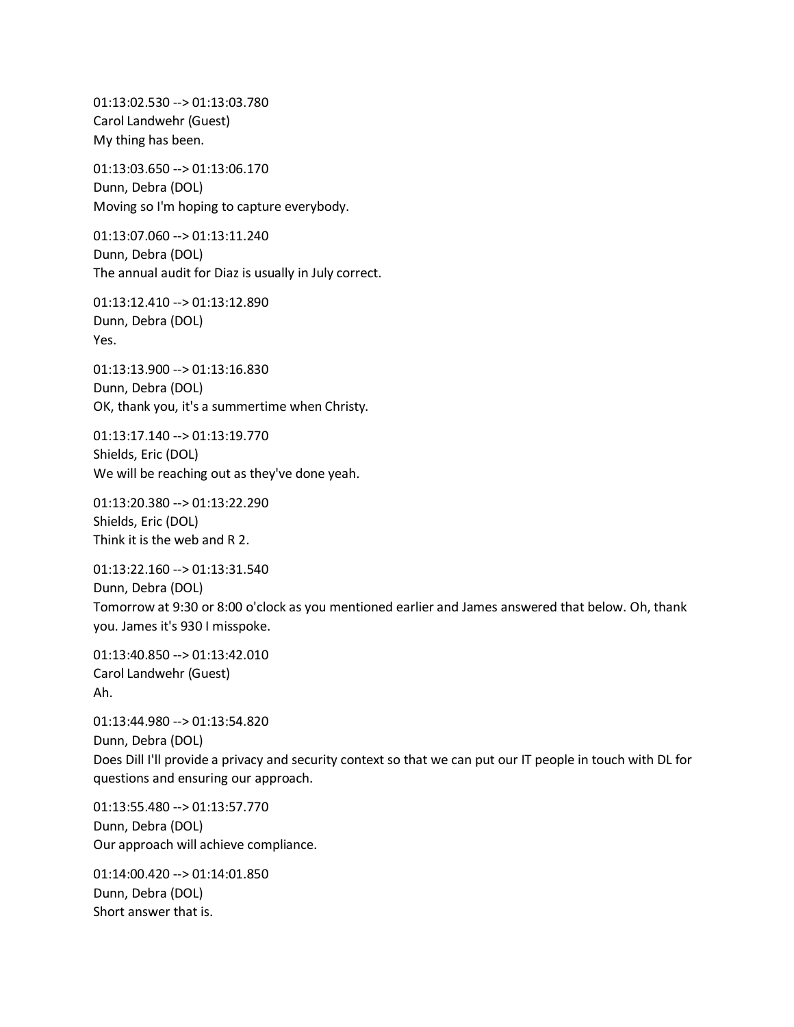01:13:02.530 --> 01:13:03.780 Carol Landwehr (Guest) My thing has been.

01:13:03.650 --> 01:13:06.170 Dunn, Debra (DOL) Moving so I'm hoping to capture everybody.

01:13:07.060 --> 01:13:11.240 Dunn, Debra (DOL) The annual audit for Diaz is usually in July correct.

01:13:12.410 --> 01:13:12.890 Dunn, Debra (DOL) Yes.

01:13:13.900 --> 01:13:16.830 Dunn, Debra (DOL) OK, thank you, it's a summertime when Christy.

01:13:17.140 --> 01:13:19.770 Shields, Eric (DOL) We will be reaching out as they've done yeah.

01:13:20.380 --> 01:13:22.290 Shields, Eric (DOL) Think it is the web and R 2.

01:13:22.160 --> 01:13:31.540 Dunn, Debra (DOL) Tomorrow at 9:30 or 8:00 o'clock as you mentioned earlier and James answered that below. Oh, thank you. James it's 930 I misspoke.

01:13:40.850 --> 01:13:42.010 Carol Landwehr (Guest) Ah.

01:13:44.980 --> 01:13:54.820 Dunn, Debra (DOL) Does Dill I'll provide a privacy and security context so that we can put our IT people in touch with DL for questions and ensuring our approach.

01:13:55.480 --> 01:13:57.770 Dunn, Debra (DOL) Our approach will achieve compliance.

01:14:00.420 --> 01:14:01.850 Dunn, Debra (DOL) Short answer that is.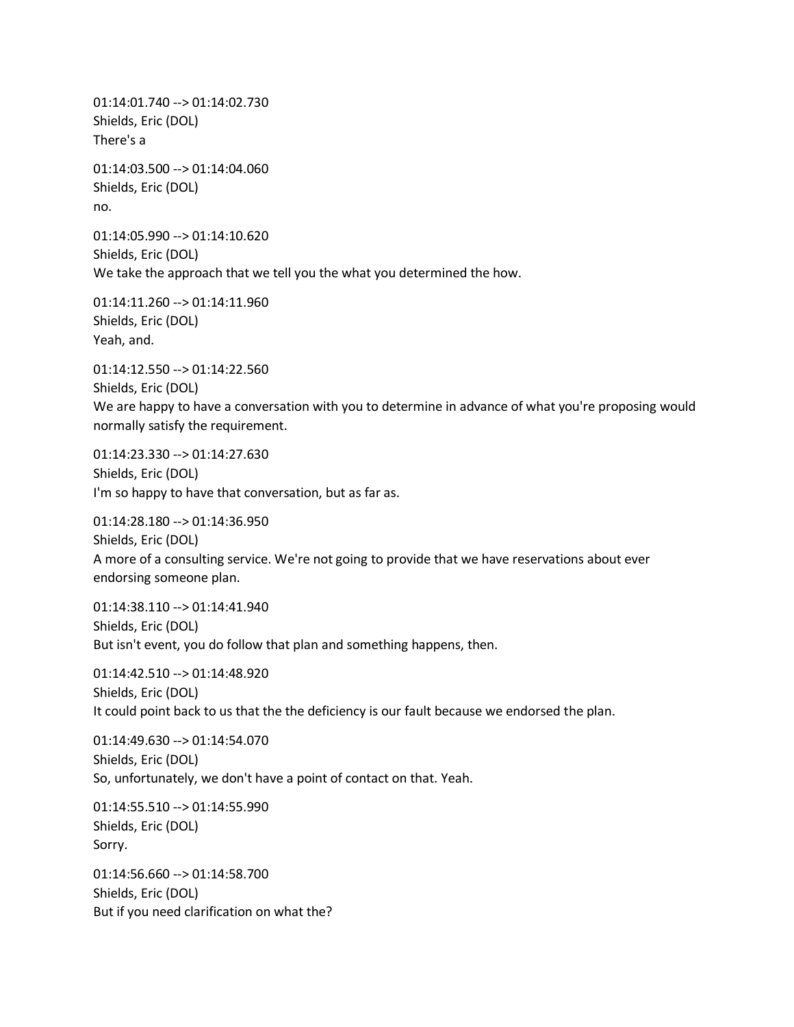01:14:01.740 --> 01:14:02.730 Shields, Eric (DOL) There's a

01:14:03.500 --> 01:14:04.060 Shields, Eric (DOL) no.

01:14:05.990 --> 01:14:10.620 Shields, Eric (DOL) We take the approach that we tell you the what you determined the how.

01:14:11.260 --> 01:14:11.960 Shields, Eric (DOL) Yeah, and.

01:14:12.550 --> 01:14:22.560 Shields, Eric (DOL) We are happy to have a conversation with you to determine in advance of what you're proposing would normally satisfy the requirement.

01:14:23.330 --> 01:14:27.630 Shields, Eric (DOL) I'm so happy to have that conversation, but as far as.

01:14:28.180 --> 01:14:36.950 Shields, Eric (DOL) A more of a consulting service. We're not going to provide that we have reservations about ever endorsing someone plan.

01:14:38.110 --> 01:14:41.940 Shields, Eric (DOL) But isn't event, you do follow that plan and something happens, then.

01:14:42.510 --> 01:14:48.920 Shields, Eric (DOL) It could point back to us that the the deficiency is our fault because we endorsed the plan.

01:14:49.630 --> 01:14:54.070 Shields, Eric (DOL) So, unfortunately, we don't have a point of contact on that. Yeah.

01:14:55.510 --> 01:14:55.990 Shields, Eric (DOL) Sorry.

01:14:56.660 --> 01:14:58.700 Shields, Eric (DOL) But if you need clarification on what the?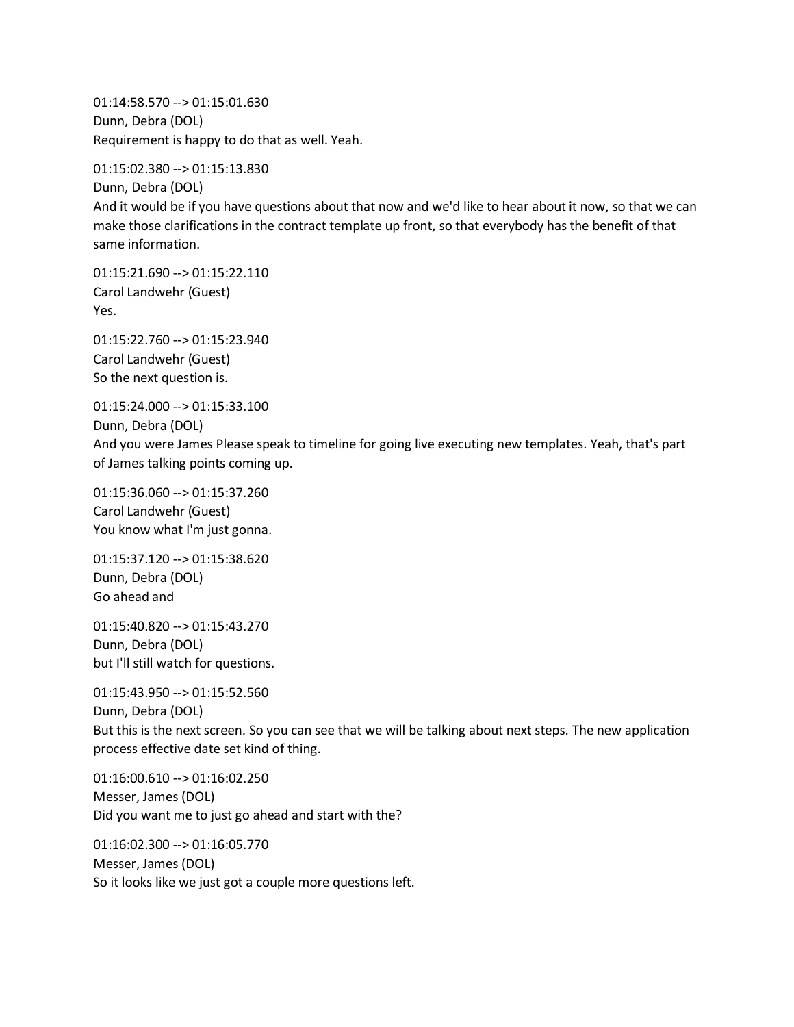01:14:58.570 --> 01:15:01.630 Dunn, Debra (DOL) Requirement is happy to do that as well. Yeah.

01:15:02.380 --> 01:15:13.830

Dunn, Debra (DOL) And it would be if you have questions about that now and we'd like to hear about it now, so that we can make those clarifications in the contract template up front, so that everybody has the benefit of that same information.

01:15:21.690 --> 01:15:22.110 Carol Landwehr (Guest) Yes.

01:15:22.760 --> 01:15:23.940 Carol Landwehr (Guest) So the next question is.

01:15:24.000 --> 01:15:33.100

Dunn, Debra (DOL) And you were James Please speak to timeline for going live executing new templates. Yeah, that's part of James talking points coming up.

01:15:36.060 --> 01:15:37.260 Carol Landwehr (Guest) You know what I'm just gonna.

01:15:37.120 --> 01:15:38.620 Dunn, Debra (DOL) Go ahead and

01:15:40.820 --> 01:15:43.270 Dunn, Debra (DOL) but I'll still watch for questions.

01:15:43.950 --> 01:15:52.560 Dunn, Debra (DOL) But this is the next screen. So you can see that we will be talking about next steps. The new application process effective date set kind of thing.

01:16:00.610 --> 01:16:02.250 Messer, James (DOL) Did you want me to just go ahead and start with the?

01:16:02.300 --> 01:16:05.770 Messer, James (DOL) So it looks like we just got a couple more questions left.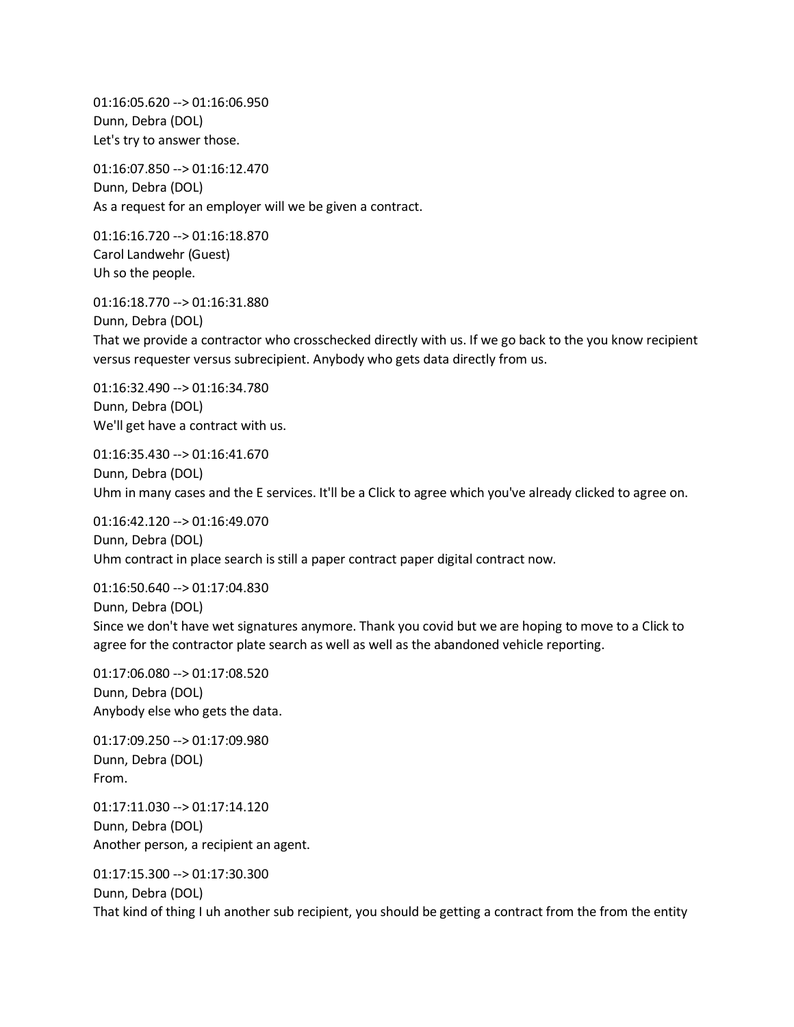01:16:05.620 --> 01:16:06.950 Dunn, Debra (DOL) Let's try to answer those.

01:16:07.850 --> 01:16:12.470 Dunn, Debra (DOL) As a request for an employer will we be given a contract.

01:16:16.720 --> 01:16:18.870 Carol Landwehr (Guest) Uh so the people.

01:16:18.770 --> 01:16:31.880

Dunn, Debra (DOL) That we provide a contractor who crosschecked directly with us. If we go back to the you know recipient versus requester versus subrecipient. Anybody who gets data directly from us.

01:16:32.490 --> 01:16:34.780 Dunn, Debra (DOL) We'll get have a contract with us.

01:16:35.430 --> 01:16:41.670 Dunn, Debra (DOL) Uhm in many cases and the E services. It'll be a Click to agree which you've already clicked to agree on.

01:16:42.120 --> 01:16:49.070 Dunn, Debra (DOL) Uhm contract in place search is still a paper contract paper digital contract now.

01:16:50.640 --> 01:17:04.830 Dunn, Debra (DOL) Since we don't have wet signatures anymore. Thank you covid but we are hoping to move to a Click to agree for the contractor plate search as well as well as the abandoned vehicle reporting.

01:17:06.080 --> 01:17:08.520 Dunn, Debra (DOL) Anybody else who gets the data.

01:17:09.250 --> 01:17:09.980 Dunn, Debra (DOL) From.

01:17:11.030 --> 01:17:14.120 Dunn, Debra (DOL) Another person, a recipient an agent.

01:17:15.300 --> 01:17:30.300 Dunn, Debra (DOL) That kind of thing I uh another sub recipient, you should be getting a contract from the from the entity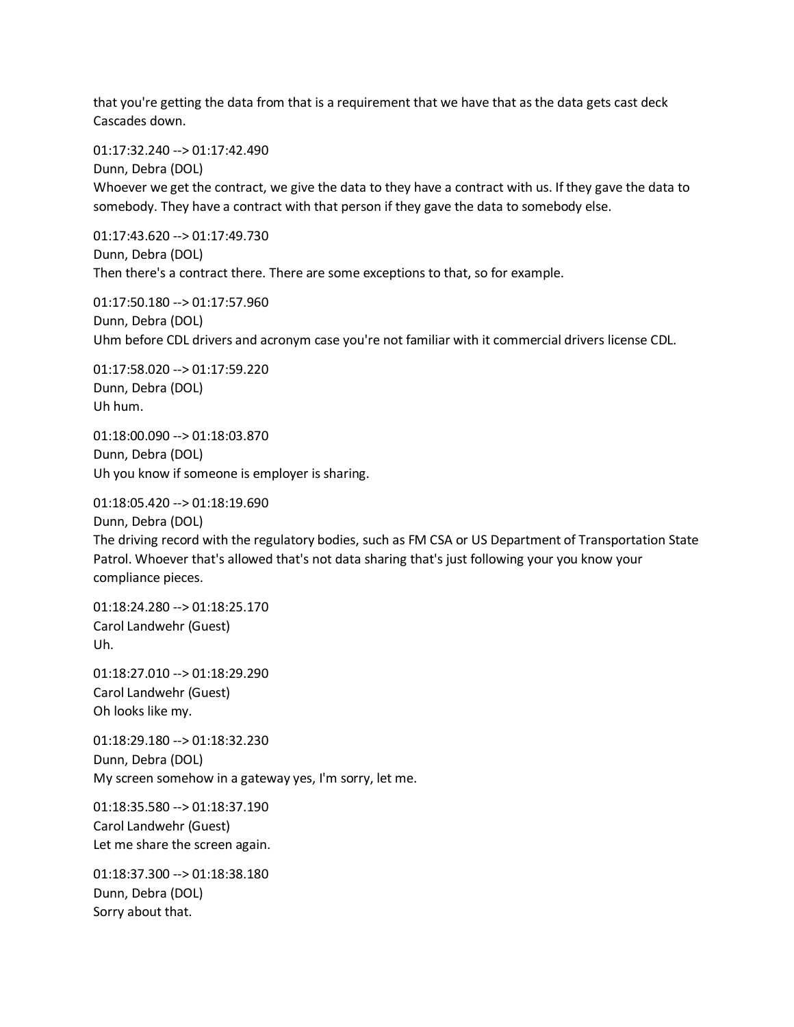that you're getting the data from that is a requirement that we have that as the data gets cast deck Cascades down.

01:17:32.240 --> 01:17:42.490

Dunn, Debra (DOL) Whoever we get the contract, we give the data to they have a contract with us. If they gave the data to somebody. They have a contract with that person if they gave the data to somebody else.

01:17:43.620 --> 01:17:49.730 Dunn, Debra (DOL) Then there's a contract there. There are some exceptions to that, so for example.

01:17:50.180 --> 01:17:57.960 Dunn, Debra (DOL) Uhm before CDL drivers and acronym case you're not familiar with it commercial drivers license CDL.

01:17:58.020 --> 01:17:59.220 Dunn, Debra (DOL) Uh hum.

01:18:00.090 --> 01:18:03.870 Dunn, Debra (DOL) Uh you know if someone is employer is sharing.

01:18:05.420 --> 01:18:19.690 Dunn, Debra (DOL)

The driving record with the regulatory bodies, such as FM CSA or US Department of Transportation State Patrol. Whoever that's allowed that's not data sharing that's just following your you know your compliance pieces.

01:18:24.280 --> 01:18:25.170 Carol Landwehr (Guest) Uh.

01:18:27.010 --> 01:18:29.290 Carol Landwehr (Guest) Oh looks like my.

01:18:29.180 --> 01:18:32.230 Dunn, Debra (DOL) My screen somehow in a gateway yes, I'm sorry, let me.

01:18:35.580 --> 01:18:37.190 Carol Landwehr (Guest) Let me share the screen again.

01:18:37.300 --> 01:18:38.180 Dunn, Debra (DOL) Sorry about that.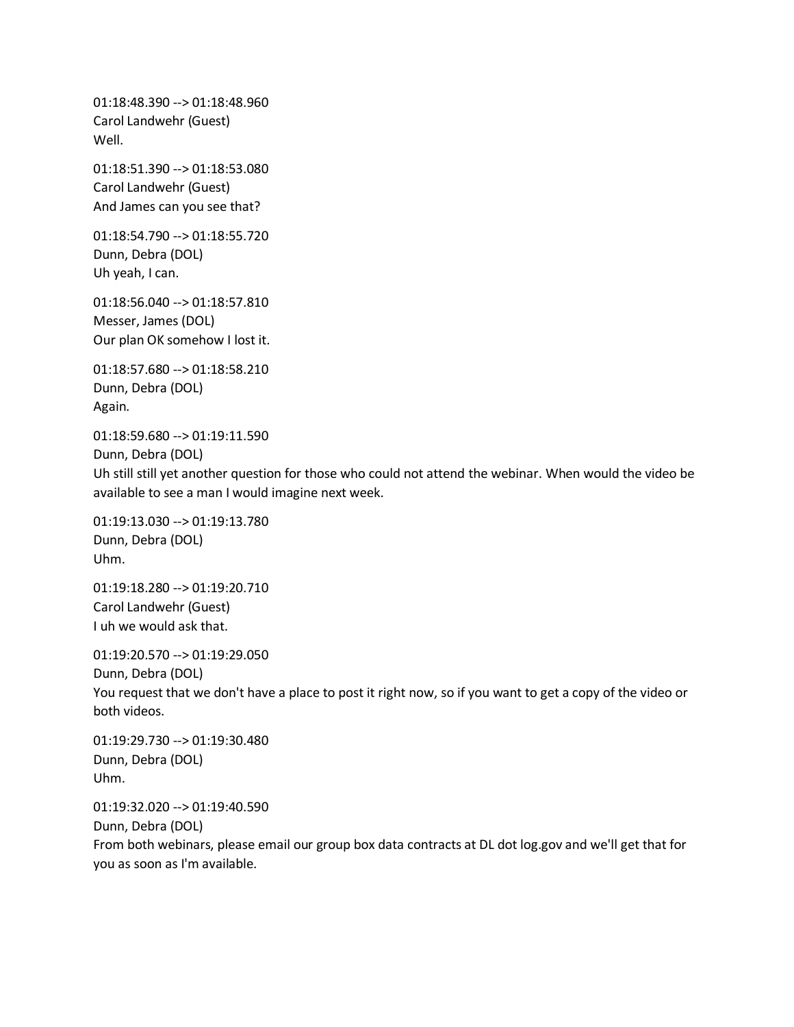01:18:48.390 --> 01:18:48.960 Carol Landwehr (Guest) Well.

01:18:51.390 --> 01:18:53.080 Carol Landwehr (Guest) And James can you see that?

01:18:54.790 --> 01:18:55.720 Dunn, Debra (DOL) Uh yeah, I can.

01:18:56.040 --> 01:18:57.810 Messer, James (DOL) Our plan OK somehow I lost it.

01:18:57.680 --> 01:18:58.210 Dunn, Debra (DOL) Again.

01:18:59.680 --> 01:19:11.590

Dunn, Debra (DOL)

Uh still still yet another question for those who could not attend the webinar. When would the video be available to see a man I would imagine next week.

01:19:13.030 --> 01:19:13.780 Dunn, Debra (DOL) Uhm.

01:19:18.280 --> 01:19:20.710 Carol Landwehr (Guest) I uh we would ask that.

01:19:20.570 --> 01:19:29.050 Dunn, Debra (DOL) You request that we don't have a place to post it right now, so if you want to get a copy of the video or both videos.

01:19:29.730 --> 01:19:30.480 Dunn, Debra (DOL) Uhm.

01:19:32.020 --> 01:19:40.590 Dunn, Debra (DOL) From both webinars, please email our group box data contracts at DL dot log.gov and we'll get that for you as soon as I'm available.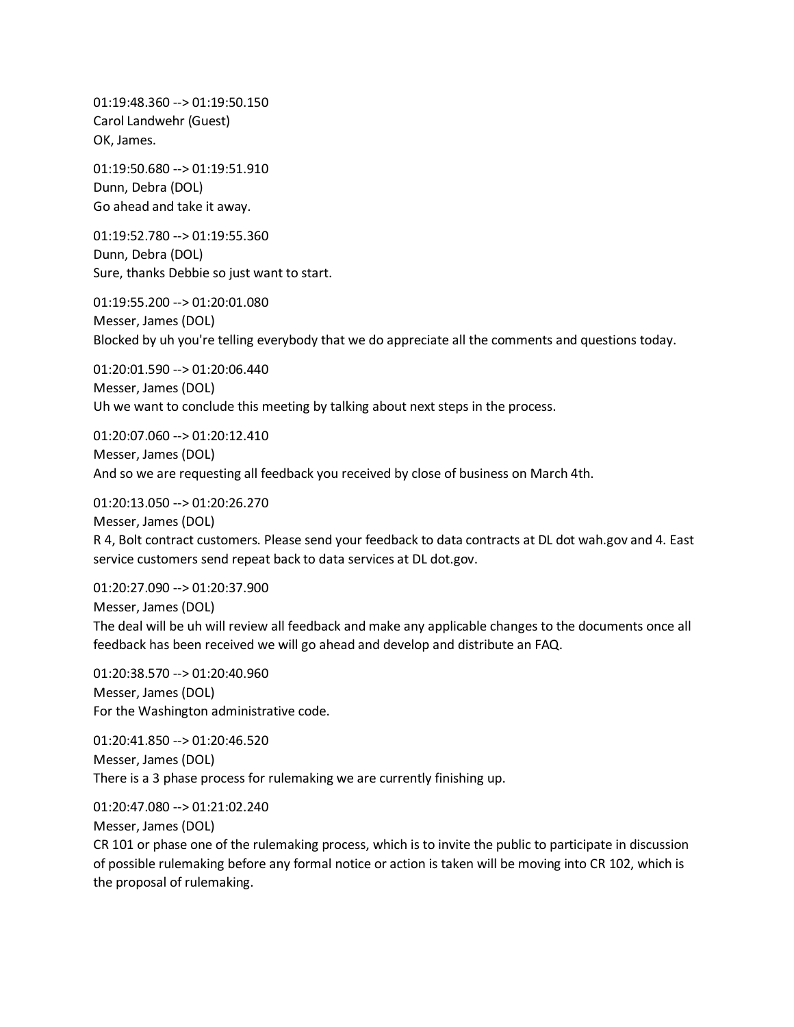01:19:48.360 --> 01:19:50.150 Carol Landwehr (Guest) OK, James.

01:19:50.680 --> 01:19:51.910 Dunn, Debra (DOL) Go ahead and take it away.

01:19:52.780 --> 01:19:55.360 Dunn, Debra (DOL) Sure, thanks Debbie so just want to start.

01:19:55.200 --> 01:20:01.080 Messer, James (DOL) Blocked by uh you're telling everybody that we do appreciate all the comments and questions today.

01:20:01.590 --> 01:20:06.440 Messer, James (DOL) Uh we want to conclude this meeting by talking about next steps in the process.

01:20:07.060 --> 01:20:12.410 Messer, James (DOL) And so we are requesting all feedback you received by close of business on March 4th.

01:20:13.050 --> 01:20:26.270 Messer, James (DOL) R 4, Bolt contract customers. Please send your feedback to data contracts at DL dot wah.gov and 4. East service customers send repeat back to data services at DL dot.gov.

01:20:27.090 --> 01:20:37.900 Messer, James (DOL) The deal will be uh will review all feedback and make any applicable changes to the documents once all feedback has been received we will go ahead and develop and distribute an FAQ.

01:20:38.570 --> 01:20:40.960 Messer, James (DOL) For the Washington administrative code.

01:20:41.850 --> 01:20:46.520 Messer, James (DOL) There is a 3 phase process for rulemaking we are currently finishing up.

01:20:47.080 --> 01:21:02.240

Messer, James (DOL)

CR 101 or phase one of the rulemaking process, which is to invite the public to participate in discussion of possible rulemaking before any formal notice or action is taken will be moving into CR 102, which is the proposal of rulemaking.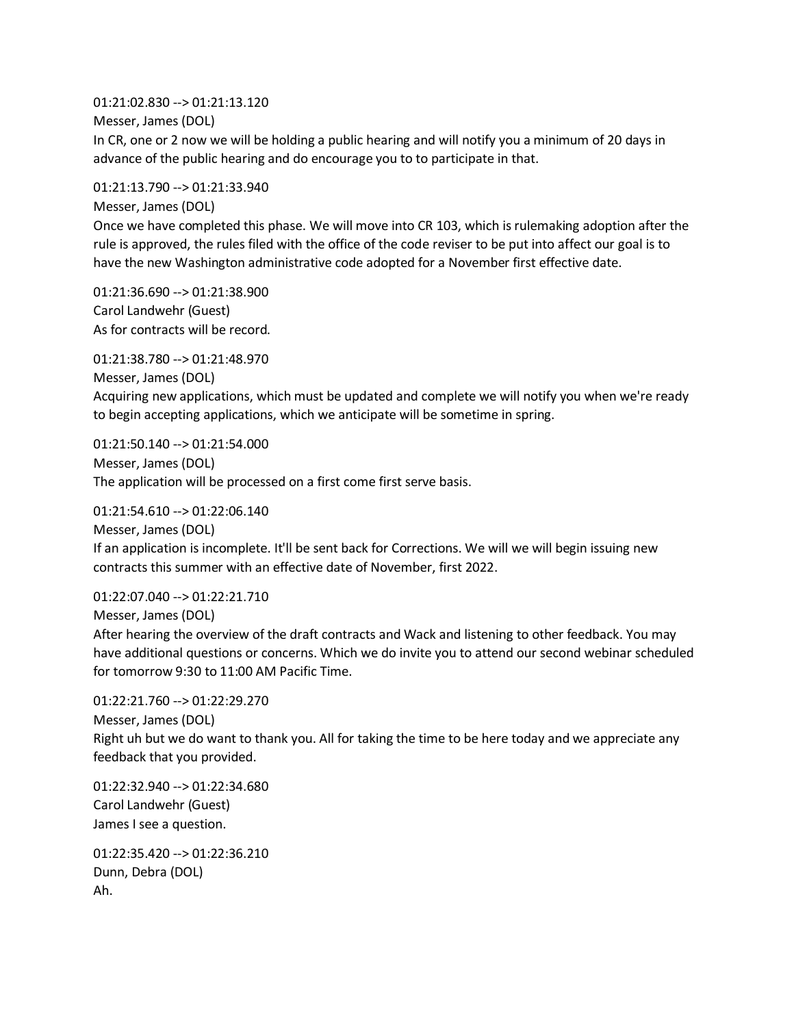01:21:02.830 --> 01:21:13.120 Messer, James (DOL) In CR, one or 2 now we will be holding a public hearing and will notify you a minimum of 20 days in advance of the public hearing and do encourage you to to participate in that.

01:21:13.790 --> 01:21:33.940

Messer, James (DOL)

Once we have completed this phase. We will move into CR 103, which is rulemaking adoption after the rule is approved, the rules filed with the office of the code reviser to be put into affect our goal is to have the new Washington administrative code adopted for a November first effective date.

01:21:36.690 --> 01:21:38.900 Carol Landwehr (Guest) As for contracts will be record.

01:21:38.780 --> 01:21:48.970 Messer, James (DOL) Acquiring new applications, which must be updated and complete we will notify you when we're ready to begin accepting applications, which we anticipate will be sometime in spring.

01:21:50.140 --> 01:21:54.000 Messer, James (DOL) The application will be processed on a first come first serve basis.

01:21:54.610 --> 01:22:06.140

Messer, James (DOL) If an application is incomplete. It'll be sent back for Corrections. We will we will begin issuing new contracts this summer with an effective date of November, first 2022.

01:22:07.040 --> 01:22:21.710 Messer, James (DOL)

After hearing the overview of the draft contracts and Wack and listening to other feedback. You may have additional questions or concerns. Which we do invite you to attend our second webinar scheduled for tomorrow 9:30 to 11:00 AM Pacific Time.

```
01:22:21.760 --> 01:22:29.270
Messer, James (DOL)
Right uh but we do want to thank you. All for taking the time to be here today and we appreciate any 
feedback that you provided.
```
01:22:32.940 --> 01:22:34.680 Carol Landwehr (Guest) James I see a question.

01:22:35.420 --> 01:22:36.210 Dunn, Debra (DOL) Ah.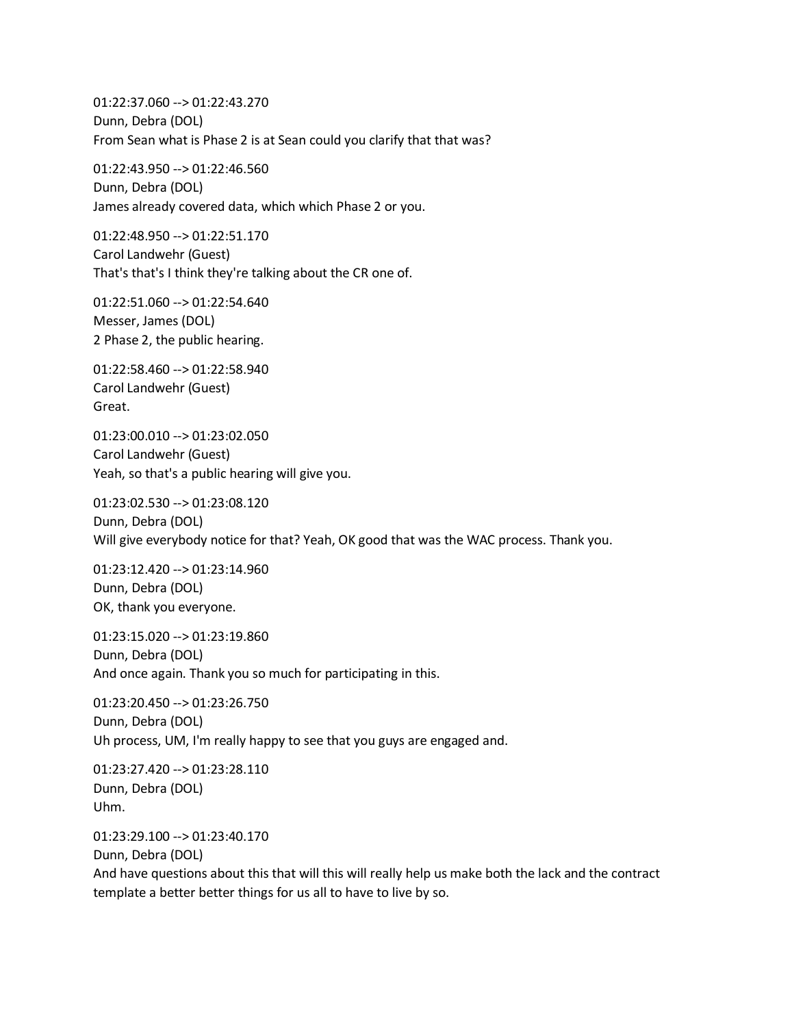01:22:37.060 --> 01:22:43.270 Dunn, Debra (DOL) From Sean what is Phase 2 is at Sean could you clarify that that was?

01:22:43.950 --> 01:22:46.560 Dunn, Debra (DOL) James already covered data, which which Phase 2 or you.

01:22:48.950 --> 01:22:51.170 Carol Landwehr (Guest) That's that's I think they're talking about the CR one of.

01:22:51.060 --> 01:22:54.640 Messer, James (DOL) 2 Phase 2, the public hearing.

01:22:58.460 --> 01:22:58.940 Carol Landwehr (Guest) Great.

01:23:00.010 --> 01:23:02.050 Carol Landwehr (Guest) Yeah, so that's a public hearing will give you.

01:23:02.530 --> 01:23:08.120 Dunn, Debra (DOL) Will give everybody notice for that? Yeah, OK good that was the WAC process. Thank you.

01:23:12.420 --> 01:23:14.960 Dunn, Debra (DOL) OK, thank you everyone.

01:23:15.020 --> 01:23:19.860 Dunn, Debra (DOL) And once again. Thank you so much for participating in this.

01:23:20.450 --> 01:23:26.750 Dunn, Debra (DOL) Uh process, UM, I'm really happy to see that you guys are engaged and.

01:23:27.420 --> 01:23:28.110 Dunn, Debra (DOL) Uhm.

01:23:29.100 --> 01:23:40.170

Dunn, Debra (DOL)

And have questions about this that will this will really help us make both the lack and the contract template a better better things for us all to have to live by so.